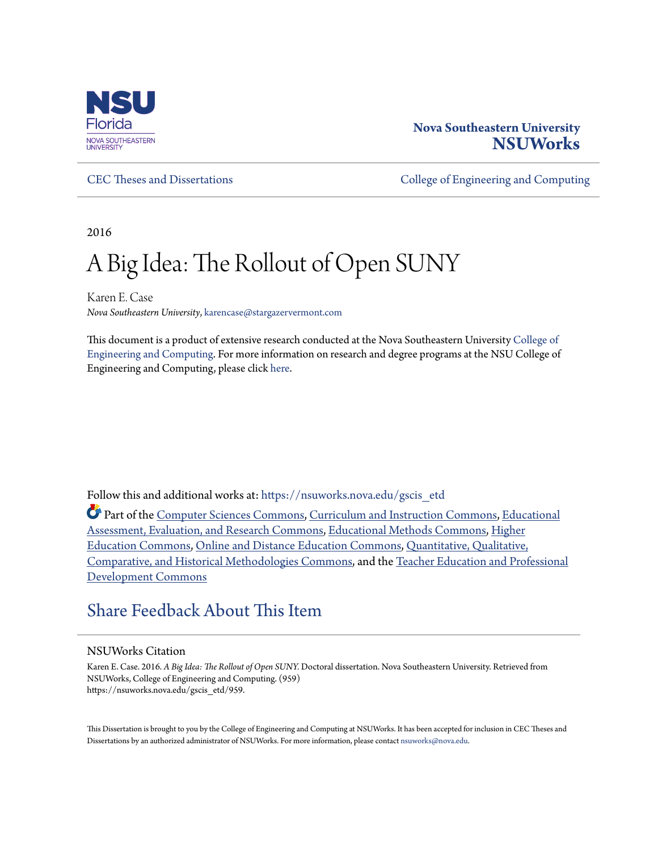

# **Nova Southeastern University [NSUWorks](https://nsuworks.nova.edu?utm_source=nsuworks.nova.edu%2Fgscis_etd%2F959&utm_medium=PDF&utm_campaign=PDFCoverPages)**

[CEC Theses and Dissertations](https://nsuworks.nova.edu/gscis_etd?utm_source=nsuworks.nova.edu%2Fgscis_etd%2F959&utm_medium=PDF&utm_campaign=PDFCoverPages) [College of Engineering and Computing](https://nsuworks.nova.edu/cec?utm_source=nsuworks.nova.edu%2Fgscis_etd%2F959&utm_medium=PDF&utm_campaign=PDFCoverPages)

2016

# A Big Idea: The Rollout of Open SUNY

Karen E. Case *Nova Southeastern University*, karencase@stargazervermont.com

This document is a product of extensive research conducted at the Nova Southeastern University [College of](http://cec.nova.edu/index.html) [Engineering and Computing](http://cec.nova.edu/index.html). For more information on research and degree programs at the NSU College of Engineering and Computing, please click [here.](http://cec.nova.edu/index.html)

Follow this and additional works at: [https://nsuworks.nova.edu/gscis\\_etd](https://nsuworks.nova.edu/gscis_etd?utm_source=nsuworks.nova.edu%2Fgscis_etd%2F959&utm_medium=PDF&utm_campaign=PDFCoverPages)

Part of the [Computer Sciences Commons](http://network.bepress.com/hgg/discipline/142?utm_source=nsuworks.nova.edu%2Fgscis_etd%2F959&utm_medium=PDF&utm_campaign=PDFCoverPages), [Curriculum and Instruction Commons,](http://network.bepress.com/hgg/discipline/786?utm_source=nsuworks.nova.edu%2Fgscis_etd%2F959&utm_medium=PDF&utm_campaign=PDFCoverPages) [Educational](http://network.bepress.com/hgg/discipline/796?utm_source=nsuworks.nova.edu%2Fgscis_etd%2F959&utm_medium=PDF&utm_campaign=PDFCoverPages) [Assessment, Evaluation, and Research Commons,](http://network.bepress.com/hgg/discipline/796?utm_source=nsuworks.nova.edu%2Fgscis_etd%2F959&utm_medium=PDF&utm_campaign=PDFCoverPages) [Educational Methods Commons,](http://network.bepress.com/hgg/discipline/1227?utm_source=nsuworks.nova.edu%2Fgscis_etd%2F959&utm_medium=PDF&utm_campaign=PDFCoverPages) [Higher](http://network.bepress.com/hgg/discipline/1245?utm_source=nsuworks.nova.edu%2Fgscis_etd%2F959&utm_medium=PDF&utm_campaign=PDFCoverPages) [Education Commons](http://network.bepress.com/hgg/discipline/1245?utm_source=nsuworks.nova.edu%2Fgscis_etd%2F959&utm_medium=PDF&utm_campaign=PDFCoverPages), [Online and Distance Education Commons,](http://network.bepress.com/hgg/discipline/1296?utm_source=nsuworks.nova.edu%2Fgscis_etd%2F959&utm_medium=PDF&utm_campaign=PDFCoverPages) [Quantitative, Qualitative,](http://network.bepress.com/hgg/discipline/423?utm_source=nsuworks.nova.edu%2Fgscis_etd%2F959&utm_medium=PDF&utm_campaign=PDFCoverPages) [Comparative, and Historical Methodologies Commons,](http://network.bepress.com/hgg/discipline/423?utm_source=nsuworks.nova.edu%2Fgscis_etd%2F959&utm_medium=PDF&utm_campaign=PDFCoverPages) and the [Teacher Education and Professional](http://network.bepress.com/hgg/discipline/803?utm_source=nsuworks.nova.edu%2Fgscis_etd%2F959&utm_medium=PDF&utm_campaign=PDFCoverPages) [Development Commons](http://network.bepress.com/hgg/discipline/803?utm_source=nsuworks.nova.edu%2Fgscis_etd%2F959&utm_medium=PDF&utm_campaign=PDFCoverPages)

# [Share Feedback About This Item](http://nsuworks.nova.edu/user_survey.html)

#### NSUWorks Citation

Karen E. Case. 2016. *A Big Idea: The Rollout of Open SUNY.* Doctoral dissertation. Nova Southeastern University. Retrieved from NSUWorks, College of Engineering and Computing. (959) https://nsuworks.nova.edu/gscis\_etd/959.

This Dissertation is brought to you by the College of Engineering and Computing at NSUWorks. It has been accepted for inclusion in CEC Theses and Dissertations by an authorized administrator of NSUWorks. For more information, please contact [nsuworks@nova.edu.](mailto:nsuworks@nova.edu)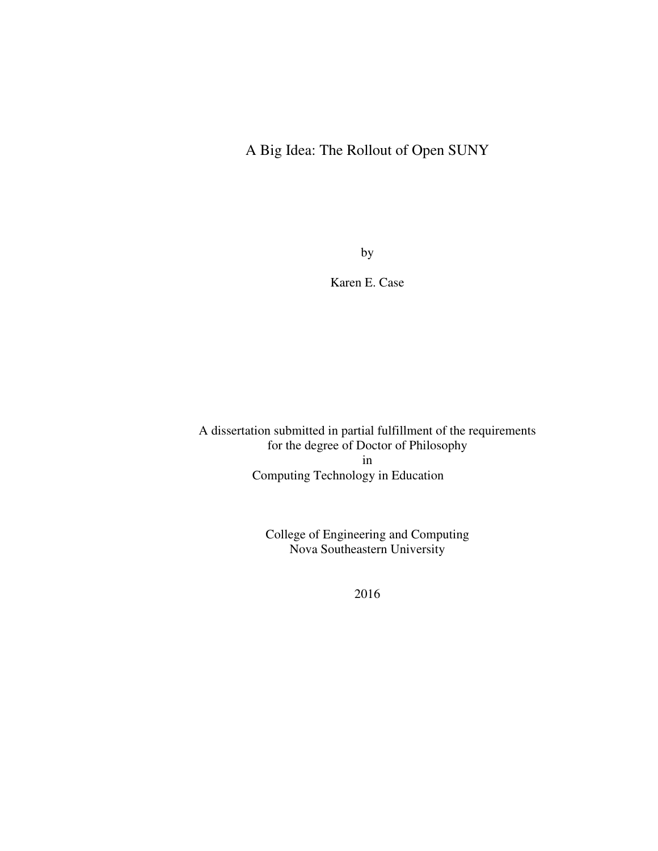# A Big Idea: The Rollout of Open SUNY

by

Karen E. Case

A dissertation submitted in partial fulfillment of the requirements for the degree of Doctor of Philosophy in Computing Technology in Education

> College of Engineering and Computing Nova Southeastern University

> > 2016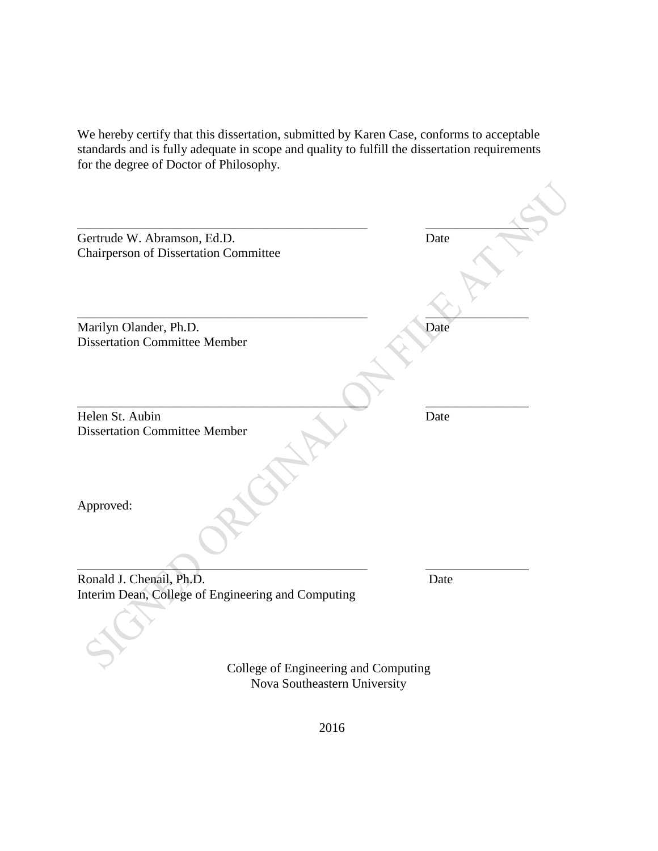We hereby certify that this dissertation, submitted by Karen Case, conforms to acceptable standards and is fully adequate in scope and quality to fulfill the dissertation requirements for the degree of Doctor of Philosophy.

| Gertrude W. Abramson, Ed.D.<br><b>Chairperson of Dissertation Committee</b> | Date |
|-----------------------------------------------------------------------------|------|
|                                                                             |      |
| Marilyn Olander, Ph.D.<br><b>Dissertation Committee Member</b>              | Date |
| Helen St. Aubin<br><b>Dissertation Committee Member</b>                     | Date |
| Approved:                                                                   |      |
| Ronald J. Chenail, Ph.D.                                                    | Date |
| Interim Dean, College of Engineering and Computing                          |      |
| College of Engineering and Computing                                        |      |

Nova Southeastern University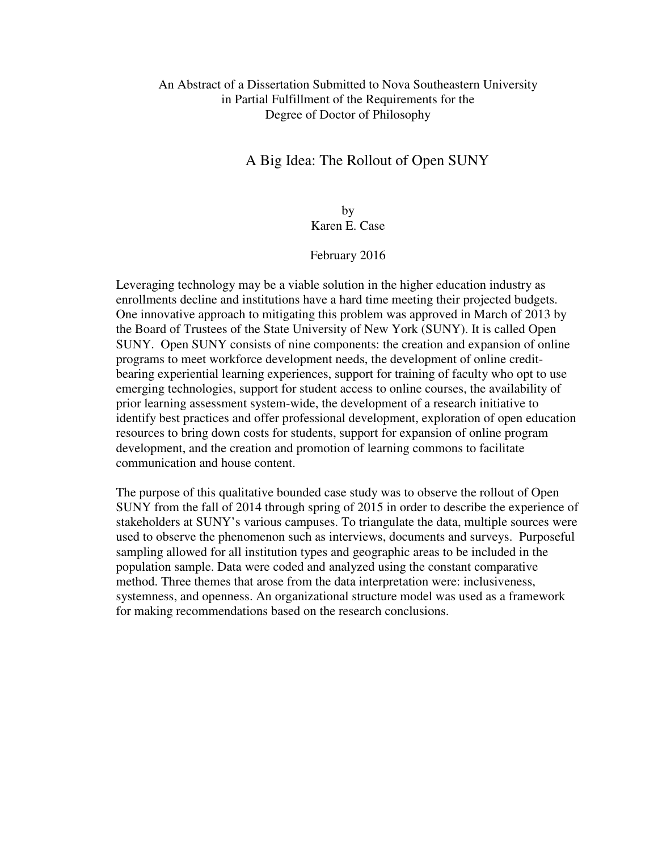#### An Abstract of a Dissertation Submitted to Nova Southeastern University in Partial Fulfillment of the Requirements for the Degree of Doctor of Philosophy

# A Big Idea: The Rollout of Open SUNY

### by Karen E. Case

#### February 2016

Leveraging technology may be a viable solution in the higher education industry as enrollments decline and institutions have a hard time meeting their projected budgets. One innovative approach to mitigating this problem was approved in March of 2013 by the Board of Trustees of the State University of New York (SUNY). It is called Open SUNY. Open SUNY consists of nine components: the creation and expansion of online programs to meet workforce development needs, the development of online creditbearing experiential learning experiences, support for training of faculty who opt to use emerging technologies, support for student access to online courses, the availability of prior learning assessment system-wide, the development of a research initiative to identify best practices and offer professional development, exploration of open education resources to bring down costs for students, support for expansion of online program development, and the creation and promotion of learning commons to facilitate communication and house content.

The purpose of this qualitative bounded case study was to observe the rollout of Open SUNY from the fall of 2014 through spring of 2015 in order to describe the experience of stakeholders at SUNY's various campuses. To triangulate the data, multiple sources were used to observe the phenomenon such as interviews, documents and surveys. Purposeful sampling allowed for all institution types and geographic areas to be included in the population sample. Data were coded and analyzed using the constant comparative method. Three themes that arose from the data interpretation were: inclusiveness, systemness, and openness. An organizational structure model was used as a framework for making recommendations based on the research conclusions.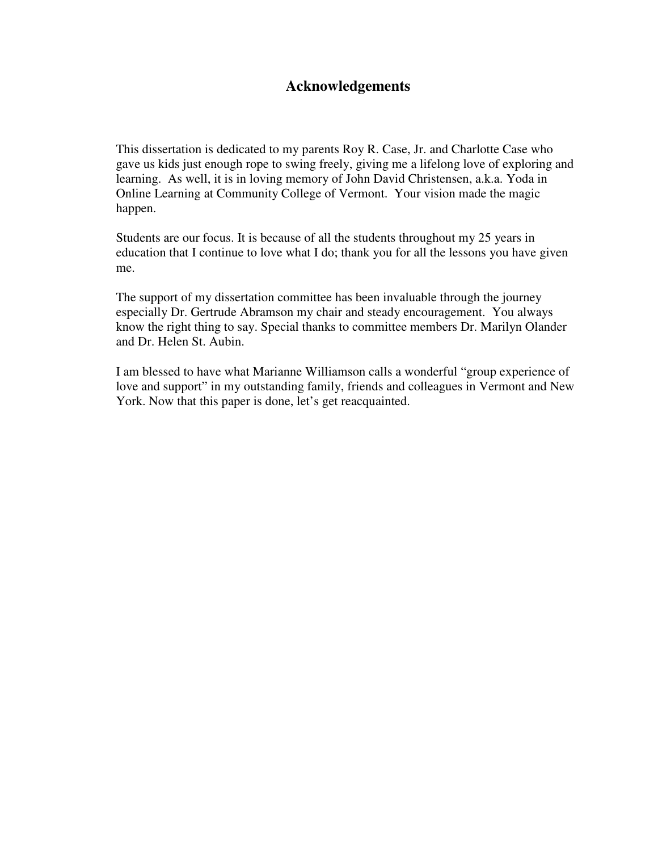# **Acknowledgements**

This dissertation is dedicated to my parents Roy R. Case, Jr. and Charlotte Case who gave us kids just enough rope to swing freely, giving me a lifelong love of exploring and learning. As well, it is in loving memory of John David Christensen, a.k.a. Yoda in Online Learning at Community College of Vermont. Your vision made the magic happen.

Students are our focus. It is because of all the students throughout my 25 years in education that I continue to love what I do; thank you for all the lessons you have given me.

The support of my dissertation committee has been invaluable through the journey especially Dr. Gertrude Abramson my chair and steady encouragement. You always know the right thing to say. Special thanks to committee members Dr. Marilyn Olander and Dr. Helen St. Aubin.

I am blessed to have what Marianne Williamson calls a wonderful "group experience of love and support" in my outstanding family, friends and colleagues in Vermont and New York. Now that this paper is done, let's get reacquainted.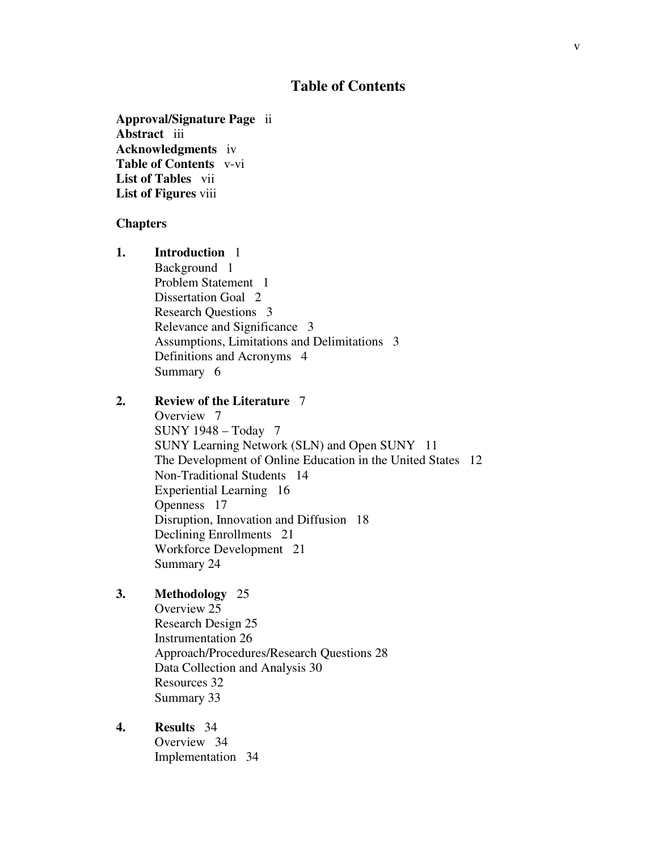## **Table of Contents**

**Approval/Signature Page** ii **Abstract** iii **Acknowledgments** iv **Table of Contents** v-vi **List of Tables** vii **List of Figures** viii

#### **Chapters**

**1. Introduction** 1 Background 1 Problem Statement 1 Dissertation Goal 2 Research Questions 3 Relevance and Significance 3 Assumptions, Limitations and Delimitations 3 Definitions and Acronyms 4 Summary 6

#### **2. Review of the Literature** 7

 Overview 7 SUNY 1948 – Today 7 SUNY Learning Network (SLN) and Open SUNY 11 The Development of Online Education in the United States 12 Non-Traditional Students 14 Experiential Learning 16 Openness 17 Disruption, Innovation and Diffusion 18 Declining Enrollments 21 Workforce Development 21 Summary 24

#### **3. Methodology** 25

Overview 25 Research Design 25 Instrumentation 26 Approach/Procedures/Research Questions 28 Data Collection and Analysis 30 Resources 32 Summary 33

#### **4. Results** 34 Overview 34 Implementation 34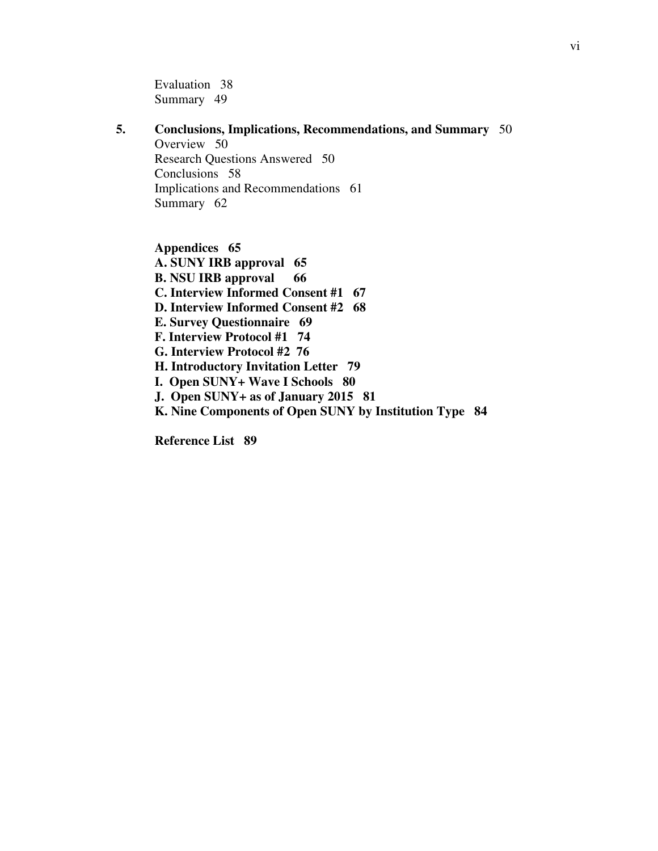Evaluation 38 Summary 49

### **5. Conclusions, Implications, Recommendations, and Summary** 50

Overview 50 Research Questions Answered 50 Conclusions 58 Implications and Recommendations 61 Summary 62

**Appendices 65 A. SUNY IRB approval 65 B. NSU IRB approval 66 C. Interview Informed Consent #1 67 D. Interview Informed Consent #2 68 E. Survey Questionnaire 69 F. Interview Protocol #1 74 G. Interview Protocol #2 76 H. Introductory Invitation Letter 79 I. Open SUNY+ Wave I Schools 80 J. Open SUNY+ as of January 2015 81 K. Nine Components of Open SUNY by Institution Type 84** 

**Reference List 89**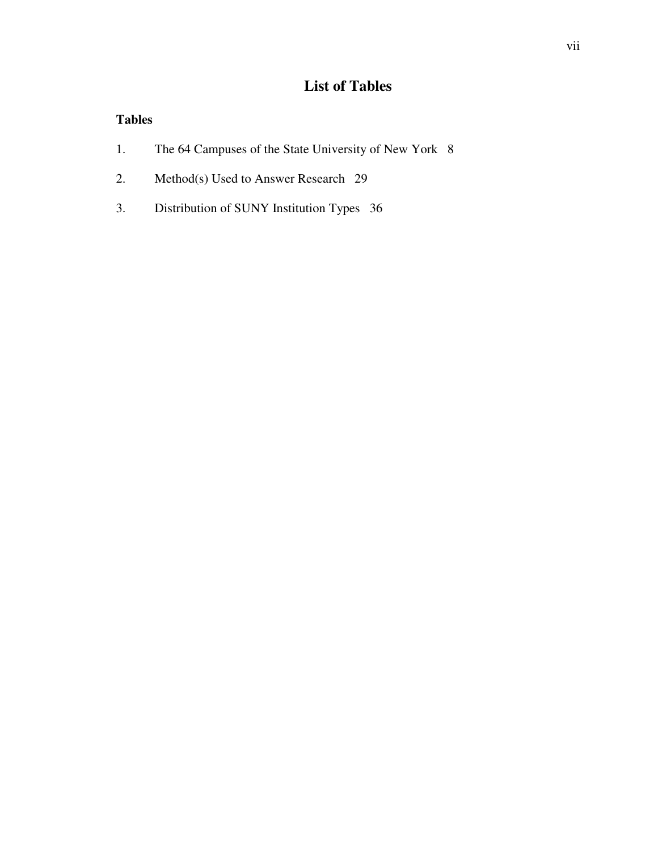# **List of Tables**

# **Tables**

- 1. The 64 Campuses of the State University of New York 8
- 2. Method(s) Used to Answer Research 29
- 3. Distribution of SUNY Institution Types 36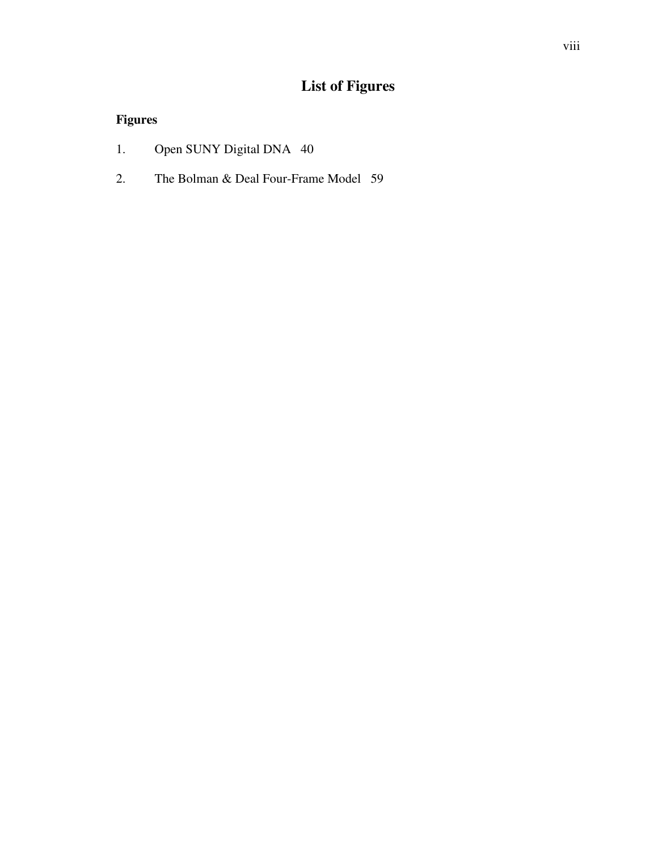# **List of Figures**

# **Figures**

- 1. Open SUNY Digital DNA 40
- 2. The Bolman & Deal Four-Frame Model 59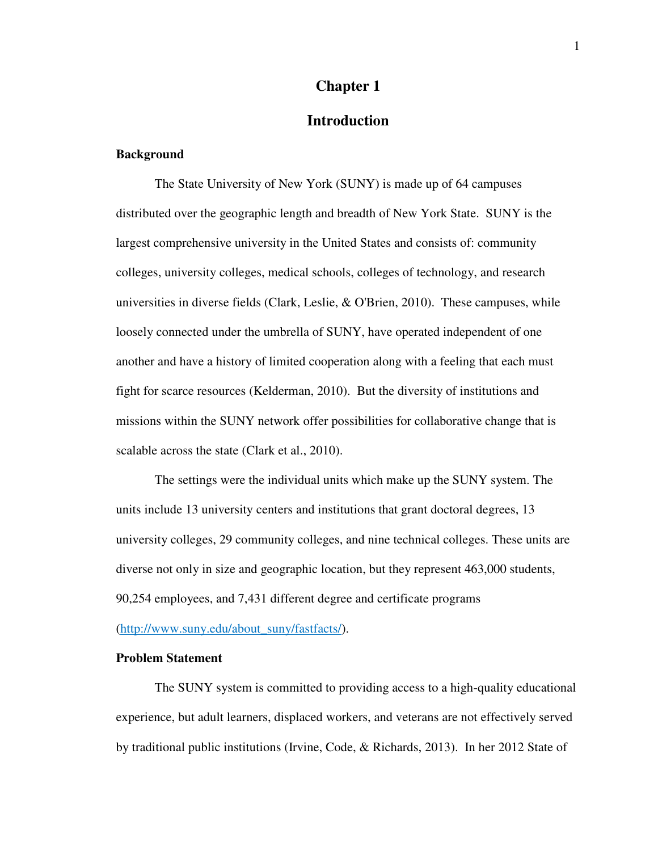#### **Chapter 1**

### **Introduction**

#### **Background**

The State University of New York (SUNY) is made up of 64 campuses distributed over the geographic length and breadth of New York State. SUNY is the largest comprehensive university in the United States and consists of: community colleges, university colleges, medical schools, colleges of technology, and research universities in diverse fields (Clark, Leslie, & O'Brien, 2010). These campuses, while loosely connected under the umbrella of SUNY, have operated independent of one another and have a history of limited cooperation along with a feeling that each must fight for scarce resources (Kelderman, 2010). But the diversity of institutions and missions within the SUNY network offer possibilities for collaborative change that is scalable across the state (Clark et al., 2010).

The settings were the individual units which make up the SUNY system. The units include 13 university centers and institutions that grant doctoral degrees, 13 university colleges, 29 community colleges, and nine technical colleges. These units are diverse not only in size and geographic location, but they represent 463,000 students, 90,254 employees, and 7,431 different degree and certificate programs

#### (http://www.suny.edu/about\_suny/fastfacts/).

#### **Problem Statement**

The SUNY system is committed to providing access to a high-quality educational experience, but adult learners, displaced workers, and veterans are not effectively served by traditional public institutions (Irvine, Code, & Richards, 2013). In her 2012 State of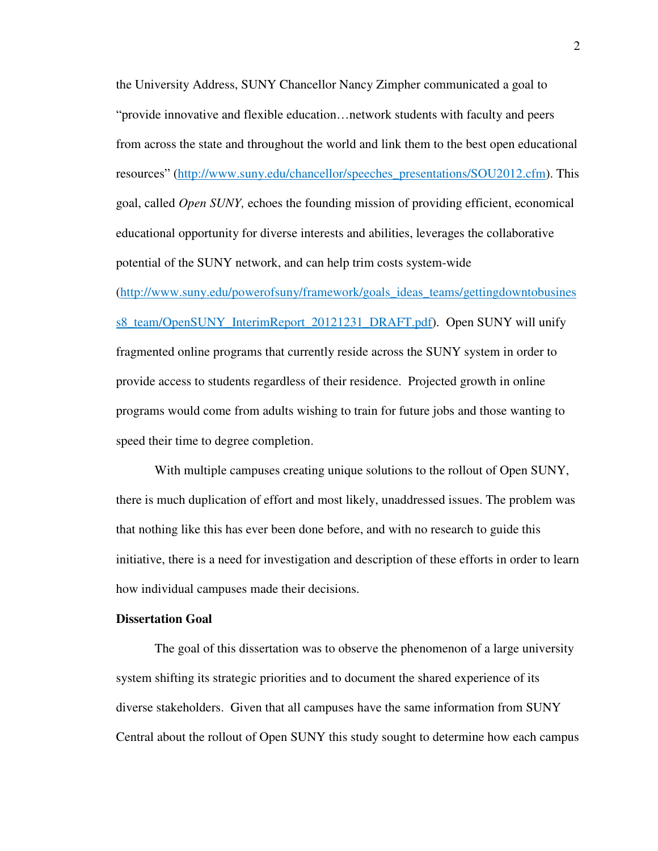the University Address, SUNY Chancellor Nancy Zimpher communicated a goal to "provide innovative and flexible education…network students with faculty and peers from across the state and throughout the world and link them to the best open educational resources" (http://www.suny.edu/chancellor/speeches\_presentations/SOU2012.cfm). This goal, called *Open SUNY,* echoes the founding mission of providing efficient, economical educational opportunity for diverse interests and abilities, leverages the collaborative potential of the SUNY network, and can help trim costs system-wide

(http://www.suny.edu/powerofsuny/framework/goals\_ideas\_teams/gettingdowntobusines s8\_team/OpenSUNY\_InterimReport\_20121231\_DRAFT.pdf). Open SUNY will unify fragmented online programs that currently reside across the SUNY system in order to provide access to students regardless of their residence. Projected growth in online programs would come from adults wishing to train for future jobs and those wanting to speed their time to degree completion.

With multiple campuses creating unique solutions to the rollout of Open SUNY, there is much duplication of effort and most likely, unaddressed issues. The problem was that nothing like this has ever been done before, and with no research to guide this initiative, there is a need for investigation and description of these efforts in order to learn how individual campuses made their decisions.

#### **Dissertation Goal**

The goal of this dissertation was to observe the phenomenon of a large university system shifting its strategic priorities and to document the shared experience of its diverse stakeholders. Given that all campuses have the same information from SUNY Central about the rollout of Open SUNY this study sought to determine how each campus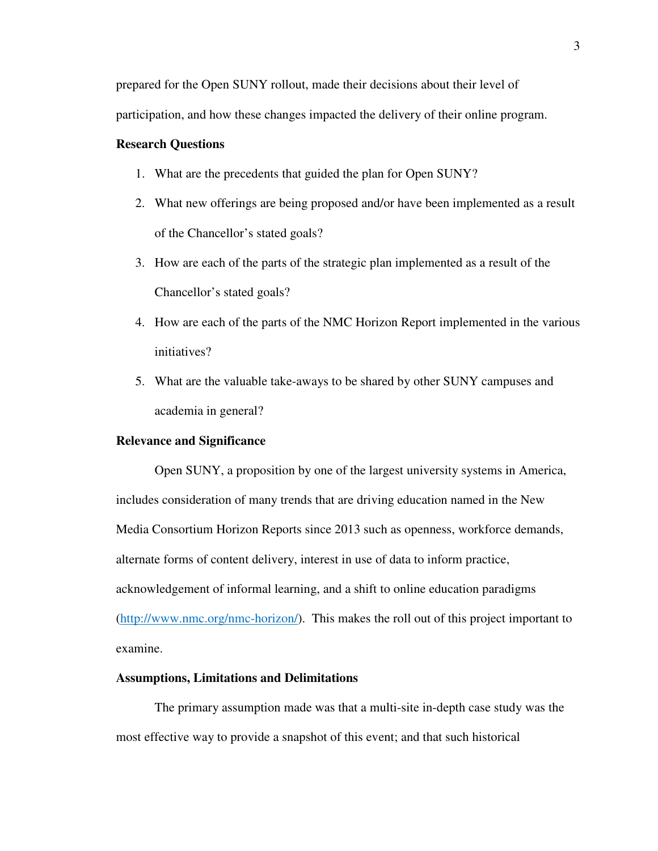prepared for the Open SUNY rollout, made their decisions about their level of

participation, and how these changes impacted the delivery of their online program.

#### **Research Questions**

- 1. What are the precedents that guided the plan for Open SUNY?
- 2. What new offerings are being proposed and/or have been implemented as a result of the Chancellor's stated goals?
- 3. How are each of the parts of the strategic plan implemented as a result of the Chancellor's stated goals?
- 4. How are each of the parts of the NMC Horizon Report implemented in the various initiatives?
- 5. What are the valuable take-aways to be shared by other SUNY campuses and academia in general?

#### **Relevance and Significance**

Open SUNY, a proposition by one of the largest university systems in America, includes consideration of many trends that are driving education named in the New Media Consortium Horizon Reports since 2013 such as openness, workforce demands, alternate forms of content delivery, interest in use of data to inform practice, acknowledgement of informal learning, and a shift to online education paradigms (http://www.nmc.org/nmc-horizon/). This makes the roll out of this project important to examine.

#### **Assumptions, Limitations and Delimitations**

The primary assumption made was that a multi-site in-depth case study was the most effective way to provide a snapshot of this event; and that such historical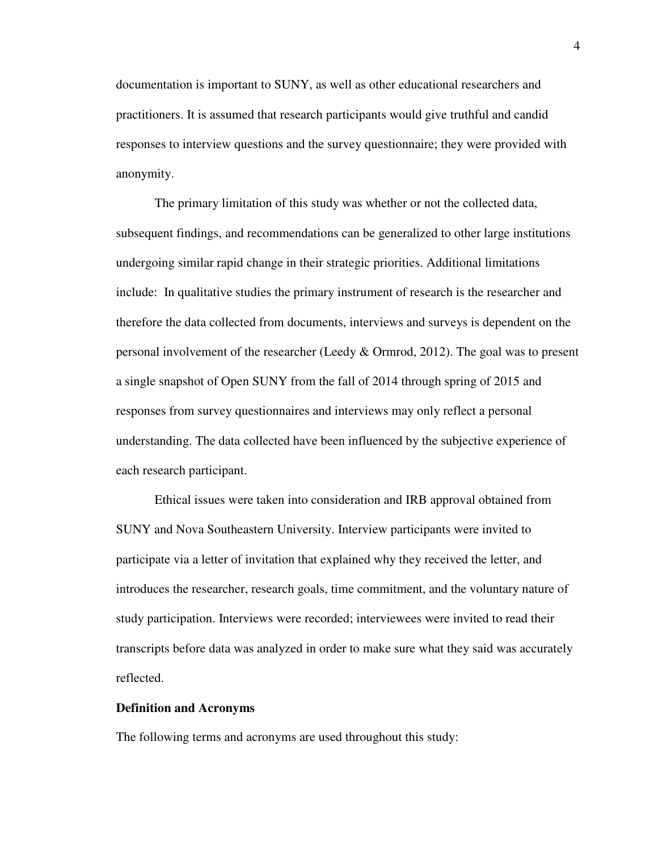documentation is important to SUNY, as well as other educational researchers and practitioners. It is assumed that research participants would give truthful and candid responses to interview questions and the survey questionnaire; they were provided with anonymity.

The primary limitation of this study was whether or not the collected data, subsequent findings, and recommendations can be generalized to other large institutions undergoing similar rapid change in their strategic priorities. Additional limitations include: In qualitative studies the primary instrument of research is the researcher and therefore the data collected from documents, interviews and surveys is dependent on the personal involvement of the researcher (Leedy & Ormrod, 2012). The goal was to present a single snapshot of Open SUNY from the fall of 2014 through spring of 2015 and responses from survey questionnaires and interviews may only reflect a personal understanding. The data collected have been influenced by the subjective experience of each research participant.

Ethical issues were taken into consideration and IRB approval obtained from SUNY and Nova Southeastern University. Interview participants were invited to participate via a letter of invitation that explained why they received the letter, and introduces the researcher, research goals, time commitment, and the voluntary nature of study participation. Interviews were recorded; interviewees were invited to read their transcripts before data was analyzed in order to make sure what they said was accurately reflected.

#### **Definition and Acronyms**

The following terms and acronyms are used throughout this study: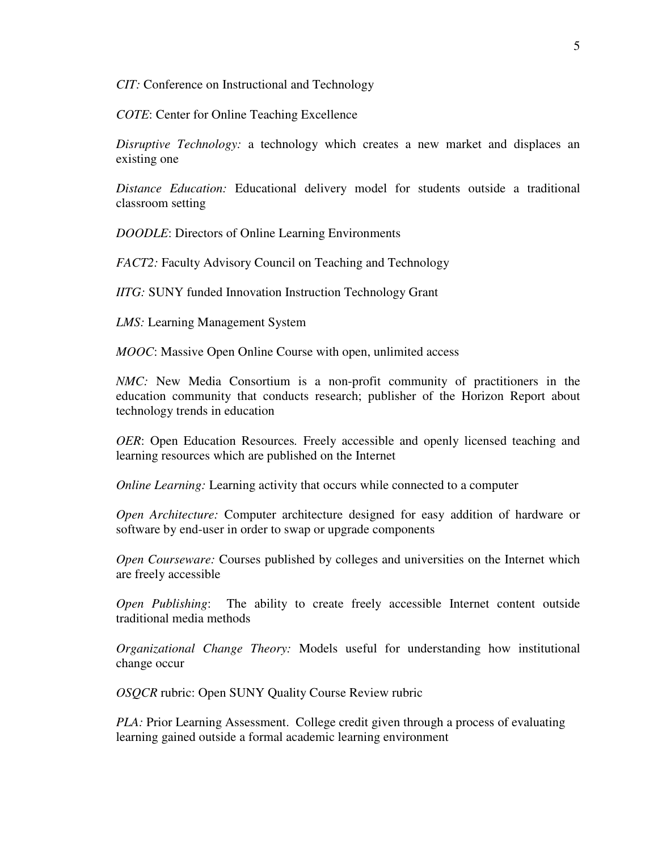*CIT:* Conference on Instructional and Technology

*COTE*: Center for Online Teaching Excellence

*Disruptive Technology:* a technology which creates a new market and displaces an existing one

*Distance Education:* Educational delivery model for students outside a traditional classroom setting

*DOODLE*: Directors of Online Learning Environments

*FACT2:* Faculty Advisory Council on Teaching and Technology

*IITG:* SUNY funded Innovation Instruction Technology Grant

*LMS:* Learning Management System

*MOOC*: Massive Open Online Course with open, unlimited access

*NMC*: New Media Consortium is a non-profit community of practitioners in the education community that conducts research; publisher of the Horizon Report about technology trends in education

*OER*: Open Education Resources*.* Freely accessible and openly licensed teaching and learning resources which are published on the Internet

*Online Learning: Learning activity that occurs while connected to a computer* 

*Open Architecture:* Computer architecture designed for easy addition of hardware or software by end-user in order to swap or upgrade components

*Open Courseware:* Courses published by colleges and universities on the Internet which are freely accessible

*Open Publishing*: The ability to create freely accessible Internet content outside traditional media methods

*Organizational Change Theory:* Models useful for understanding how institutional change occur

*OSQCR* rubric: Open SUNY Quality Course Review rubric

*PLA*: Prior Learning Assessment. College credit given through a process of evaluating learning gained outside a formal academic learning environment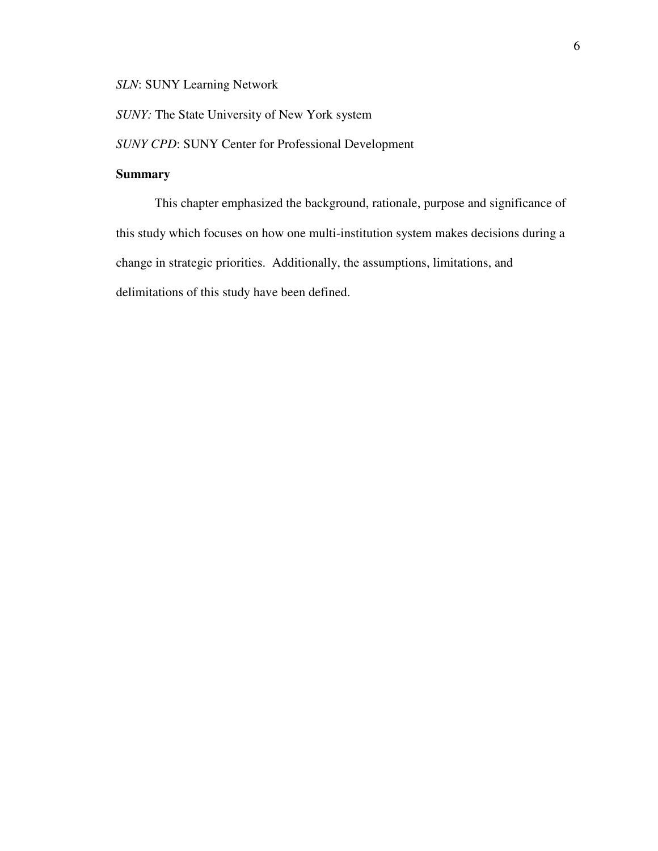*SLN*: SUNY Learning Network

*SUNY:* The State University of New York system

*SUNY CPD*: SUNY Center for Professional Development

### **Summary**

This chapter emphasized the background, rationale, purpose and significance of this study which focuses on how one multi-institution system makes decisions during a change in strategic priorities. Additionally, the assumptions, limitations, and delimitations of this study have been defined.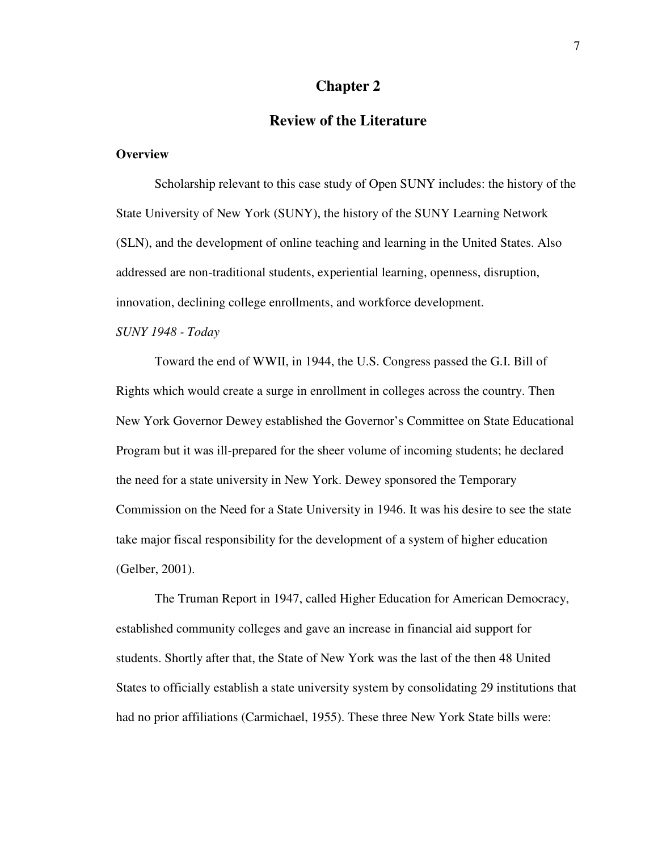#### **Chapter 2**

## **Review of the Literature**

#### **Overview**

Scholarship relevant to this case study of Open SUNY includes: the history of the State University of New York (SUNY), the history of the SUNY Learning Network (SLN), and the development of online teaching and learning in the United States. Also addressed are non-traditional students, experiential learning, openness, disruption, innovation, declining college enrollments, and workforce development.

#### *SUNY 1948 - Today*

Toward the end of WWII, in 1944, the U.S. Congress passed the G.I. Bill of Rights which would create a surge in enrollment in colleges across the country. Then New York Governor Dewey established the Governor's Committee on State Educational Program but it was ill-prepared for the sheer volume of incoming students; he declared the need for a state university in New York. Dewey sponsored the Temporary Commission on the Need for a State University in 1946. It was his desire to see the state take major fiscal responsibility for the development of a system of higher education (Gelber, 2001).

The Truman Report in 1947, called Higher Education for American Democracy, established community colleges and gave an increase in financial aid support for students. Shortly after that, the State of New York was the last of the then 48 United States to officially establish a state university system by consolidating 29 institutions that had no prior affiliations (Carmichael, 1955). These three New York State bills were: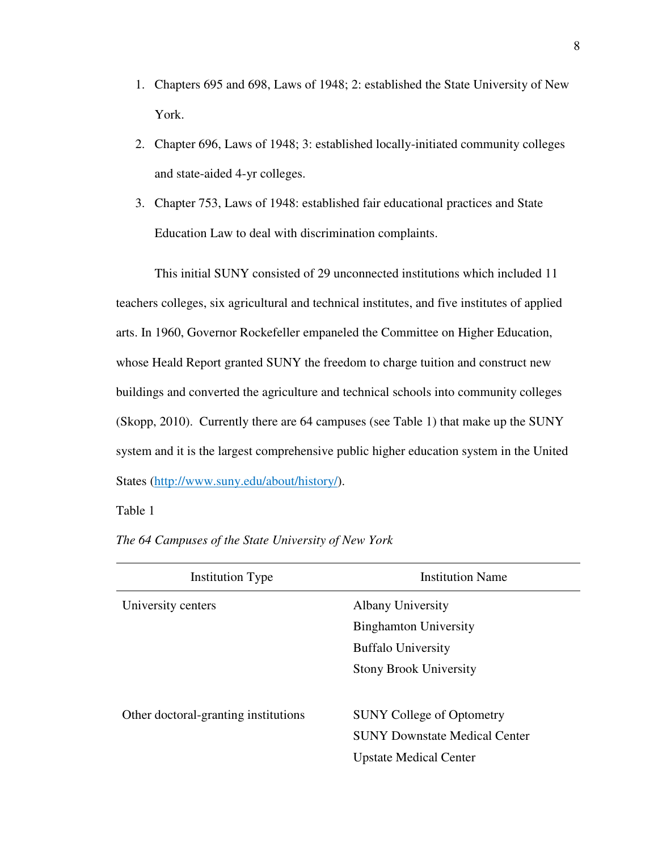- 1. Chapters 695 and 698, Laws of 1948; 2: established the State University of New York.
- 2. Chapter 696, Laws of 1948; 3: established locally-initiated community colleges and state-aided 4-yr colleges.
- 3. Chapter 753, Laws of 1948: established fair educational practices and State Education Law to deal with discrimination complaints.

This initial SUNY consisted of 29 unconnected institutions which included 11 teachers colleges, six agricultural and technical institutes, and five institutes of applied arts. In 1960, Governor Rockefeller empaneled the Committee on Higher Education, whose Heald Report granted SUNY the freedom to charge tuition and construct new buildings and converted the agriculture and technical schools into community colleges (Skopp, 2010). Currently there are 64 campuses (see Table 1) that make up the SUNY system and it is the largest comprehensive public higher education system in the United States (http://www.suny.edu/about/history/).

Table 1

| <b>Institution Type</b>              | <b>Institution Name</b>              |
|--------------------------------------|--------------------------------------|
| University centers                   | <b>Albany University</b>             |
|                                      | <b>Binghamton University</b>         |
|                                      | <b>Buffalo University</b>            |
|                                      | <b>Stony Brook University</b>        |
|                                      |                                      |
| Other doctoral-granting institutions | <b>SUNY College of Optometry</b>     |
|                                      | <b>SUNY Downstate Medical Center</b> |
|                                      | <b>Upstate Medical Center</b>        |
|                                      |                                      |

*The 64 Campuses of the State University of New York*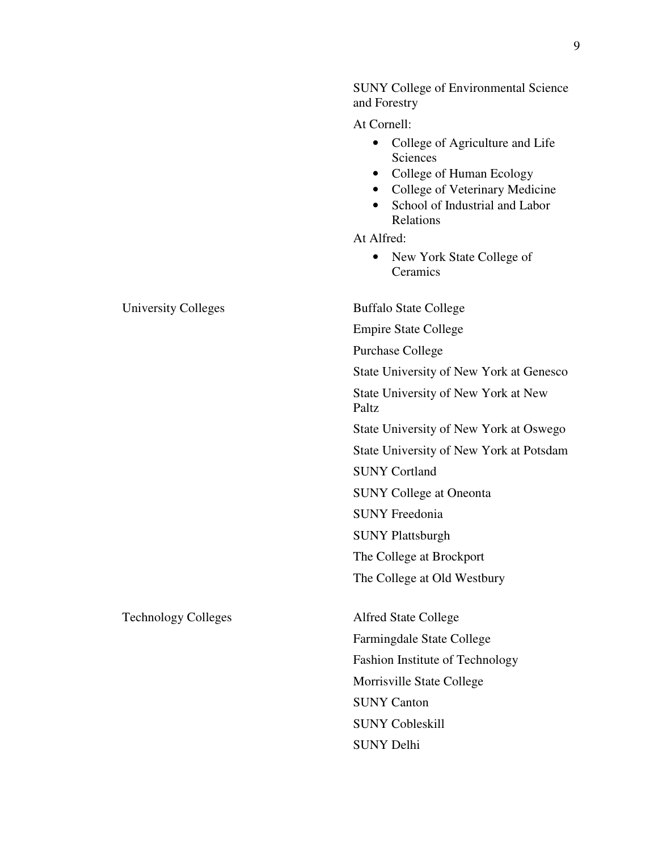|     | <b>SUNY College of Environmental Science</b><br>and Forestry                                                                                                                                                                  |
|-----|-------------------------------------------------------------------------------------------------------------------------------------------------------------------------------------------------------------------------------|
|     | At Cornell:                                                                                                                                                                                                                   |
|     | College of Agriculture and Life<br>Sciences<br>College of Human Ecology<br>$\bullet$<br>College of Veterinary Medicine<br>$\bullet$<br>School of Industrial and Labor<br>Relations<br>At Alfred:<br>New York State College of |
|     | Ceramics                                                                                                                                                                                                                      |
| ۰s  | <b>Buffalo State College</b>                                                                                                                                                                                                  |
|     | <b>Empire State College</b>                                                                                                                                                                                                   |
|     | <b>Purchase College</b>                                                                                                                                                                                                       |
|     | State University of New York at Genesco                                                                                                                                                                                       |
|     | State University of New York at New<br>Paltz                                                                                                                                                                                  |
|     | State University of New York at Oswego                                                                                                                                                                                        |
|     | State University of New York at Potsdam                                                                                                                                                                                       |
|     | <b>SUNY Cortland</b>                                                                                                                                                                                                          |
|     | <b>SUNY College at Oneonta</b>                                                                                                                                                                                                |
|     | <b>SUNY Freedonia</b>                                                                                                                                                                                                         |
|     | <b>SUNY Plattsburgh</b>                                                                                                                                                                                                       |
|     | The College at Brockport                                                                                                                                                                                                      |
|     | The College at Old Westbury                                                                                                                                                                                                   |
| res | <b>Alfred State College</b>                                                                                                                                                                                                   |
|     | Farmingdale State College                                                                                                                                                                                                     |
|     | Fashion Institute of Technology                                                                                                                                                                                               |
|     | Morrisville State College                                                                                                                                                                                                     |
|     | <b>SUNY Canton</b>                                                                                                                                                                                                            |
|     | <b>SUNY Cobleskill</b>                                                                                                                                                                                                        |
|     | <b>SUNY Delhi</b>                                                                                                                                                                                                             |

University College

Technology Colleges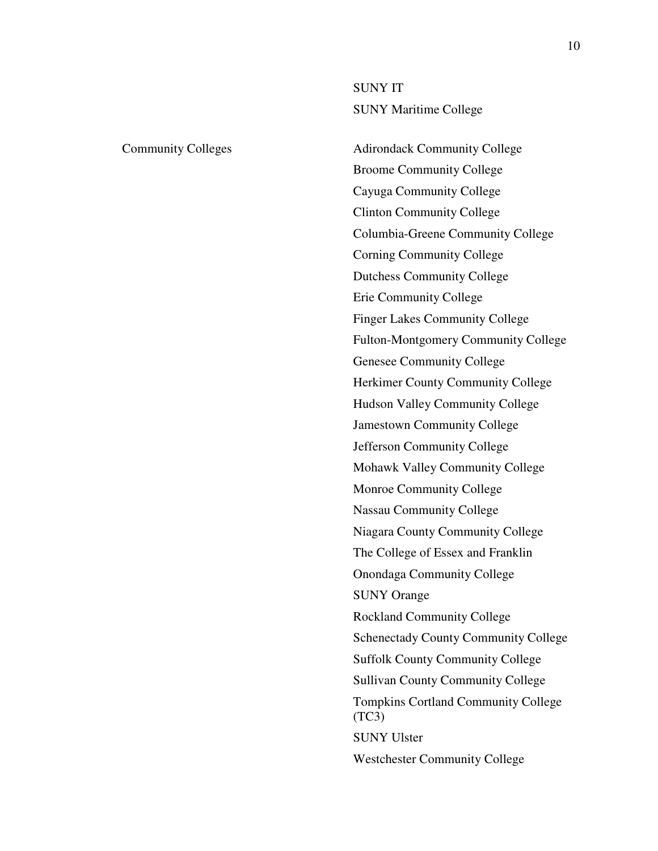SUNY IT SUNY Maritime College

Community Colleges Adirondack Community College Broome Community College Cayuga Community College Clinton Community College Columbia-Greene Community College Corning Community College Dutchess Community College Erie Community College Finger Lakes Community College Fulton-Montgomery Community College Genesee Community College Herkimer County Community College Hudson Valley Community College Jamestown Community College Jefferson Community College Mohawk Valley Community College Monroe Community College Nassau Community College Niagara County Community College The College of Essex and Franklin Onondaga Community College SUNY Orange Rockland Community College Schenectady County Community College Suffolk County Community College Sullivan County Community College Tompkins Cortland Community College  $(TC3)$ SUNY Ulster Westchester Community College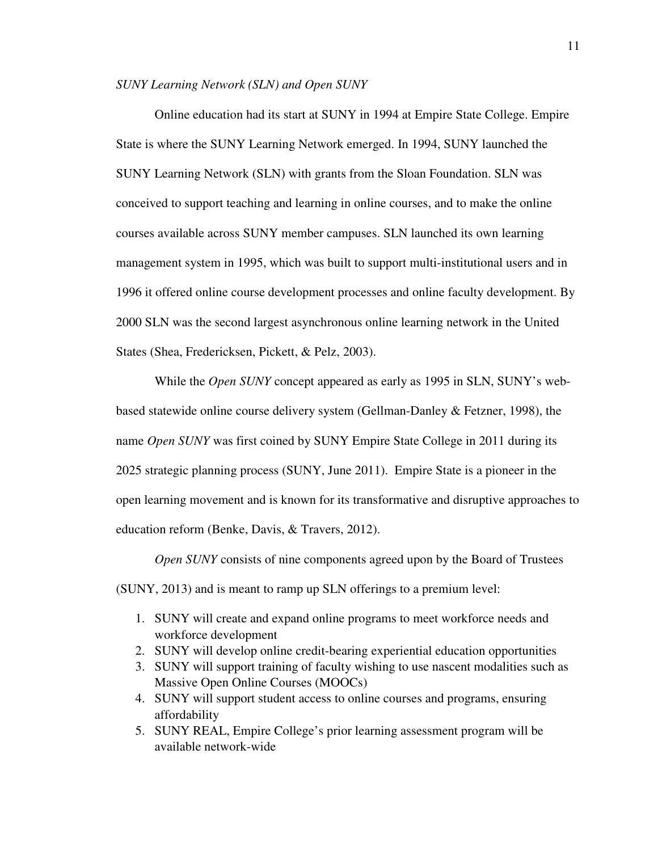#### *SUNY Learning Network (SLN) and Open SUNY*

Online education had its start at SUNY in 1994 at Empire State College. Empire State is where the SUNY Learning Network emerged. In 1994, SUNY launched the SUNY Learning Network (SLN) with grants from the Sloan Foundation. SLN was conceived to support teaching and learning in online courses, and to make the online courses available across SUNY member campuses. SLN launched its own learning management system in 1995, which was built to support multi-institutional users and in 1996 it offered online course development processes and online faculty development. By 2000 SLN was the second largest asynchronous online learning network in the United States (Shea, Fredericksen, Pickett, & Pelz, 2003).

While the *Open SUNY* concept appeared as early as 1995 in SLN, SUNY's webbased statewide online course delivery system (Gellman-Danley & Fetzner, 1998), the name *Open SUNY* was first coined by SUNY Empire State College in 2011 during its 2025 strategic planning process (SUNY, June 2011). Empire State is a pioneer in the open learning movement and is known for its transformative and disruptive approaches to education reform (Benke, Davis, & Travers, 2012).

*Open SUNY* consists of nine components agreed upon by the Board of Trustees (SUNY, 2013) and is meant to ramp up SLN offerings to a premium level:

- 1. SUNY will create and expand online programs to meet workforce needs and workforce development
- 2. SUNY will develop online credit-bearing experiential education opportunities
- 3. SUNY will support training of faculty wishing to use nascent modalities such as Massive Open Online Courses (MOOCs)
- 4. SUNY will support student access to online courses and programs, ensuring affordability
- 5. SUNY REAL, Empire College's prior learning assessment program will be available network-wide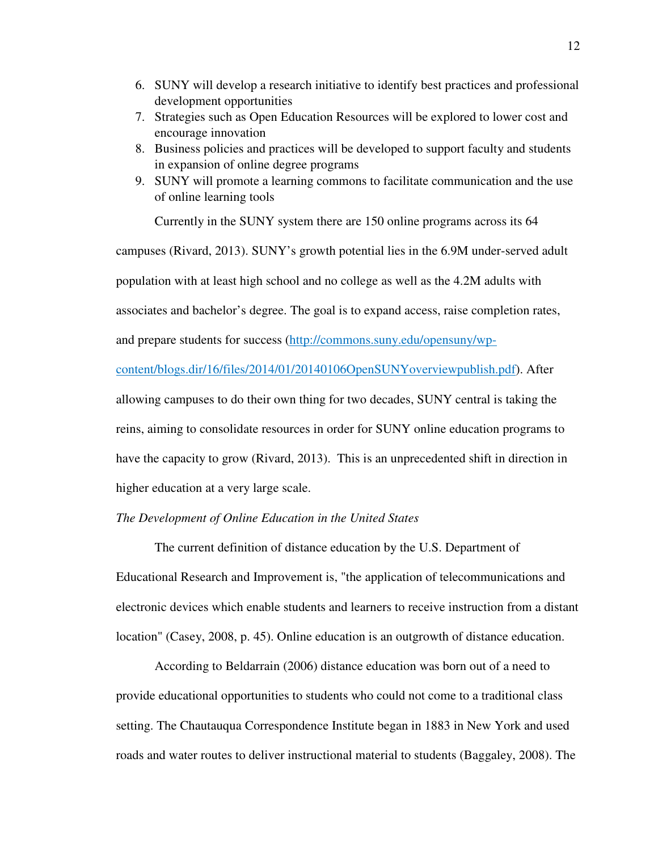- 6. SUNY will develop a research initiative to identify best practices and professional development opportunities
- 7. Strategies such as Open Education Resources will be explored to lower cost and encourage innovation
- 8. Business policies and practices will be developed to support faculty and students in expansion of online degree programs
- 9. SUNY will promote a learning commons to facilitate communication and the use of online learning tools

Currently in the SUNY system there are 150 online programs across its 64

campuses (Rivard, 2013). SUNY's growth potential lies in the 6.9M under-served adult

population with at least high school and no college as well as the 4.2M adults with

associates and bachelor's degree. The goal is to expand access, raise completion rates,

and prepare students for success (http://commons.suny.edu/opensuny/wp-

content/blogs.dir/16/files/2014/01/20140106OpenSUNYoverviewpublish.pdf). After allowing campuses to do their own thing for two decades, SUNY central is taking the reins, aiming to consolidate resources in order for SUNY online education programs to have the capacity to grow (Rivard, 2013). This is an unprecedented shift in direction in higher education at a very large scale.

#### *The Development of Online Education in the United States*

The current definition of distance education by the U.S. Department of Educational Research and Improvement is, "the application of telecommunications and electronic devices which enable students and learners to receive instruction from a distant location" (Casey, 2008, p. 45). Online education is an outgrowth of distance education.

According to Beldarrain (2006) distance education was born out of a need to provide educational opportunities to students who could not come to a traditional class setting. The Chautauqua Correspondence Institute began in 1883 in New York and used roads and water routes to deliver instructional material to students (Baggaley, 2008). The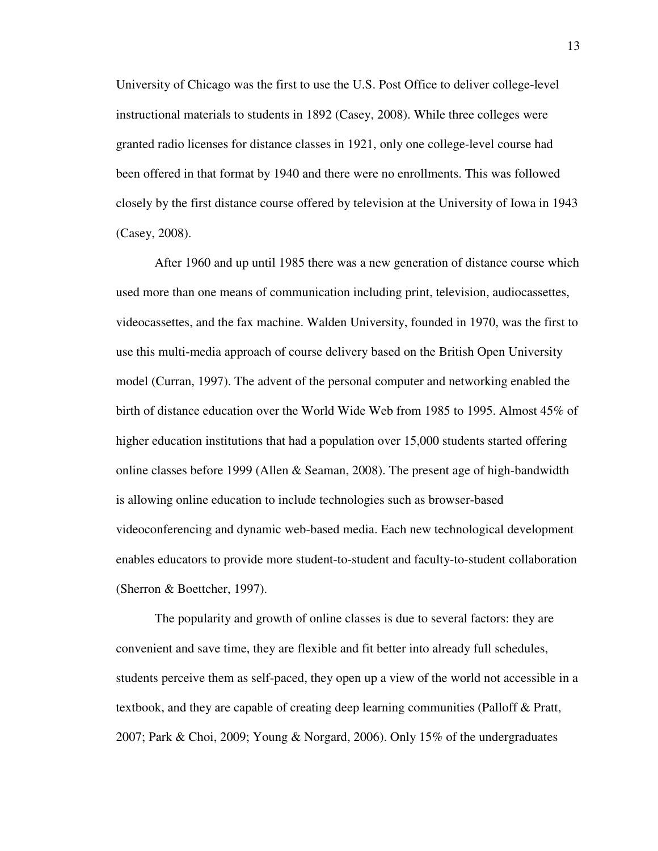University of Chicago was the first to use the U.S. Post Office to deliver college-level instructional materials to students in 1892 (Casey, 2008). While three colleges were granted radio licenses for distance classes in 1921, only one college-level course had been offered in that format by 1940 and there were no enrollments. This was followed closely by the first distance course offered by television at the University of Iowa in 1943 (Casey, 2008).

After 1960 and up until 1985 there was a new generation of distance course which used more than one means of communication including print, television, audiocassettes, videocassettes, and the fax machine. Walden University, founded in 1970, was the first to use this multi-media approach of course delivery based on the British Open University model (Curran, 1997). The advent of the personal computer and networking enabled the birth of distance education over the World Wide Web from 1985 to 1995. Almost 45% of higher education institutions that had a population over 15,000 students started offering online classes before 1999 (Allen & Seaman, 2008). The present age of high-bandwidth is allowing online education to include technologies such as browser-based videoconferencing and dynamic web-based media. Each new technological development enables educators to provide more student-to-student and faculty-to-student collaboration (Sherron & Boettcher, 1997).

The popularity and growth of online classes is due to several factors: they are convenient and save time, they are flexible and fit better into already full schedules, students perceive them as self-paced, they open up a view of the world not accessible in a textbook, and they are capable of creating deep learning communities (Palloff & Pratt, 2007; Park & Choi, 2009; Young & Norgard, 2006). Only 15% of the undergraduates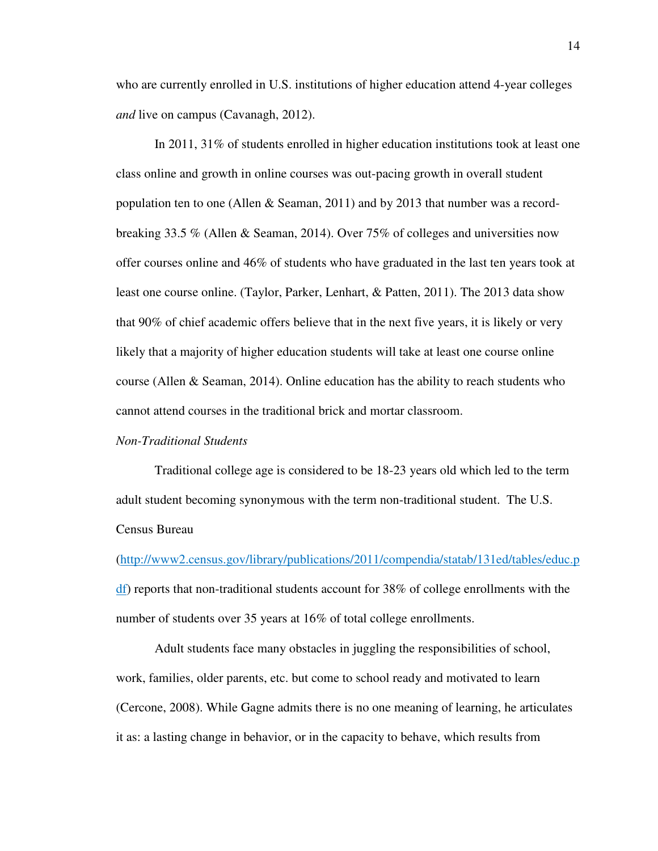who are currently enrolled in U.S. institutions of higher education attend 4-year colleges *and* live on campus (Cavanagh, 2012).

In 2011, 31% of students enrolled in higher education institutions took at least one class online and growth in online courses was out-pacing growth in overall student population ten to one (Allen & Seaman, 2011) and by 2013 that number was a recordbreaking 33.5 % (Allen & Seaman, 2014). Over 75% of colleges and universities now offer courses online and 46% of students who have graduated in the last ten years took at least one course online. (Taylor, Parker, Lenhart, & Patten, 2011). The 2013 data show that 90% of chief academic offers believe that in the next five years, it is likely or very likely that a majority of higher education students will take at least one course online course (Allen & Seaman, 2014). Online education has the ability to reach students who cannot attend courses in the traditional brick and mortar classroom.

#### *Non-Traditional Students*

Traditional college age is considered to be 18-23 years old which led to the term adult student becoming synonymous with the term non-traditional student. The U.S. Census Bureau

(http://www2.census.gov/library/publications/2011/compendia/statab/131ed/tables/educ.p df) reports that non-traditional students account for 38% of college enrollments with the number of students over 35 years at 16% of total college enrollments.

Adult students face many obstacles in juggling the responsibilities of school, work, families, older parents, etc. but come to school ready and motivated to learn (Cercone, 2008). While Gagne admits there is no one meaning of learning, he articulates it as: a lasting change in behavior, or in the capacity to behave, which results from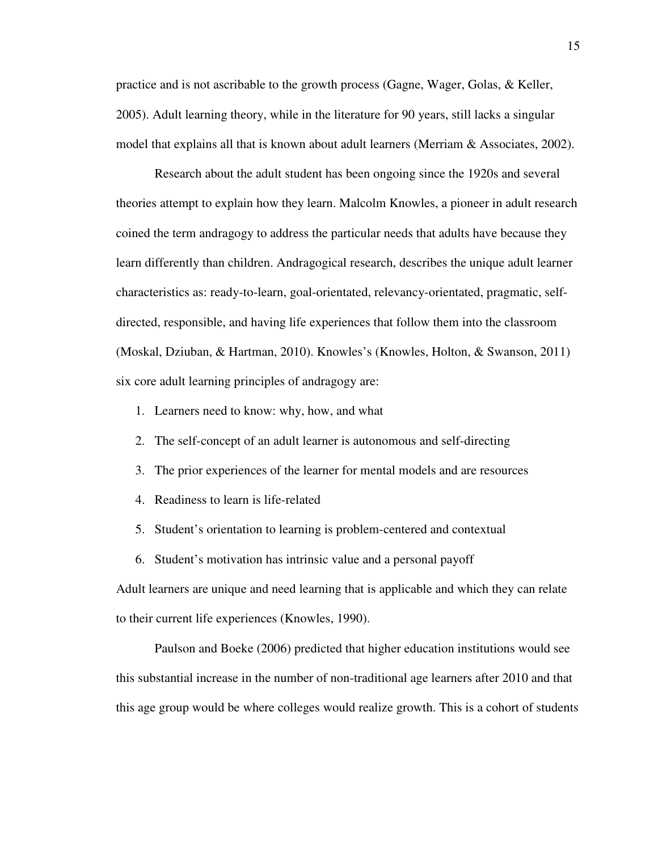practice and is not ascribable to the growth process (Gagne, Wager, Golas, & Keller, 2005). Adult learning theory, while in the literature for 90 years, still lacks a singular model that explains all that is known about adult learners (Merriam & Associates, 2002).

Research about the adult student has been ongoing since the 1920s and several theories attempt to explain how they learn. Malcolm Knowles, a pioneer in adult research coined the term andragogy to address the particular needs that adults have because they learn differently than children. Andragogical research, describes the unique adult learner characteristics as: ready-to-learn, goal-orientated, relevancy-orientated, pragmatic, selfdirected, responsible, and having life experiences that follow them into the classroom (Moskal, Dziuban, & Hartman, 2010). Knowles's (Knowles, Holton, & Swanson, 2011) six core adult learning principles of andragogy are:

- 1. Learners need to know: why, how, and what
- 2. The self-concept of an adult learner is autonomous and self-directing
- 3. The prior experiences of the learner for mental models and are resources
- 4. Readiness to learn is life-related
- 5. Student's orientation to learning is problem-centered and contextual
- 6. Student's motivation has intrinsic value and a personal payoff

Adult learners are unique and need learning that is applicable and which they can relate to their current life experiences (Knowles, 1990).

Paulson and Boeke (2006) predicted that higher education institutions would see this substantial increase in the number of non-traditional age learners after 2010 and that this age group would be where colleges would realize growth. This is a cohort of students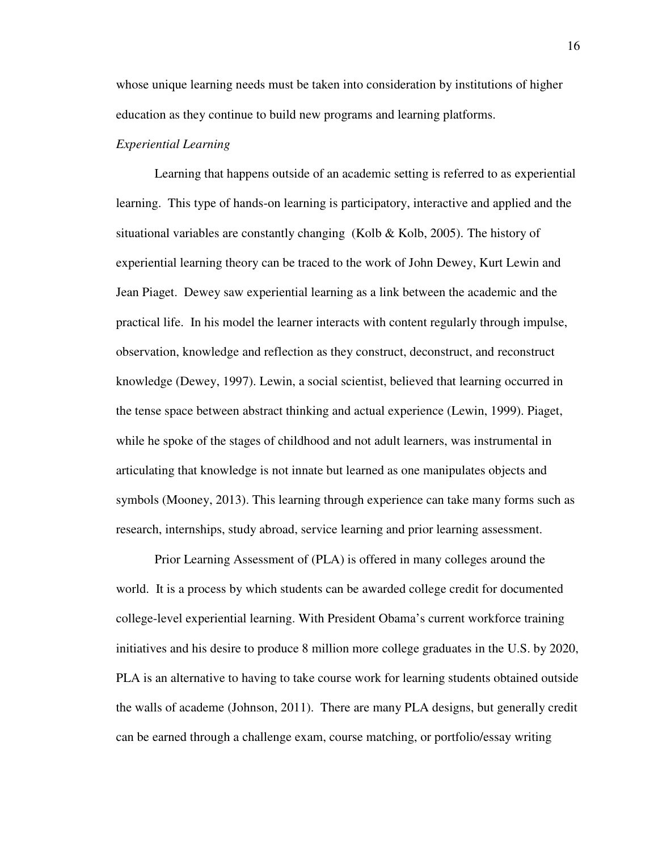whose unique learning needs must be taken into consideration by institutions of higher education as they continue to build new programs and learning platforms.

#### *Experiential Learning*

Learning that happens outside of an academic setting is referred to as experiential learning. This type of hands-on learning is participatory, interactive and applied and the situational variables are constantly changing (Kolb  $\&$  Kolb, 2005). The history of experiential learning theory can be traced to the work of John Dewey, Kurt Lewin and Jean Piaget. Dewey saw experiential learning as a link between the academic and the practical life. In his model the learner interacts with content regularly through impulse, observation, knowledge and reflection as they construct, deconstruct, and reconstruct knowledge (Dewey, 1997). Lewin, a social scientist, believed that learning occurred in the tense space between abstract thinking and actual experience (Lewin, 1999). Piaget, while he spoke of the stages of childhood and not adult learners, was instrumental in articulating that knowledge is not innate but learned as one manipulates objects and symbols (Mooney, 2013). This learning through experience can take many forms such as research, internships, study abroad, service learning and prior learning assessment.

Prior Learning Assessment of (PLA) is offered in many colleges around the world. It is a process by which students can be awarded college credit for documented college-level experiential learning. With President Obama's current workforce training initiatives and his desire to produce 8 million more college graduates in the U.S. by 2020, PLA is an alternative to having to take course work for learning students obtained outside the walls of academe (Johnson, 2011). There are many PLA designs, but generally credit can be earned through a challenge exam, course matching, or portfolio/essay writing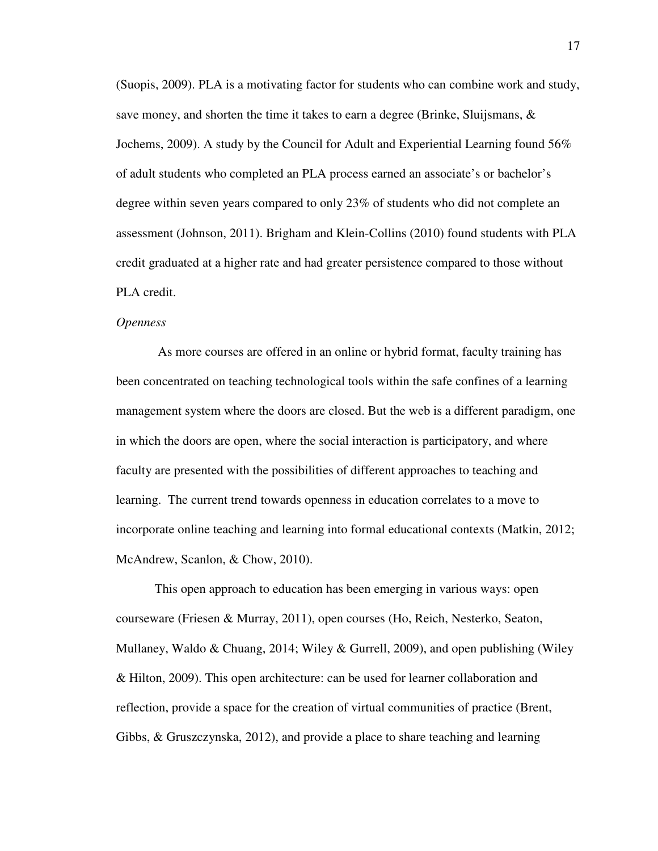(Suopis, 2009). PLA is a motivating factor for students who can combine work and study, save money, and shorten the time it takes to earn a degree (Brinke, Sluijsmans, & Jochems, 2009). A study by the Council for Adult and Experiential Learning found 56% of adult students who completed an PLA process earned an associate's or bachelor's degree within seven years compared to only 23% of students who did not complete an assessment (Johnson, 2011). Brigham and Klein-Collins (2010) found students with PLA credit graduated at a higher rate and had greater persistence compared to those without PLA credit.

#### *Openness*

 As more courses are offered in an online or hybrid format, faculty training has been concentrated on teaching technological tools within the safe confines of a learning management system where the doors are closed. But the web is a different paradigm, one in which the doors are open, where the social interaction is participatory, and where faculty are presented with the possibilities of different approaches to teaching and learning. The current trend towards openness in education correlates to a move to incorporate online teaching and learning into formal educational contexts (Matkin, 2012; McAndrew, Scanlon, & Chow, 2010).

This open approach to education has been emerging in various ways: open courseware (Friesen & Murray, 2011), open courses (Ho, Reich, Nesterko, Seaton, Mullaney, Waldo & Chuang, 2014; Wiley & Gurrell, 2009), and open publishing (Wiley & Hilton, 2009). This open architecture: can be used for learner collaboration and reflection, provide a space for the creation of virtual communities of practice (Brent, Gibbs, & Gruszczynska, 2012), and provide a place to share teaching and learning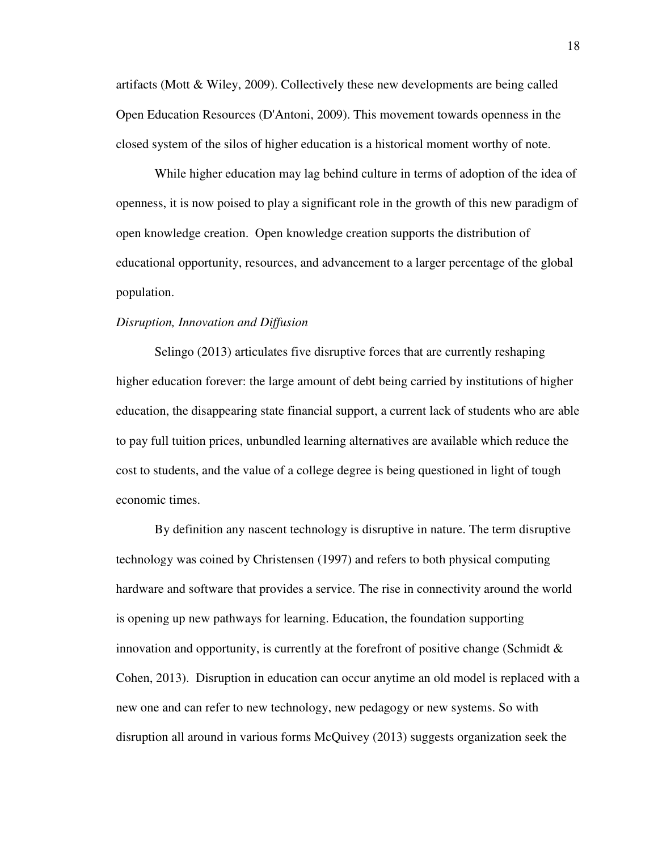artifacts (Mott & Wiley, 2009). Collectively these new developments are being called Open Education Resources (D'Antoni, 2009). This movement towards openness in the closed system of the silos of higher education is a historical moment worthy of note.

While higher education may lag behind culture in terms of adoption of the idea of openness, it is now poised to play a significant role in the growth of this new paradigm of open knowledge creation. Open knowledge creation supports the distribution of educational opportunity, resources, and advancement to a larger percentage of the global population.

#### *Disruption, Innovation and Diffusion*

Selingo (2013) articulates five disruptive forces that are currently reshaping higher education forever: the large amount of debt being carried by institutions of higher education, the disappearing state financial support, a current lack of students who are able to pay full tuition prices, unbundled learning alternatives are available which reduce the cost to students, and the value of a college degree is being questioned in light of tough economic times.

By definition any nascent technology is disruptive in nature. The term disruptive technology was coined by Christensen (1997) and refers to both physical computing hardware and software that provides a service. The rise in connectivity around the world is opening up new pathways for learning. Education, the foundation supporting innovation and opportunity, is currently at the forefront of positive change (Schmidt  $\&$ Cohen, 2013). Disruption in education can occur anytime an old model is replaced with a new one and can refer to new technology, new pedagogy or new systems. So with disruption all around in various forms McQuivey (2013) suggests organization seek the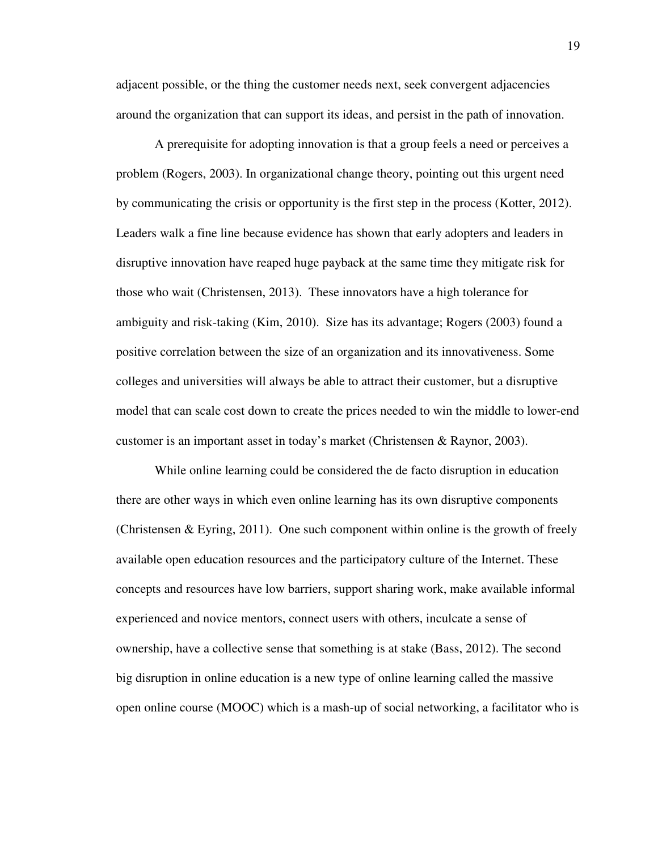adjacent possible, or the thing the customer needs next, seek convergent adjacencies around the organization that can support its ideas, and persist in the path of innovation.

A prerequisite for adopting innovation is that a group feels a need or perceives a problem (Rogers, 2003). In organizational change theory, pointing out this urgent need by communicating the crisis or opportunity is the first step in the process (Kotter, 2012). Leaders walk a fine line because evidence has shown that early adopters and leaders in disruptive innovation have reaped huge payback at the same time they mitigate risk for those who wait (Christensen, 2013). These innovators have a high tolerance for ambiguity and risk-taking (Kim, 2010). Size has its advantage; Rogers (2003) found a positive correlation between the size of an organization and its innovativeness. Some colleges and universities will always be able to attract their customer, but a disruptive model that can scale cost down to create the prices needed to win the middle to lower-end customer is an important asset in today's market (Christensen & Raynor, 2003).

While online learning could be considered the de facto disruption in education there are other ways in which even online learning has its own disruptive components (Christensen  $\&$  Eyring, 2011). One such component within online is the growth of freely available open education resources and the participatory culture of the Internet. These concepts and resources have low barriers, support sharing work, make available informal experienced and novice mentors, connect users with others, inculcate a sense of ownership, have a collective sense that something is at stake (Bass, 2012). The second big disruption in online education is a new type of online learning called the massive open online course (MOOC) which is a mash-up of social networking, a facilitator who is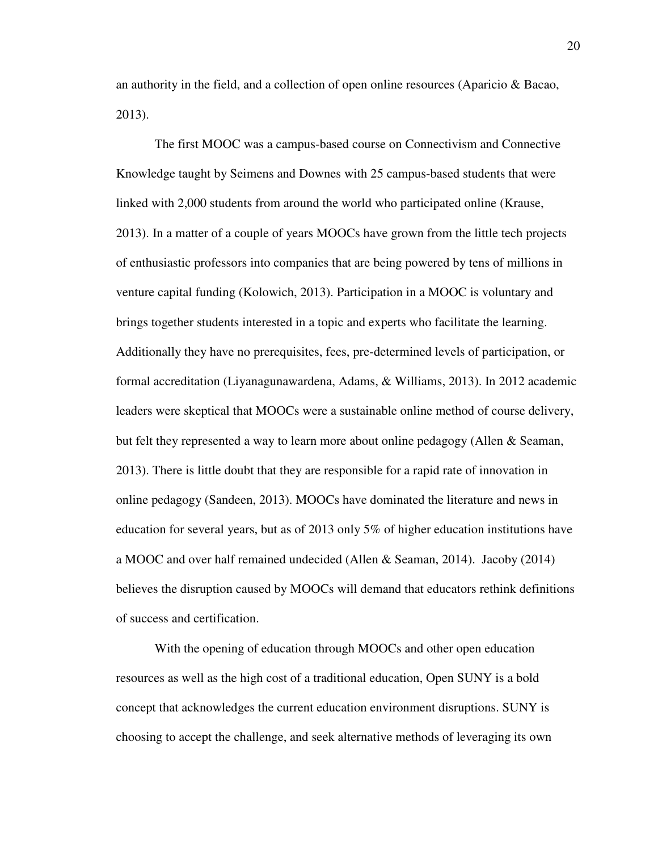an authority in the field, and a collection of open online resources (Aparicio & Bacao, 2013).

The first MOOC was a campus-based course on Connectivism and Connective Knowledge taught by Seimens and Downes with 25 campus-based students that were linked with 2,000 students from around the world who participated online (Krause, 2013). In a matter of a couple of years MOOCs have grown from the little tech projects of enthusiastic professors into companies that are being powered by tens of millions in venture capital funding (Kolowich, 2013). Participation in a MOOC is voluntary and brings together students interested in a topic and experts who facilitate the learning. Additionally they have no prerequisites, fees, pre-determined levels of participation, or formal accreditation (Liyanagunawardena, Adams, & Williams, 2013). In 2012 academic leaders were skeptical that MOOCs were a sustainable online method of course delivery, but felt they represented a way to learn more about online pedagogy (Allen & Seaman, 2013). There is little doubt that they are responsible for a rapid rate of innovation in online pedagogy (Sandeen, 2013). MOOCs have dominated the literature and news in education for several years, but as of 2013 only 5% of higher education institutions have a MOOC and over half remained undecided (Allen & Seaman, 2014). Jacoby (2014) believes the disruption caused by MOOCs will demand that educators rethink definitions of success and certification.

With the opening of education through MOOCs and other open education resources as well as the high cost of a traditional education, Open SUNY is a bold concept that acknowledges the current education environment disruptions. SUNY is choosing to accept the challenge, and seek alternative methods of leveraging its own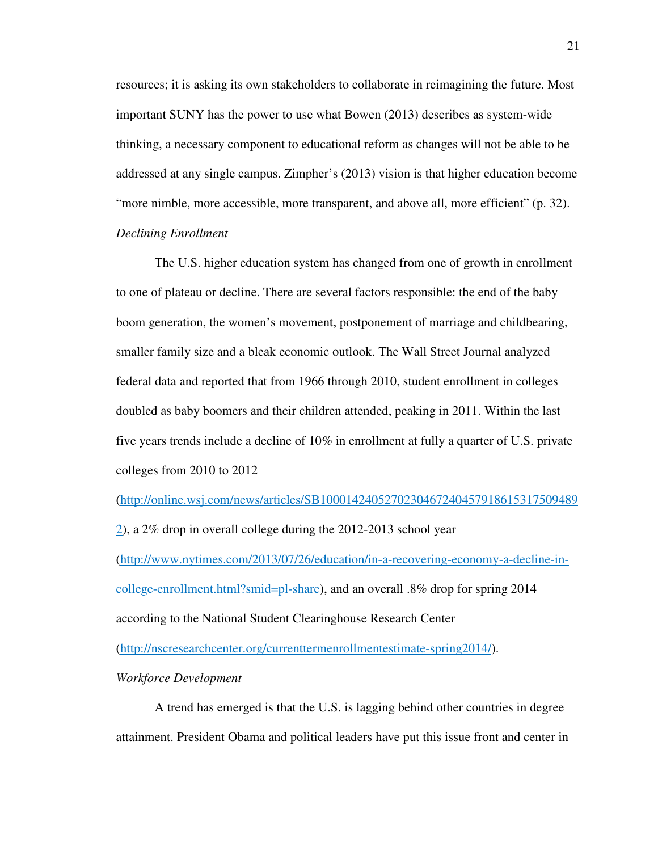resources; it is asking its own stakeholders to collaborate in reimagining the future. Most important SUNY has the power to use what Bowen (2013) describes as system-wide thinking, a necessary component to educational reform as changes will not be able to be addressed at any single campus. Zimpher's (2013) vision is that higher education become "more nimble, more accessible, more transparent, and above all, more efficient" (p. 32). *Declining Enrollment* 

The U.S. higher education system has changed from one of growth in enrollment to one of plateau or decline. There are several factors responsible: the end of the baby boom generation, the women's movement, postponement of marriage and childbearing, smaller family size and a bleak economic outlook. The Wall Street Journal analyzed federal data and reported that from 1966 through 2010, student enrollment in colleges doubled as baby boomers and their children attended, peaking in 2011. Within the last five years trends include a decline of 10% in enrollment at fully a quarter of U.S. private colleges from 2010 to 2012

(http://online.wsj.com/news/articles/SB1000142405270230467240457918615317509489

2), a 2% drop in overall college during the 2012-2013 school year

(http://www.nytimes.com/2013/07/26/education/in-a-recovering-economy-a-decline-incollege-enrollment.html?smid=pl-share), and an overall .8% drop for spring 2014 according to the National Student Clearinghouse Research Center

(http://nscresearchcenter.org/currenttermenrollmentestimate-spring2014/).

*Workforce Development* 

A trend has emerged is that the U.S. is lagging behind other countries in degree attainment. President Obama and political leaders have put this issue front and center in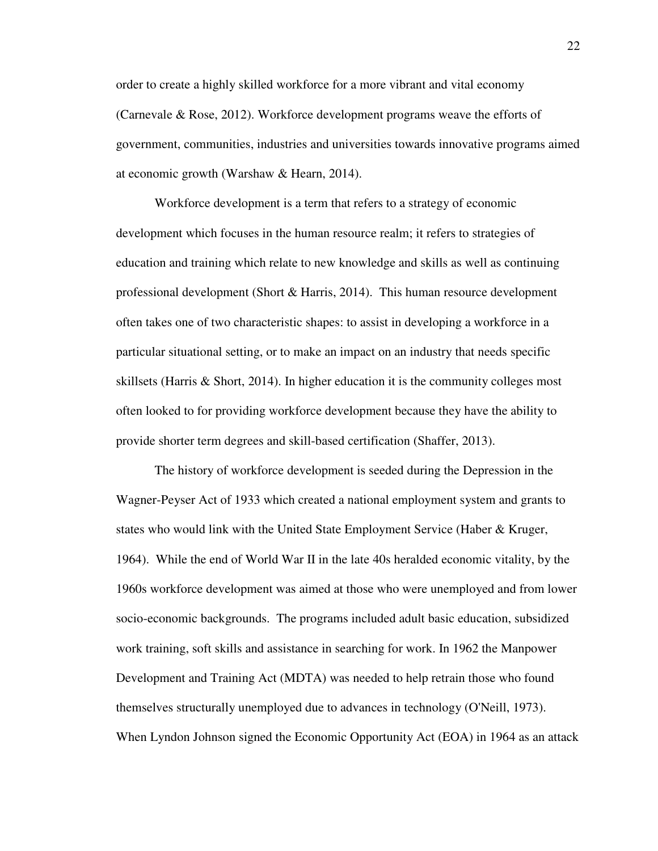order to create a highly skilled workforce for a more vibrant and vital economy (Carnevale & Rose, 2012). Workforce development programs weave the efforts of government, communities, industries and universities towards innovative programs aimed at economic growth (Warshaw & Hearn, 2014).

Workforce development is a term that refers to a strategy of economic development which focuses in the human resource realm; it refers to strategies of education and training which relate to new knowledge and skills as well as continuing professional development (Short & Harris, 2014). This human resource development often takes one of two characteristic shapes: to assist in developing a workforce in a particular situational setting, or to make an impact on an industry that needs specific skillsets (Harris & Short, 2014). In higher education it is the community colleges most often looked to for providing workforce development because they have the ability to provide shorter term degrees and skill-based certification (Shaffer, 2013).

The history of workforce development is seeded during the Depression in the Wagner-Peyser Act of 1933 which created a national employment system and grants to states who would link with the United State Employment Service (Haber & Kruger, 1964). While the end of World War II in the late 40s heralded economic vitality, by the 1960s workforce development was aimed at those who were unemployed and from lower socio-economic backgrounds. The programs included adult basic education, subsidized work training, soft skills and assistance in searching for work. In 1962 the Manpower Development and Training Act (MDTA) was needed to help retrain those who found themselves structurally unemployed due to advances in technology (O'Neill, 1973). When Lyndon Johnson signed the Economic Opportunity Act (EOA) in 1964 as an attack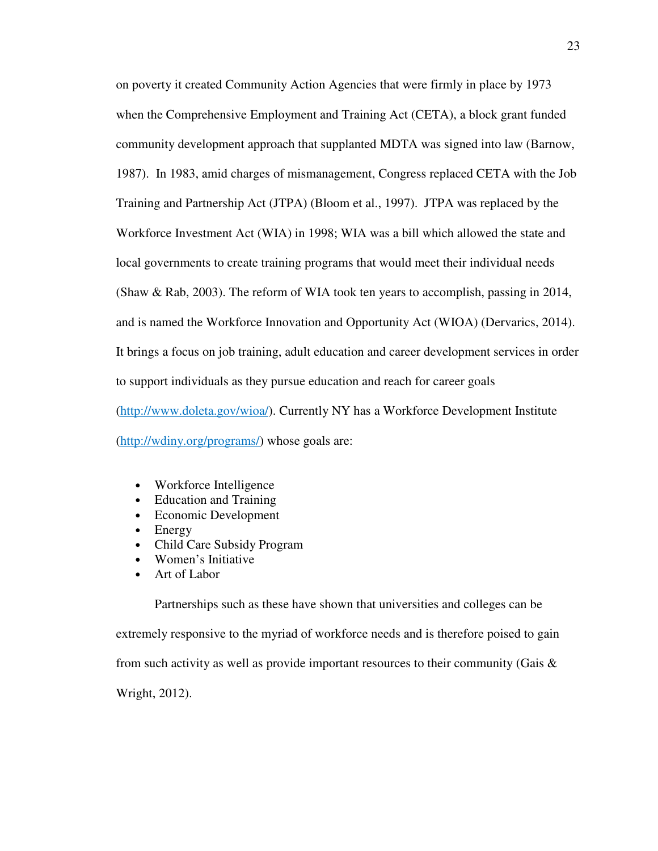on poverty it created Community Action Agencies that were firmly in place by 1973 when the Comprehensive Employment and Training Act (CETA), a block grant funded community development approach that supplanted MDTA was signed into law (Barnow, 1987). In 1983, amid charges of mismanagement, Congress replaced CETA with the Job Training and Partnership Act (JTPA) (Bloom et al., 1997). JTPA was replaced by the Workforce Investment Act (WIA) in 1998; WIA was a bill which allowed the state and local governments to create training programs that would meet their individual needs (Shaw & Rab, 2003). The reform of WIA took ten years to accomplish, passing in 2014, and is named the Workforce Innovation and Opportunity Act (WIOA) (Dervarics, 2014). It brings a focus on job training, adult education and career development services in order to support individuals as they pursue education and reach for career goals (http://www.doleta.gov/wioa/). Currently NY has a Workforce Development Institute (http://wdiny.org/programs/) whose goals are:

- Workforce Intelligence
- Education and Training
- Economic Development
- Energy
- Child Care Subsidy Program
- Women's Initiative
- Art of Labor

Partnerships such as these have shown that universities and colleges can be extremely responsive to the myriad of workforce needs and is therefore poised to gain from such activity as well as provide important resources to their community (Gais  $\&$ Wright, 2012).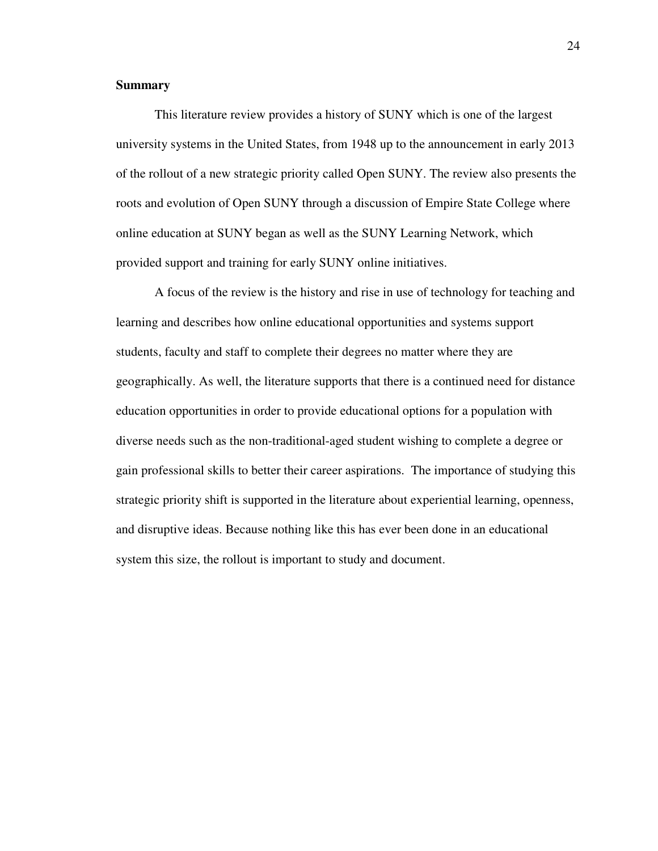#### **Summary**

This literature review provides a history of SUNY which is one of the largest university systems in the United States, from 1948 up to the announcement in early 2013 of the rollout of a new strategic priority called Open SUNY. The review also presents the roots and evolution of Open SUNY through a discussion of Empire State College where online education at SUNY began as well as the SUNY Learning Network, which provided support and training for early SUNY online initiatives.

A focus of the review is the history and rise in use of technology for teaching and learning and describes how online educational opportunities and systems support students, faculty and staff to complete their degrees no matter where they are geographically. As well, the literature supports that there is a continued need for distance education opportunities in order to provide educational options for a population with diverse needs such as the non-traditional-aged student wishing to complete a degree or gain professional skills to better their career aspirations. The importance of studying this strategic priority shift is supported in the literature about experiential learning, openness, and disruptive ideas. Because nothing like this has ever been done in an educational system this size, the rollout is important to study and document.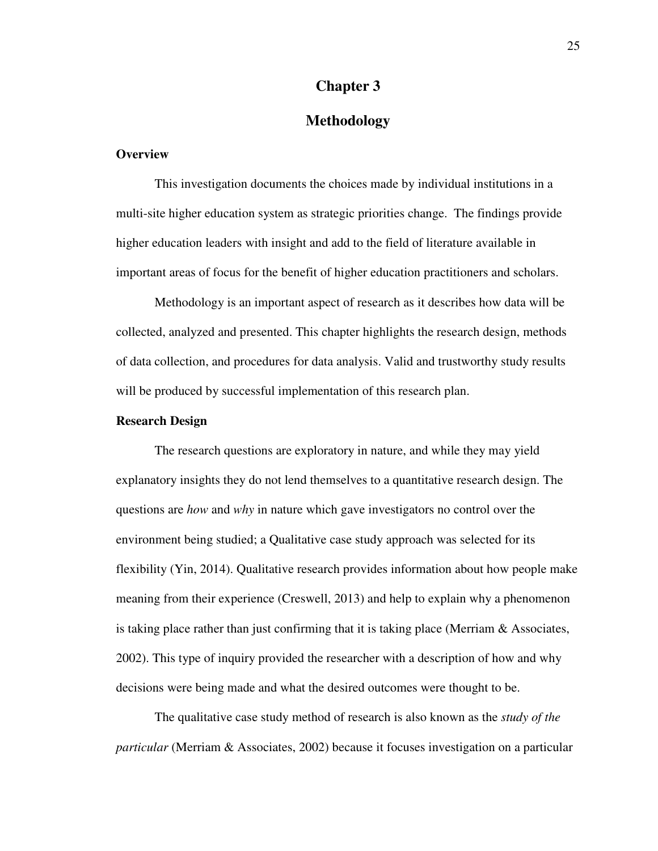#### **Chapter 3**

### **Methodology**

#### **Overview**

This investigation documents the choices made by individual institutions in a multi-site higher education system as strategic priorities change. The findings provide higher education leaders with insight and add to the field of literature available in important areas of focus for the benefit of higher education practitioners and scholars.

Methodology is an important aspect of research as it describes how data will be collected, analyzed and presented. This chapter highlights the research design, methods of data collection, and procedures for data analysis. Valid and trustworthy study results will be produced by successful implementation of this research plan.

#### **Research Design**

The research questions are exploratory in nature, and while they may yield explanatory insights they do not lend themselves to a quantitative research design. The questions are *how* and *why* in nature which gave investigators no control over the environment being studied; a Qualitative case study approach was selected for its flexibility (Yin, 2014). Qualitative research provides information about how people make meaning from their experience (Creswell, 2013) and help to explain why a phenomenon is taking place rather than just confirming that it is taking place (Merriam & Associates, 2002). This type of inquiry provided the researcher with a description of how and why decisions were being made and what the desired outcomes were thought to be.

The qualitative case study method of research is also known as the *study of the particular* (Merriam & Associates, 2002) because it focuses investigation on a particular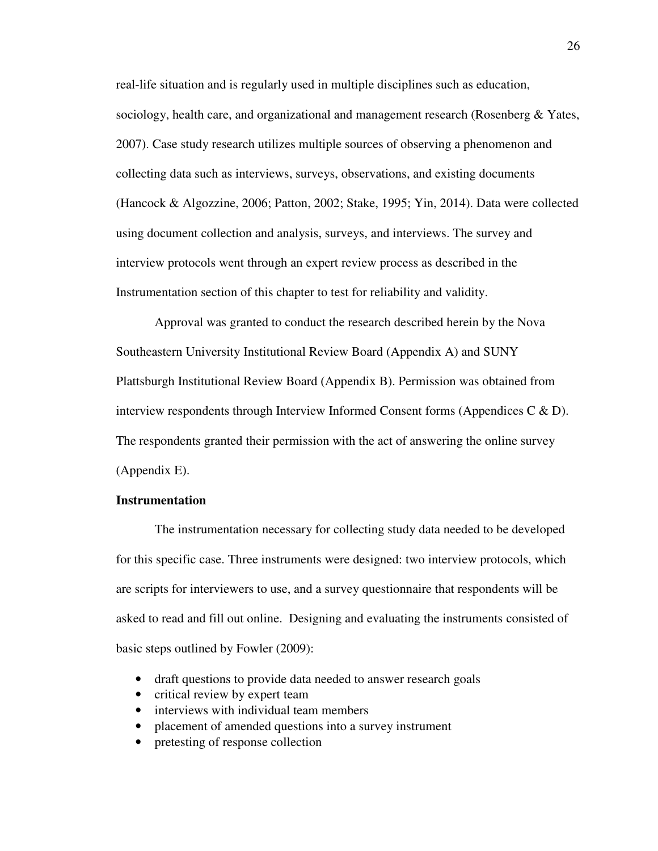real-life situation and is regularly used in multiple disciplines such as education, sociology, health care, and organizational and management research (Rosenberg & Yates, 2007). Case study research utilizes multiple sources of observing a phenomenon and collecting data such as interviews, surveys, observations, and existing documents (Hancock & Algozzine, 2006; Patton, 2002; Stake, 1995; Yin, 2014). Data were collected using document collection and analysis, surveys, and interviews. The survey and interview protocols went through an expert review process as described in the Instrumentation section of this chapter to test for reliability and validity.

Approval was granted to conduct the research described herein by the Nova Southeastern University Institutional Review Board (Appendix A) and SUNY Plattsburgh Institutional Review Board (Appendix B). Permission was obtained from interview respondents through Interview Informed Consent forms (Appendices C  $\&$  D). The respondents granted their permission with the act of answering the online survey (Appendix E).

#### **Instrumentation**

The instrumentation necessary for collecting study data needed to be developed for this specific case. Three instruments were designed: two interview protocols, which are scripts for interviewers to use, and a survey questionnaire that respondents will be asked to read and fill out online. Designing and evaluating the instruments consisted of basic steps outlined by Fowler (2009):

- draft questions to provide data needed to answer research goals
- critical review by expert team
- interviews with individual team members
- placement of amended questions into a survey instrument
- pretesting of response collection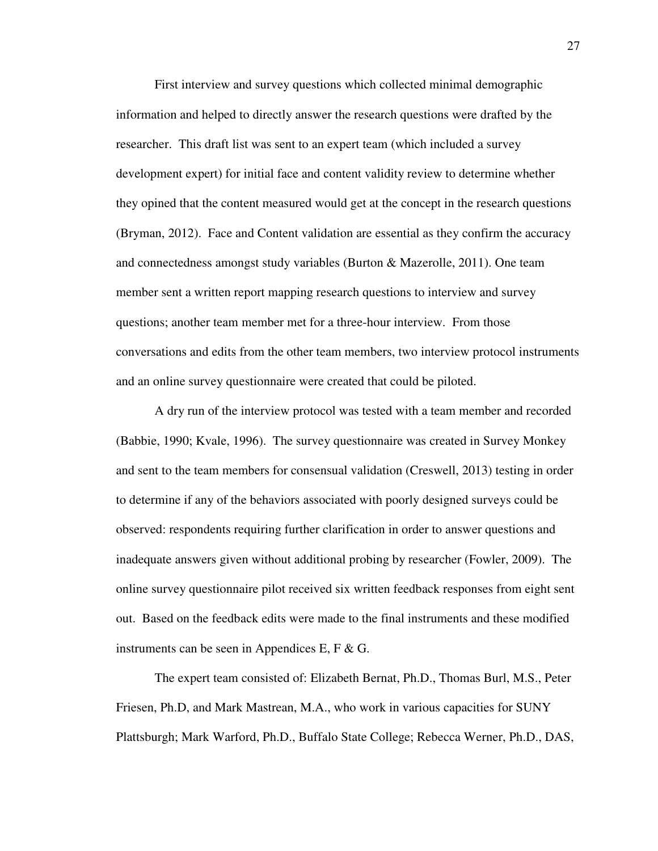First interview and survey questions which collected minimal demographic information and helped to directly answer the research questions were drafted by the researcher. This draft list was sent to an expert team (which included a survey development expert) for initial face and content validity review to determine whether they opined that the content measured would get at the concept in the research questions (Bryman, 2012). Face and Content validation are essential as they confirm the accuracy and connectedness amongst study variables (Burton & Mazerolle, 2011). One team member sent a written report mapping research questions to interview and survey questions; another team member met for a three-hour interview. From those conversations and edits from the other team members, two interview protocol instruments and an online survey questionnaire were created that could be piloted.

A dry run of the interview protocol was tested with a team member and recorded (Babbie, 1990; Kvale, 1996). The survey questionnaire was created in Survey Monkey and sent to the team members for consensual validation (Creswell, 2013) testing in order to determine if any of the behaviors associated with poorly designed surveys could be observed: respondents requiring further clarification in order to answer questions and inadequate answers given without additional probing by researcher (Fowler, 2009). The online survey questionnaire pilot received six written feedback responses from eight sent out. Based on the feedback edits were made to the final instruments and these modified instruments can be seen in Appendices E, F  $\&$  G.

The expert team consisted of: Elizabeth Bernat, Ph.D., Thomas Burl, M.S., Peter Friesen, Ph.D, and Mark Mastrean, M.A., who work in various capacities for SUNY Plattsburgh; Mark Warford, Ph.D., Buffalo State College; Rebecca Werner, Ph.D., DAS,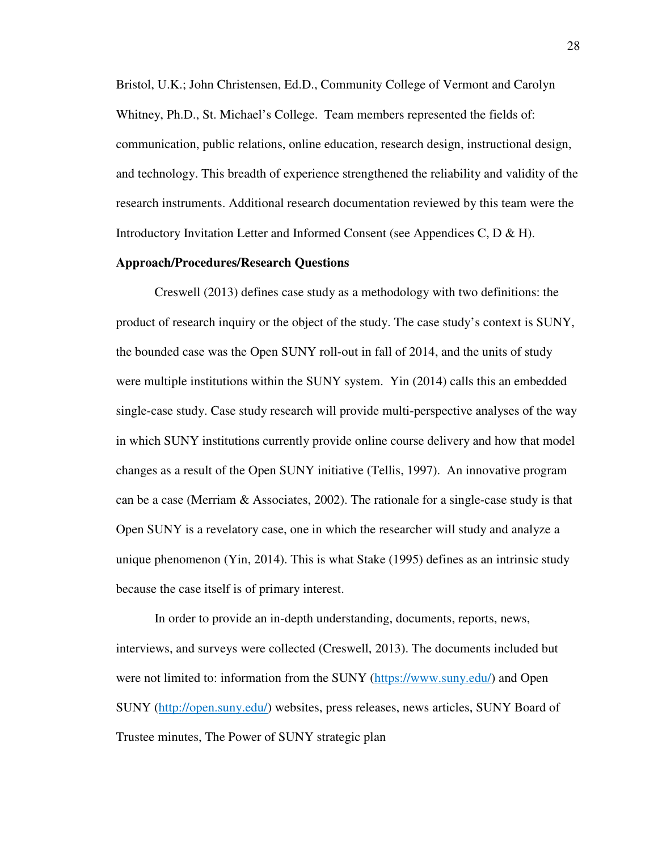Bristol, U.K.; John Christensen, Ed.D., Community College of Vermont and Carolyn Whitney, Ph.D., St. Michael's College. Team members represented the fields of: communication, public relations, online education, research design, instructional design, and technology. This breadth of experience strengthened the reliability and validity of the research instruments. Additional research documentation reviewed by this team were the Introductory Invitation Letter and Informed Consent (see Appendices C, D & H).

#### **Approach/Procedures/Research Questions**

Creswell (2013) defines case study as a methodology with two definitions: the product of research inquiry or the object of the study. The case study's context is SUNY, the bounded case was the Open SUNY roll-out in fall of 2014, and the units of study were multiple institutions within the SUNY system. Yin (2014) calls this an embedded single-case study. Case study research will provide multi-perspective analyses of the way in which SUNY institutions currently provide online course delivery and how that model changes as a result of the Open SUNY initiative (Tellis, 1997). An innovative program can be a case (Merriam & Associates, 2002). The rationale for a single-case study is that Open SUNY is a revelatory case, one in which the researcher will study and analyze a unique phenomenon (Yin, 2014). This is what Stake (1995) defines as an intrinsic study because the case itself is of primary interest.

In order to provide an in-depth understanding, documents, reports, news, interviews, and surveys were collected (Creswell, 2013). The documents included but were not limited to: information from the SUNY (https://www.suny.edu/) and Open SUNY (http://open.suny.edu/) websites, press releases, news articles, SUNY Board of Trustee minutes, The Power of SUNY strategic plan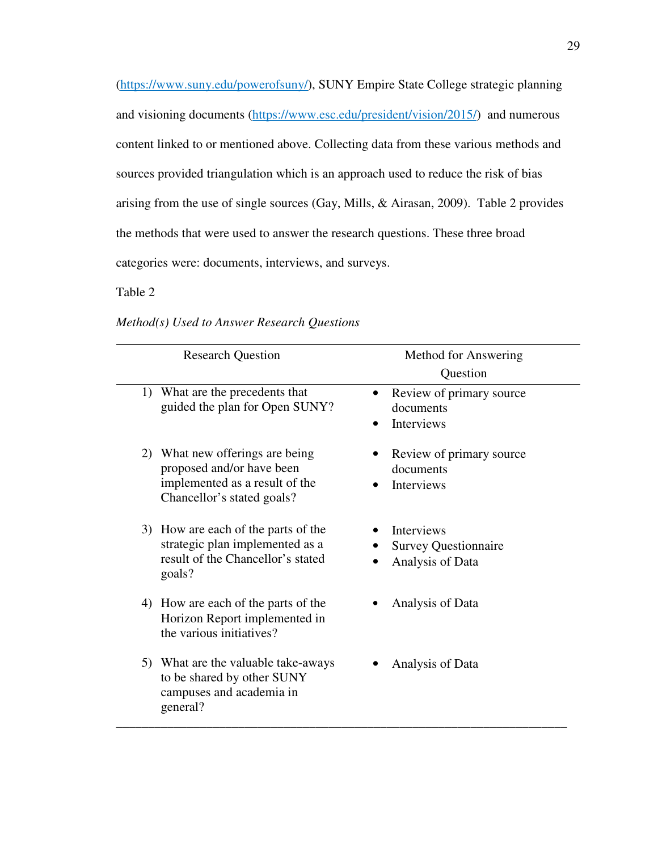(https://www.suny.edu/powerofsuny/), SUNY Empire State College strategic planning and visioning documents (https://www.esc.edu/president/vision/2015/) and numerous content linked to or mentioned above. Collecting data from these various methods and sources provided triangulation which is an approach used to reduce the risk of bias arising from the use of single sources (Gay, Mills, & Airasan, 2009). Table 2 provides the methods that were used to answer the research questions. These three broad categories were: documents, interviews, and surveys.

## Table 2

| <b>Research Question</b>                                                                                                     | Method for Answering<br>Question                                     |
|------------------------------------------------------------------------------------------------------------------------------|----------------------------------------------------------------------|
| What are the precedents that<br>1)<br>guided the plan for Open SUNY?                                                         | Review of primary source<br>documents<br>Interviews                  |
| 2) What new offerings are being<br>proposed and/or have been<br>implemented as a result of the<br>Chancellor's stated goals? | Review of primary source<br>documents<br>Interviews                  |
| 3) How are each of the parts of the<br>strategic plan implemented as a<br>result of the Chancellor's stated<br>goals?        | <b>Interviews</b><br><b>Survey Questionnaire</b><br>Analysis of Data |
| 4) How are each of the parts of the<br>Horizon Report implemented in<br>the various initiatives?                             | Analysis of Data                                                     |
| 5) What are the valuable take-aways<br>to be shared by other SUNY<br>campuses and academia in<br>general?                    | Analysis of Data                                                     |

*Method(s) Used to Answer Research Questions*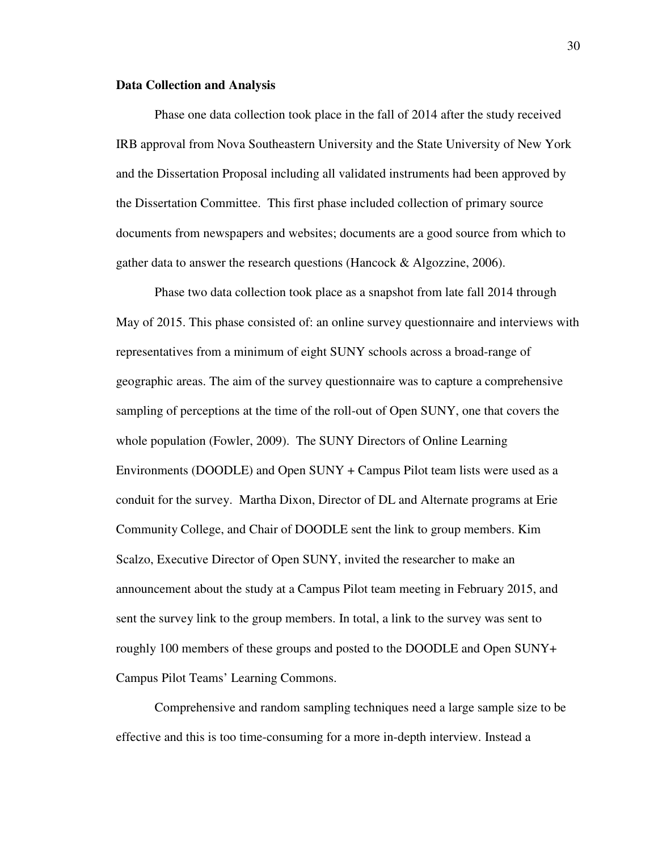#### **Data Collection and Analysis**

Phase one data collection took place in the fall of 2014 after the study received IRB approval from Nova Southeastern University and the State University of New York and the Dissertation Proposal including all validated instruments had been approved by the Dissertation Committee. This first phase included collection of primary source documents from newspapers and websites; documents are a good source from which to gather data to answer the research questions (Hancock & Algozzine, 2006).

Phase two data collection took place as a snapshot from late fall 2014 through May of 2015. This phase consisted of: an online survey questionnaire and interviews with representatives from a minimum of eight SUNY schools across a broad-range of geographic areas. The aim of the survey questionnaire was to capture a comprehensive sampling of perceptions at the time of the roll-out of Open SUNY, one that covers the whole population (Fowler, 2009). The SUNY Directors of Online Learning Environments (DOODLE) and Open SUNY + Campus Pilot team lists were used as a conduit for the survey. Martha Dixon, Director of DL and Alternate programs at Erie Community College, and Chair of DOODLE sent the link to group members. Kim Scalzo, Executive Director of Open SUNY, invited the researcher to make an announcement about the study at a Campus Pilot team meeting in February 2015, and sent the survey link to the group members. In total, a link to the survey was sent to roughly 100 members of these groups and posted to the DOODLE and Open SUNY+ Campus Pilot Teams' Learning Commons.

Comprehensive and random sampling techniques need a large sample size to be effective and this is too time-consuming for a more in-depth interview. Instead a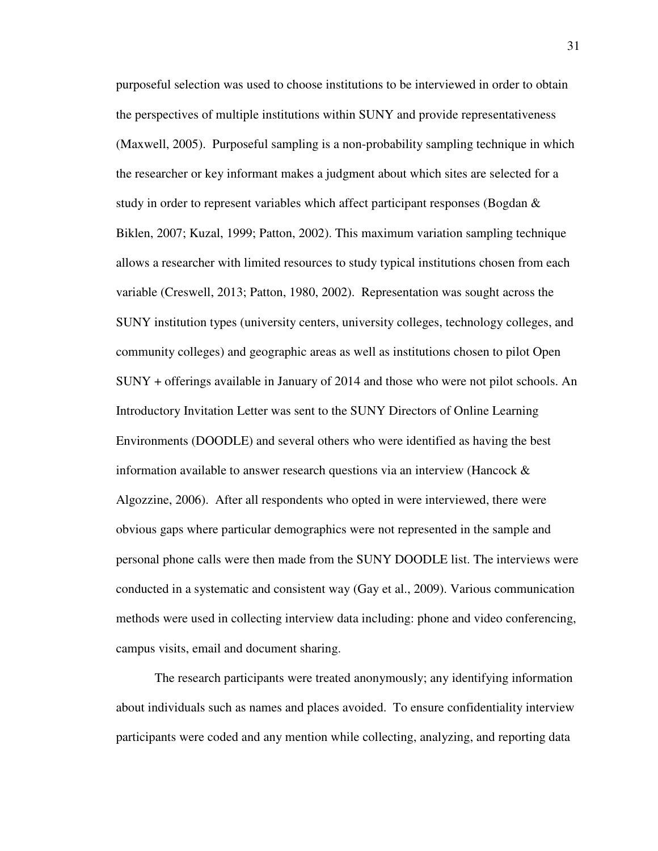purposeful selection was used to choose institutions to be interviewed in order to obtain the perspectives of multiple institutions within SUNY and provide representativeness (Maxwell, 2005). Purposeful sampling is a non-probability sampling technique in which the researcher or key informant makes a judgment about which sites are selected for a study in order to represent variables which affect participant responses (Bogdan & Biklen, 2007; Kuzal, 1999; Patton, 2002). This maximum variation sampling technique allows a researcher with limited resources to study typical institutions chosen from each variable (Creswell, 2013; Patton, 1980, 2002). Representation was sought across the SUNY institution types (university centers, university colleges, technology colleges, and community colleges) and geographic areas as well as institutions chosen to pilot Open SUNY + offerings available in January of 2014 and those who were not pilot schools. An Introductory Invitation Letter was sent to the SUNY Directors of Online Learning Environments (DOODLE) and several others who were identified as having the best information available to answer research questions via an interview (Hancock & Algozzine, 2006). After all respondents who opted in were interviewed, there were obvious gaps where particular demographics were not represented in the sample and personal phone calls were then made from the SUNY DOODLE list. The interviews were conducted in a systematic and consistent way (Gay et al., 2009). Various communication methods were used in collecting interview data including: phone and video conferencing, campus visits, email and document sharing.

The research participants were treated anonymously; any identifying information about individuals such as names and places avoided. To ensure confidentiality interview participants were coded and any mention while collecting, analyzing, and reporting data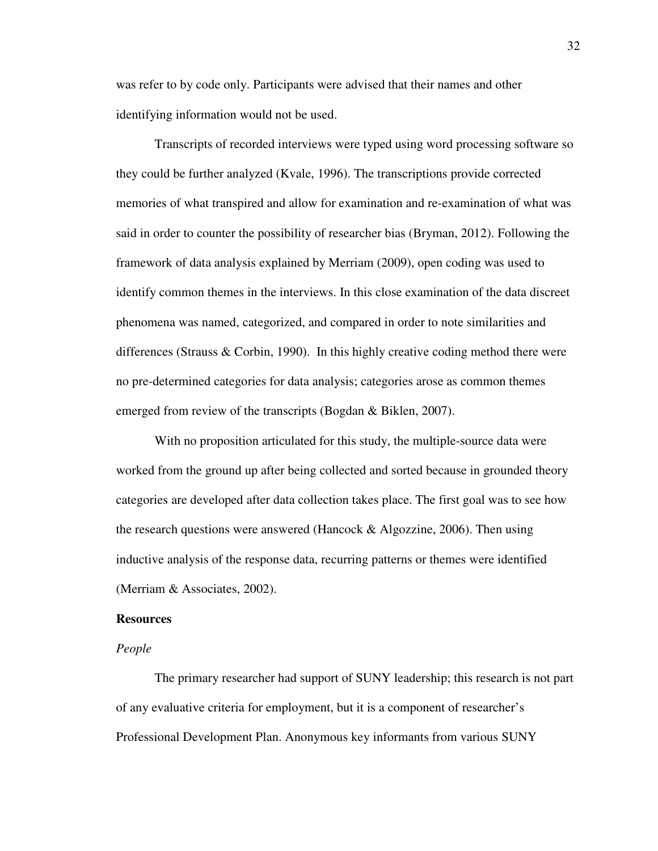was refer to by code only. Participants were advised that their names and other identifying information would not be used.

Transcripts of recorded interviews were typed using word processing software so they could be further analyzed (Kvale, 1996). The transcriptions provide corrected memories of what transpired and allow for examination and re-examination of what was said in order to counter the possibility of researcher bias (Bryman, 2012). Following the framework of data analysis explained by Merriam (2009), open coding was used to identify common themes in the interviews. In this close examination of the data discreet phenomena was named, categorized, and compared in order to note similarities and differences (Strauss & Corbin, 1990). In this highly creative coding method there were no pre-determined categories for data analysis; categories arose as common themes emerged from review of the transcripts (Bogdan & Biklen, 2007).

With no proposition articulated for this study, the multiple-source data were worked from the ground up after being collected and sorted because in grounded theory categories are developed after data collection takes place. The first goal was to see how the research questions were answered (Hancock  $\&$  Algozzine, 2006). Then using inductive analysis of the response data, recurring patterns or themes were identified (Merriam & Associates, 2002).

#### **Resources**

#### *People*

The primary researcher had support of SUNY leadership; this research is not part of any evaluative criteria for employment, but it is a component of researcher's Professional Development Plan. Anonymous key informants from various SUNY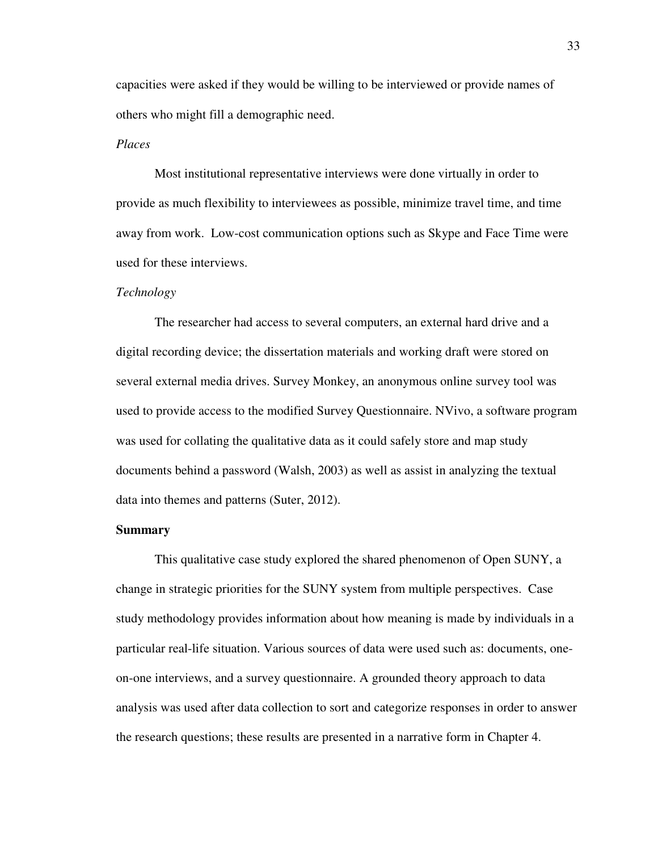capacities were asked if they would be willing to be interviewed or provide names of others who might fill a demographic need.

## *Places*

 Most institutional representative interviews were done virtually in order to provide as much flexibility to interviewees as possible, minimize travel time, and time away from work. Low-cost communication options such as Skype and Face Time were used for these interviews.

#### *Technology*

The researcher had access to several computers, an external hard drive and a digital recording device; the dissertation materials and working draft were stored on several external media drives. Survey Monkey, an anonymous online survey tool was used to provide access to the modified Survey Questionnaire. NVivo, a software program was used for collating the qualitative data as it could safely store and map study documents behind a password (Walsh, 2003) as well as assist in analyzing the textual data into themes and patterns (Suter, 2012).

#### **Summary**

This qualitative case study explored the shared phenomenon of Open SUNY, a change in strategic priorities for the SUNY system from multiple perspectives. Case study methodology provides information about how meaning is made by individuals in a particular real-life situation. Various sources of data were used such as: documents, oneon-one interviews, and a survey questionnaire. A grounded theory approach to data analysis was used after data collection to sort and categorize responses in order to answer the research questions; these results are presented in a narrative form in Chapter 4.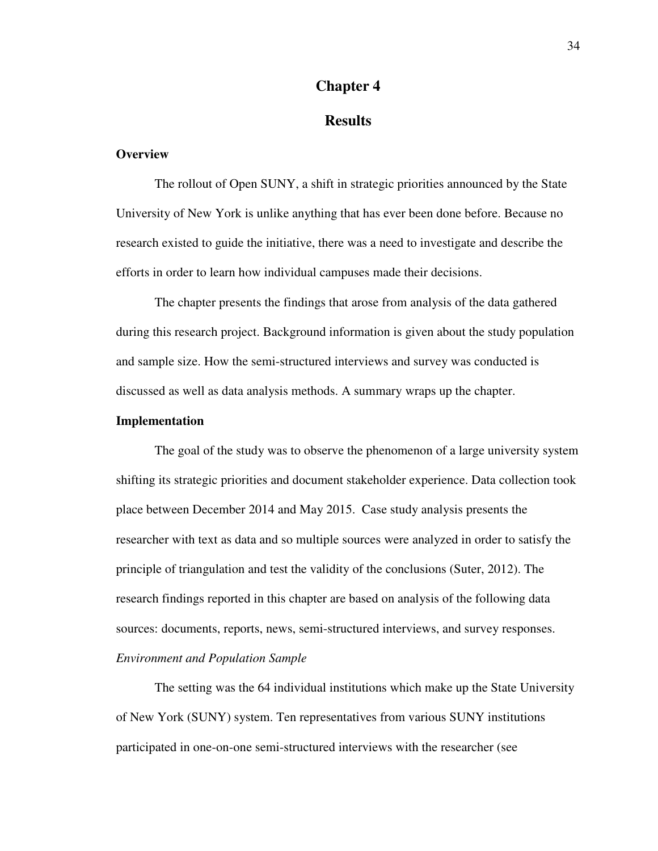## **Chapter 4**

## **Results**

## **Overview**

The rollout of Open SUNY, a shift in strategic priorities announced by the State University of New York is unlike anything that has ever been done before. Because no research existed to guide the initiative, there was a need to investigate and describe the efforts in order to learn how individual campuses made their decisions.

The chapter presents the findings that arose from analysis of the data gathered during this research project. Background information is given about the study population and sample size. How the semi-structured interviews and survey was conducted is discussed as well as data analysis methods. A summary wraps up the chapter.

## **Implementation**

The goal of the study was to observe the phenomenon of a large university system shifting its strategic priorities and document stakeholder experience. Data collection took place between December 2014 and May 2015. Case study analysis presents the researcher with text as data and so multiple sources were analyzed in order to satisfy the principle of triangulation and test the validity of the conclusions (Suter, 2012). The research findings reported in this chapter are based on analysis of the following data sources: documents, reports, news, semi-structured interviews, and survey responses. *Environment and Population Sample* 

The setting was the 64 individual institutions which make up the State University of New York (SUNY) system. Ten representatives from various SUNY institutions participated in one-on-one semi-structured interviews with the researcher (see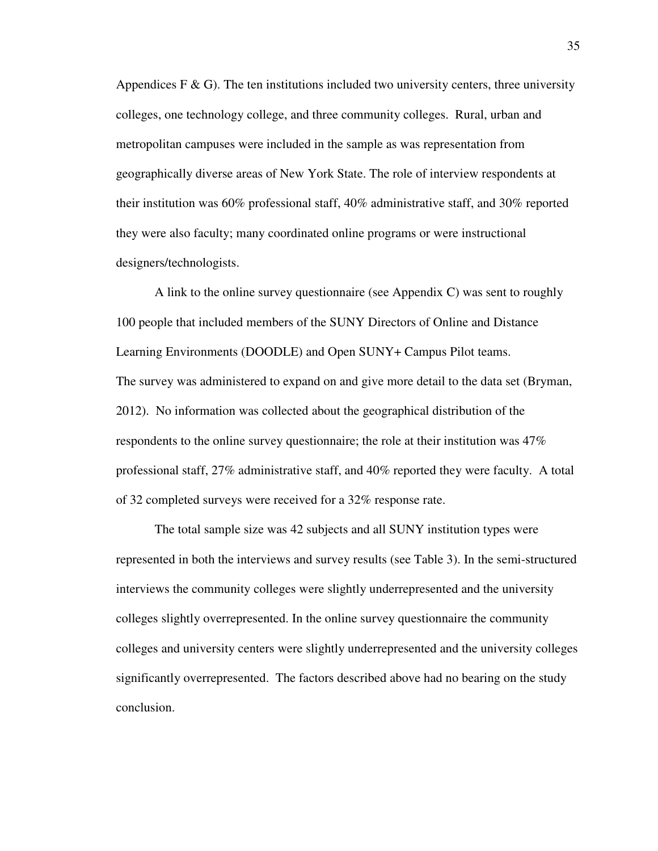Appendices  $F \& G$ ). The ten institutions included two university centers, three university colleges, one technology college, and three community colleges. Rural, urban and metropolitan campuses were included in the sample as was representation from geographically diverse areas of New York State. The role of interview respondents at their institution was 60% professional staff, 40% administrative staff, and 30% reported they were also faculty; many coordinated online programs or were instructional designers/technologists.

A link to the online survey questionnaire (see Appendix C) was sent to roughly 100 people that included members of the SUNY Directors of Online and Distance Learning Environments (DOODLE) and Open SUNY+ Campus Pilot teams. The survey was administered to expand on and give more detail to the data set (Bryman, 2012). No information was collected about the geographical distribution of the respondents to the online survey questionnaire; the role at their institution was 47% professional staff, 27% administrative staff, and 40% reported they were faculty. A total of 32 completed surveys were received for a 32% response rate.

The total sample size was 42 subjects and all SUNY institution types were represented in both the interviews and survey results (see Table 3). In the semi-structured interviews the community colleges were slightly underrepresented and the university colleges slightly overrepresented. In the online survey questionnaire the community colleges and university centers were slightly underrepresented and the university colleges significantly overrepresented. The factors described above had no bearing on the study conclusion.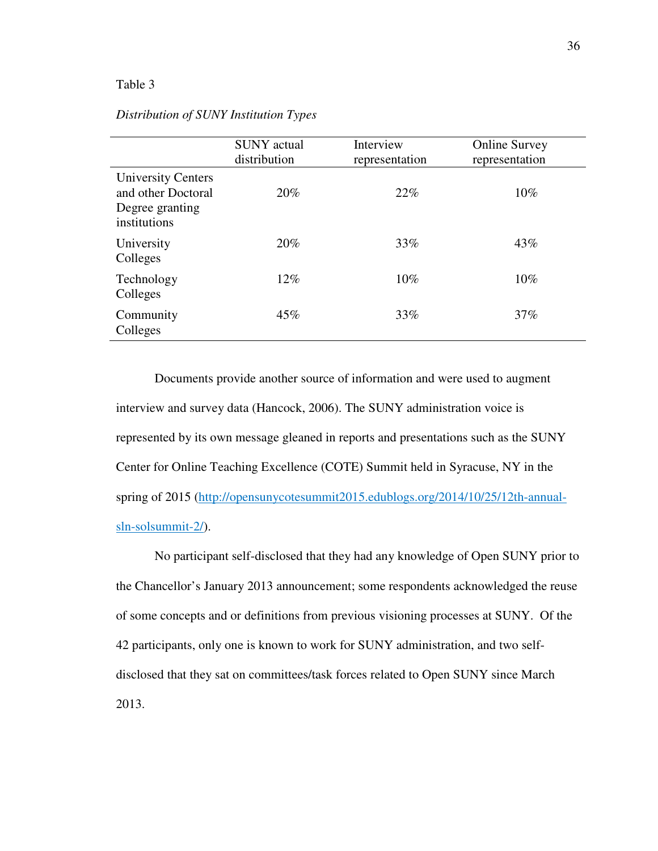## Table 3

|                                                                                    | <b>SUNY</b> actual<br>distribution | Interview<br>representation | <b>Online Survey</b><br>representation |
|------------------------------------------------------------------------------------|------------------------------------|-----------------------------|----------------------------------------|
| <b>University Centers</b><br>and other Doctoral<br>Degree granting<br>institutions | 20%                                | 22%                         | $10\%$                                 |
| University<br>Colleges                                                             | 20%                                | 33%                         | 43%                                    |
| Technology<br>Colleges                                                             | $12\%$                             | 10%                         | $10\%$                                 |
| Community<br>Colleges                                                              | 45%                                | 33%                         | 37%                                    |

## *Distribution of SUNY Institution Types*

Documents provide another source of information and were used to augment interview and survey data (Hancock, 2006). The SUNY administration voice is represented by its own message gleaned in reports and presentations such as the SUNY Center for Online Teaching Excellence (COTE) Summit held in Syracuse, NY in the spring of 2015 (http://opensunycotesummit2015.edublogs.org/2014/10/25/12th-annualsln-solsummit-2/).

No participant self-disclosed that they had any knowledge of Open SUNY prior to the Chancellor's January 2013 announcement; some respondents acknowledged the reuse of some concepts and or definitions from previous visioning processes at SUNY. Of the 42 participants, only one is known to work for SUNY administration, and two selfdisclosed that they sat on committees/task forces related to Open SUNY since March 2013.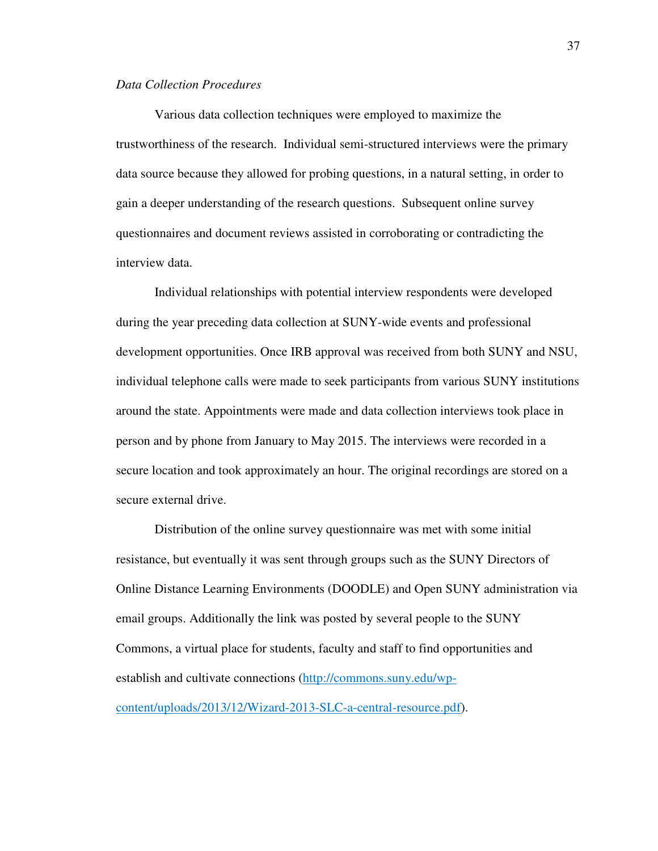## *Data Collection Procedures*

Various data collection techniques were employed to maximize the trustworthiness of the research. Individual semi-structured interviews were the primary data source because they allowed for probing questions, in a natural setting, in order to gain a deeper understanding of the research questions. Subsequent online survey questionnaires and document reviews assisted in corroborating or contradicting the interview data.

Individual relationships with potential interview respondents were developed during the year preceding data collection at SUNY-wide events and professional development opportunities. Once IRB approval was received from both SUNY and NSU, individual telephone calls were made to seek participants from various SUNY institutions around the state. Appointments were made and data collection interviews took place in person and by phone from January to May 2015. The interviews were recorded in a secure location and took approximately an hour. The original recordings are stored on a secure external drive.

Distribution of the online survey questionnaire was met with some initial resistance, but eventually it was sent through groups such as the SUNY Directors of Online Distance Learning Environments (DOODLE) and Open SUNY administration via email groups. Additionally the link was posted by several people to the SUNY Commons, a virtual place for students, faculty and staff to find opportunities and establish and cultivate connections (http://commons.suny.edu/wpcontent/uploads/2013/12/Wizard-2013-SLC-a-central-resource.pdf).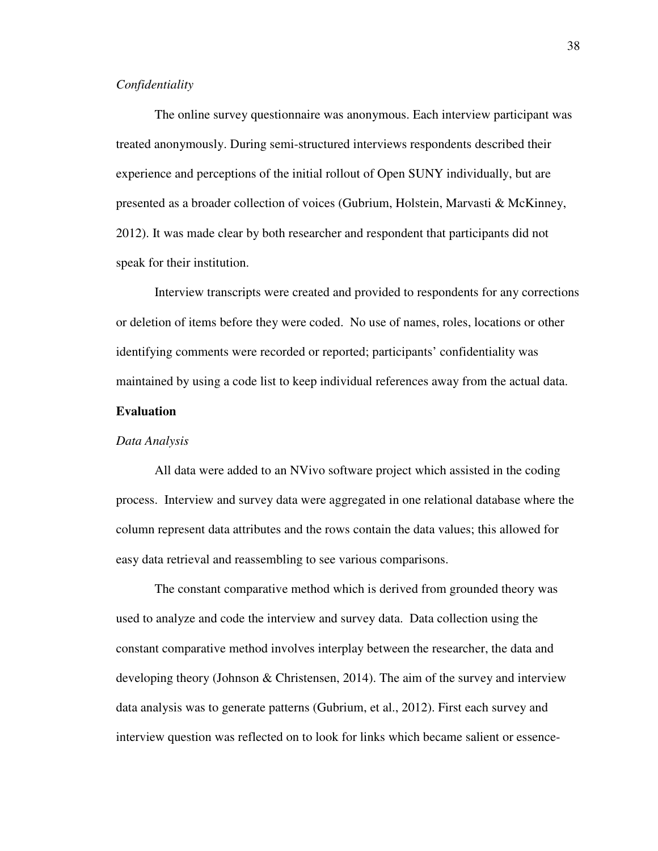#### *Confidentiality*

The online survey questionnaire was anonymous. Each interview participant was treated anonymously. During semi-structured interviews respondents described their experience and perceptions of the initial rollout of Open SUNY individually, but are presented as a broader collection of voices (Gubrium, Holstein, Marvasti & McKinney, 2012). It was made clear by both researcher and respondent that participants did not speak for their institution.

Interview transcripts were created and provided to respondents for any corrections or deletion of items before they were coded. No use of names, roles, locations or other identifying comments were recorded or reported; participants' confidentiality was maintained by using a code list to keep individual references away from the actual data.

#### **Evaluation**

#### *Data Analysis*

All data were added to an NVivo software project which assisted in the coding process. Interview and survey data were aggregated in one relational database where the column represent data attributes and the rows contain the data values; this allowed for easy data retrieval and reassembling to see various comparisons.

The constant comparative method which is derived from grounded theory was used to analyze and code the interview and survey data. Data collection using the constant comparative method involves interplay between the researcher, the data and developing theory (Johnson  $\&$  Christensen, 2014). The aim of the survey and interview data analysis was to generate patterns (Gubrium, et al., 2012). First each survey and interview question was reflected on to look for links which became salient or essence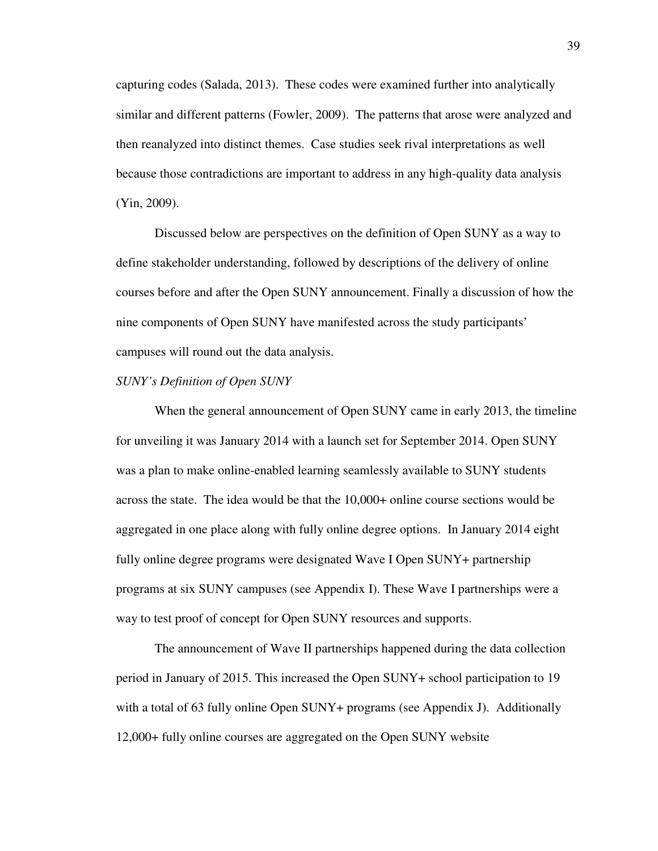capturing codes (Salada, 2013). These codes were examined further into analytically similar and different patterns (Fowler, 2009). The patterns that arose were analyzed and then reanalyzed into distinct themes. Case studies seek rival interpretations as well because those contradictions are important to address in any high-quality data analysis (Yin, 2009).

Discussed below are perspectives on the definition of Open SUNY as a way to define stakeholder understanding, followed by descriptions of the delivery of online courses before and after the Open SUNY announcement. Finally a discussion of how the nine components of Open SUNY have manifested across the study participants' campuses will round out the data analysis.

#### *SUNY's Definition of Open SUNY*

When the general announcement of Open SUNY came in early 2013, the timeline for unveiling it was January 2014 with a launch set for September 2014. Open SUNY was a plan to make online-enabled learning seamlessly available to SUNY students across the state. The idea would be that the 10,000+ online course sections would be aggregated in one place along with fully online degree options. In January 2014 eight fully online degree programs were designated Wave I Open SUNY+ partnership programs at six SUNY campuses (see Appendix I). These Wave I partnerships were a way to test proof of concept for Open SUNY resources and supports.

The announcement of Wave II partnerships happened during the data collection period in January of 2015. This increased the Open SUNY+ school participation to 19 with a total of 63 fully online Open SUNY+ programs (see Appendix J). Additionally 12,000+ fully online courses are aggregated on the Open SUNY website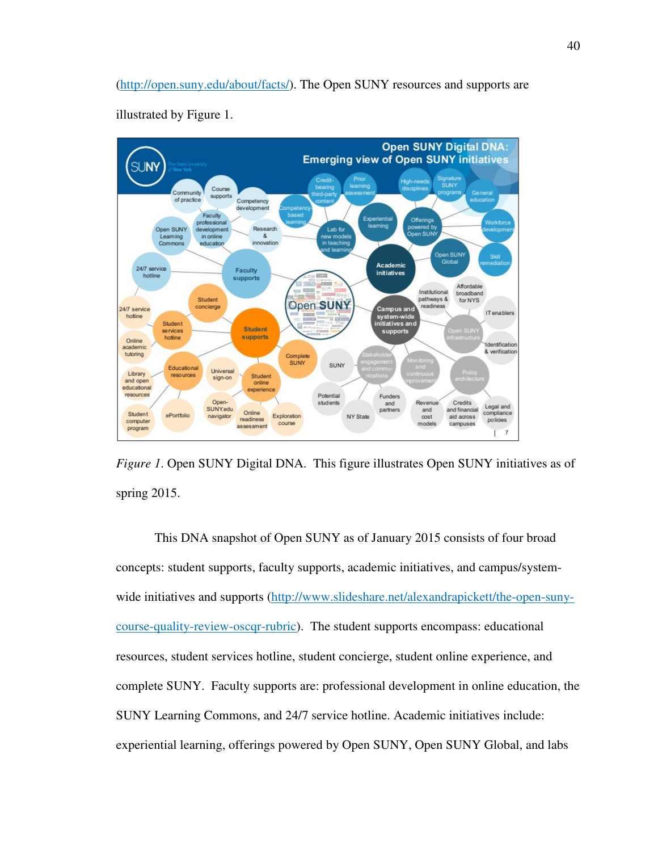(http://open.suny.edu/about/facts/). The Open SUNY resources and supports are



illustrated by Figure 1.

*Figure 1*. Open SUNY Digital DNA. This figure illustrates Open SUNY initiatives as of spring 2015.

This DNA snapshot of Open SUNY as of January 2015 consists of four broad concepts: student supports, faculty supports, academic initiatives, and campus/systemwide initiatives and supports (http://www.slideshare.net/alexandrapickett/the-open-sunycourse-quality-review-oscqr-rubric). The student supports encompass: educational resources, student services hotline, student concierge, student online experience, and complete SUNY. Faculty supports are: professional development in online education, the SUNY Learning Commons, and 24/7 service hotline. Academic initiatives include: experiential learning, offerings powered by Open SUNY, Open SUNY Global, and labs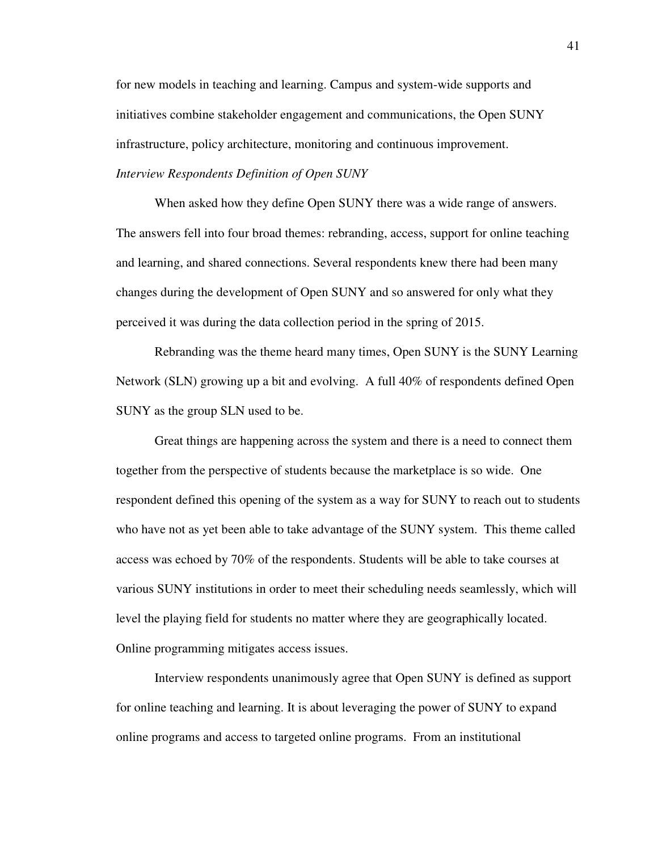for new models in teaching and learning. Campus and system-wide supports and initiatives combine stakeholder engagement and communications, the Open SUNY infrastructure, policy architecture, monitoring and continuous improvement.

# *Interview Respondents Definition of Open SUNY*

When asked how they define Open SUNY there was a wide range of answers. The answers fell into four broad themes: rebranding, access, support for online teaching and learning, and shared connections. Several respondents knew there had been many changes during the development of Open SUNY and so answered for only what they perceived it was during the data collection period in the spring of 2015.

Rebranding was the theme heard many times, Open SUNY is the SUNY Learning Network (SLN) growing up a bit and evolving. A full 40% of respondents defined Open SUNY as the group SLN used to be.

Great things are happening across the system and there is a need to connect them together from the perspective of students because the marketplace is so wide. One respondent defined this opening of the system as a way for SUNY to reach out to students who have not as yet been able to take advantage of the SUNY system. This theme called access was echoed by 70% of the respondents. Students will be able to take courses at various SUNY institutions in order to meet their scheduling needs seamlessly, which will level the playing field for students no matter where they are geographically located. Online programming mitigates access issues.

Interview respondents unanimously agree that Open SUNY is defined as support for online teaching and learning. It is about leveraging the power of SUNY to expand online programs and access to targeted online programs. From an institutional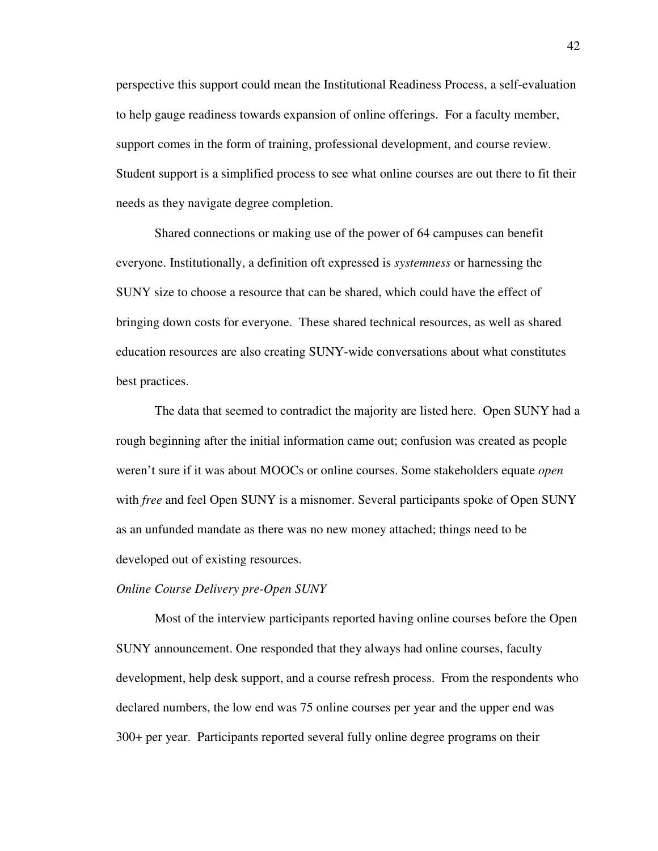perspective this support could mean the Institutional Readiness Process, a self-evaluation to help gauge readiness towards expansion of online offerings. For a faculty member, support comes in the form of training, professional development, and course review. Student support is a simplified process to see what online courses are out there to fit their needs as they navigate degree completion.

Shared connections or making use of the power of 64 campuses can benefit everyone. Institutionally, a definition oft expressed is *systemness* or harnessing the SUNY size to choose a resource that can be shared, which could have the effect of bringing down costs for everyone. These shared technical resources, as well as shared education resources are also creating SUNY-wide conversations about what constitutes best practices.

The data that seemed to contradict the majority are listed here. Open SUNY had a rough beginning after the initial information came out; confusion was created as people weren't sure if it was about MOOCs or online courses. Some stakeholders equate *open* with *free* and feel Open SUNY is a misnomer. Several participants spoke of Open SUNY as an unfunded mandate as there was no new money attached; things need to be developed out of existing resources.

#### *Online Course Delivery pre-Open SUNY*

Most of the interview participants reported having online courses before the Open SUNY announcement. One responded that they always had online courses, faculty development, help desk support, and a course refresh process. From the respondents who declared numbers, the low end was 75 online courses per year and the upper end was 300+ per year. Participants reported several fully online degree programs on their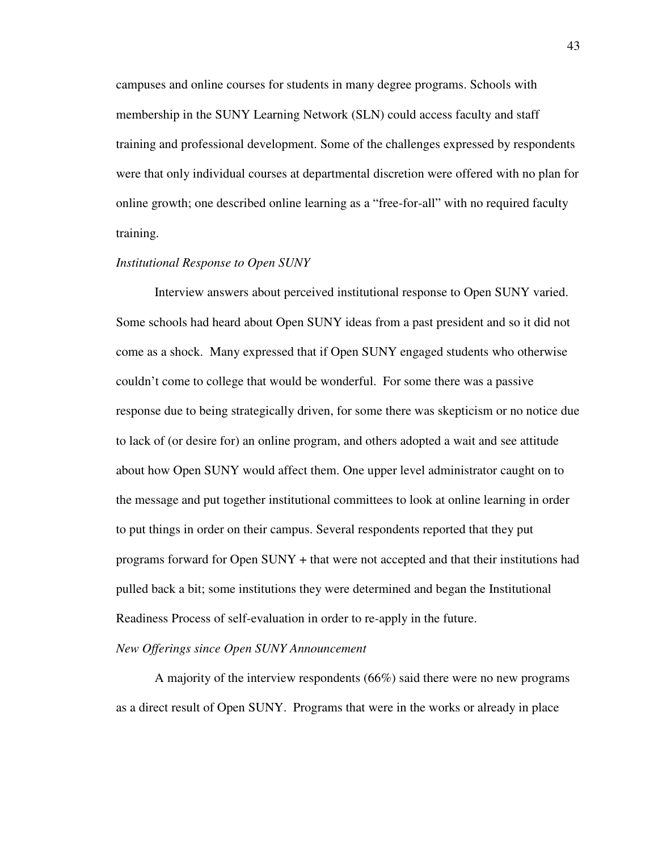campuses and online courses for students in many degree programs. Schools with membership in the SUNY Learning Network (SLN) could access faculty and staff training and professional development. Some of the challenges expressed by respondents were that only individual courses at departmental discretion were offered with no plan for online growth; one described online learning as a "free-for-all" with no required faculty training.

#### *Institutional Response to Open SUNY*

Interview answers about perceived institutional response to Open SUNY varied. Some schools had heard about Open SUNY ideas from a past president and so it did not come as a shock. Many expressed that if Open SUNY engaged students who otherwise couldn't come to college that would be wonderful. For some there was a passive response due to being strategically driven, for some there was skepticism or no notice due to lack of (or desire for) an online program, and others adopted a wait and see attitude about how Open SUNY would affect them. One upper level administrator caught on to the message and put together institutional committees to look at online learning in order to put things in order on their campus. Several respondents reported that they put programs forward for Open SUNY + that were not accepted and that their institutions had pulled back a bit; some institutions they were determined and began the Institutional Readiness Process of self-evaluation in order to re-apply in the future.

#### *New Offerings since Open SUNY Announcement*

A majority of the interview respondents (66%) said there were no new programs as a direct result of Open SUNY. Programs that were in the works or already in place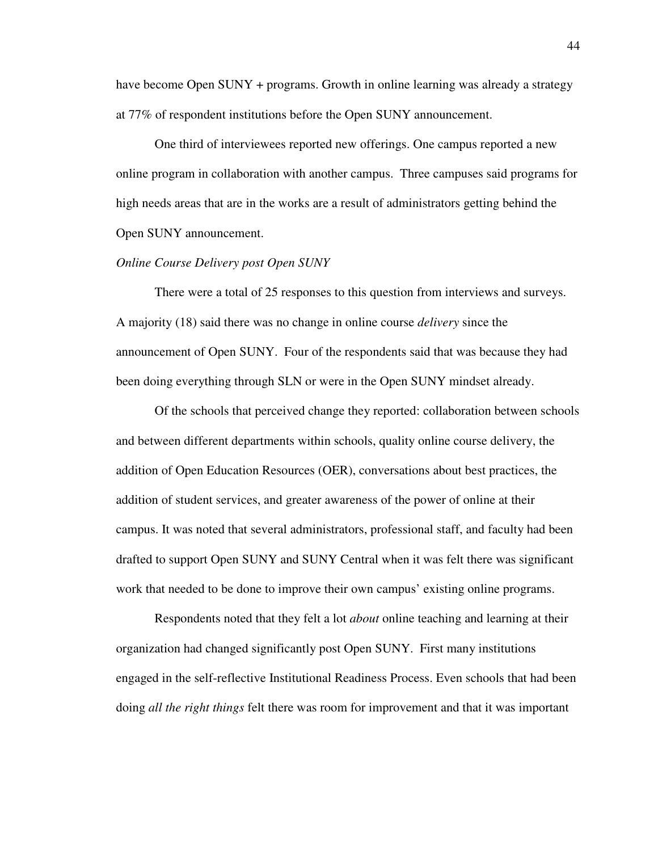have become Open SUNY + programs. Growth in online learning was already a strategy at 77% of respondent institutions before the Open SUNY announcement.

One third of interviewees reported new offerings. One campus reported a new online program in collaboration with another campus. Three campuses said programs for high needs areas that are in the works are a result of administrators getting behind the Open SUNY announcement.

#### *Online Course Delivery post Open SUNY*

There were a total of 25 responses to this question from interviews and surveys. A majority (18) said there was no change in online course *delivery* since the announcement of Open SUNY. Four of the respondents said that was because they had been doing everything through SLN or were in the Open SUNY mindset already.

Of the schools that perceived change they reported: collaboration between schools and between different departments within schools, quality online course delivery, the addition of Open Education Resources (OER), conversations about best practices, the addition of student services, and greater awareness of the power of online at their campus. It was noted that several administrators, professional staff, and faculty had been drafted to support Open SUNY and SUNY Central when it was felt there was significant work that needed to be done to improve their own campus' existing online programs.

Respondents noted that they felt a lot *about* online teaching and learning at their organization had changed significantly post Open SUNY. First many institutions engaged in the self-reflective Institutional Readiness Process. Even schools that had been doing *all the right things* felt there was room for improvement and that it was important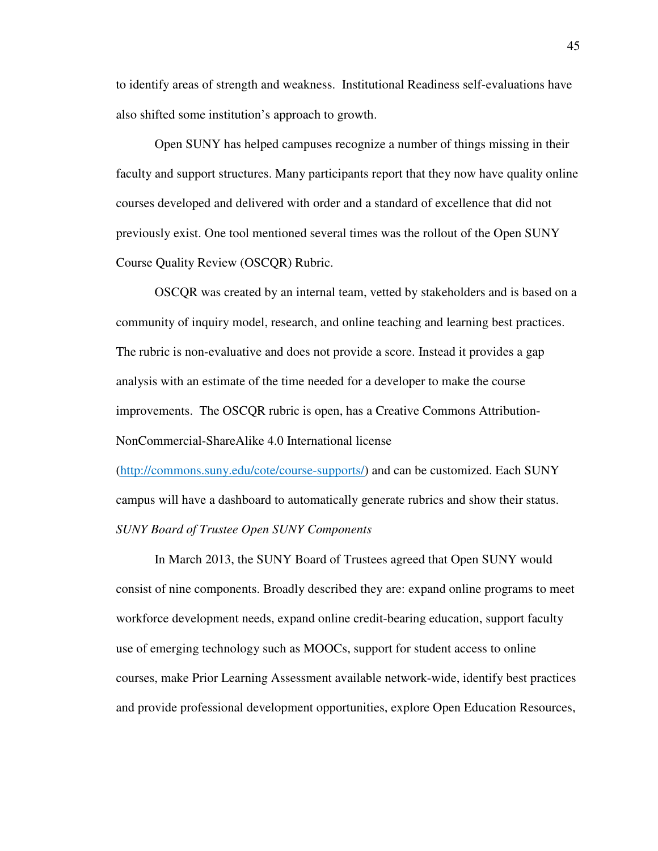to identify areas of strength and weakness. Institutional Readiness self-evaluations have also shifted some institution's approach to growth.

Open SUNY has helped campuses recognize a number of things missing in their faculty and support structures. Many participants report that they now have quality online courses developed and delivered with order and a standard of excellence that did not previously exist. One tool mentioned several times was the rollout of the Open SUNY Course Quality Review (OSCQR) Rubric.

OSCQR was created by an internal team, vetted by stakeholders and is based on a community of inquiry model, research, and online teaching and learning best practices. The rubric is non-evaluative and does not provide a score. Instead it provides a gap analysis with an estimate of the time needed for a developer to make the course improvements. The OSCQR rubric is open, has a Creative Commons Attribution-NonCommercial-ShareAlike 4.0 International license

(http://commons.suny.edu/cote/course-supports/) and can be customized. Each SUNY campus will have a dashboard to automatically generate rubrics and show their status. *SUNY Board of Trustee Open SUNY Components* 

In March 2013, the SUNY Board of Trustees agreed that Open SUNY would consist of nine components. Broadly described they are: expand online programs to meet workforce development needs, expand online credit-bearing education, support faculty use of emerging technology such as MOOCs, support for student access to online courses, make Prior Learning Assessment available network-wide, identify best practices and provide professional development opportunities, explore Open Education Resources,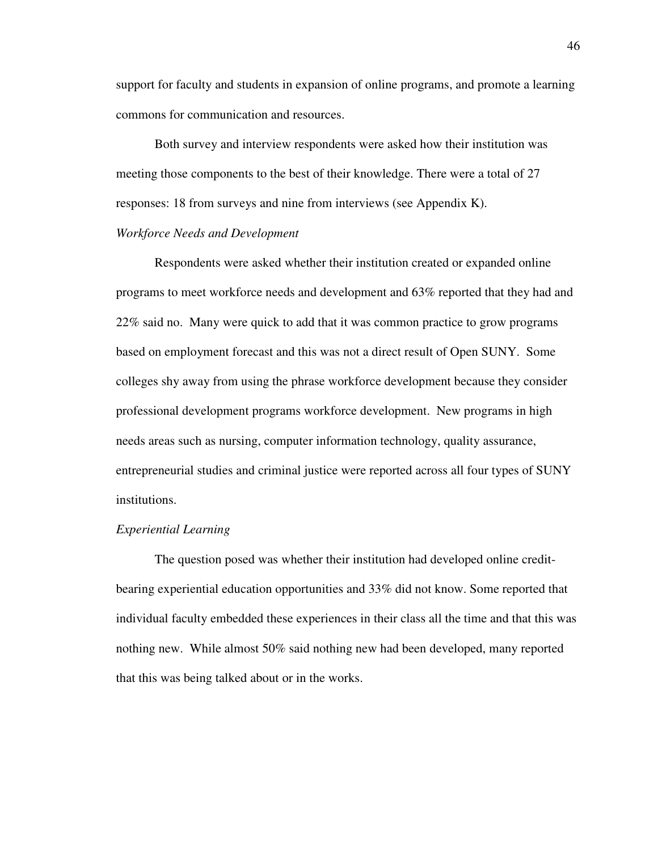support for faculty and students in expansion of online programs, and promote a learning commons for communication and resources.

Both survey and interview respondents were asked how their institution was meeting those components to the best of their knowledge. There were a total of 27 responses: 18 from surveys and nine from interviews (see Appendix K).

## *Workforce Needs and Development*

Respondents were asked whether their institution created or expanded online programs to meet workforce needs and development and 63% reported that they had and 22% said no. Many were quick to add that it was common practice to grow programs based on employment forecast and this was not a direct result of Open SUNY. Some colleges shy away from using the phrase workforce development because they consider professional development programs workforce development. New programs in high needs areas such as nursing, computer information technology, quality assurance, entrepreneurial studies and criminal justice were reported across all four types of SUNY institutions.

## *Experiential Learning*

The question posed was whether their institution had developed online creditbearing experiential education opportunities and 33% did not know. Some reported that individual faculty embedded these experiences in their class all the time and that this was nothing new. While almost 50% said nothing new had been developed, many reported that this was being talked about or in the works.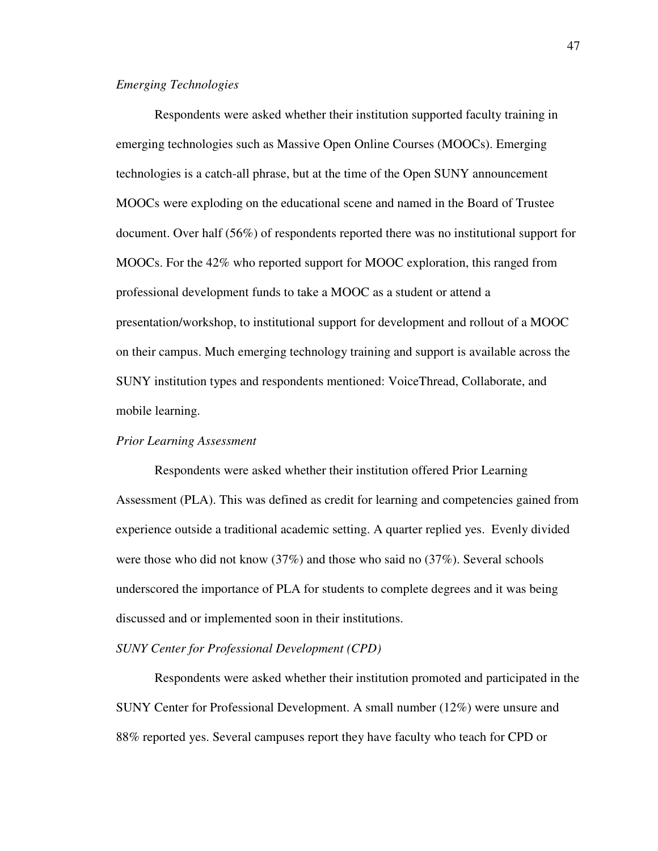#### *Emerging Technologies*

Respondents were asked whether their institution supported faculty training in emerging technologies such as Massive Open Online Courses (MOOCs). Emerging technologies is a catch-all phrase, but at the time of the Open SUNY announcement MOOCs were exploding on the educational scene and named in the Board of Trustee document. Over half (56%) of respondents reported there was no institutional support for MOOCs. For the 42% who reported support for MOOC exploration, this ranged from professional development funds to take a MOOC as a student or attend a presentation/workshop, to institutional support for development and rollout of a MOOC on their campus. Much emerging technology training and support is available across the SUNY institution types and respondents mentioned: VoiceThread, Collaborate, and mobile learning.

#### *Prior Learning Assessment*

Respondents were asked whether their institution offered Prior Learning Assessment (PLA). This was defined as credit for learning and competencies gained from experience outside a traditional academic setting. A quarter replied yes. Evenly divided were those who did not know (37%) and those who said no (37%). Several schools underscored the importance of PLA for students to complete degrees and it was being discussed and or implemented soon in their institutions.

## *SUNY Center for Professional Development (CPD)*

Respondents were asked whether their institution promoted and participated in the SUNY Center for Professional Development. A small number (12%) were unsure and 88% reported yes. Several campuses report they have faculty who teach for CPD or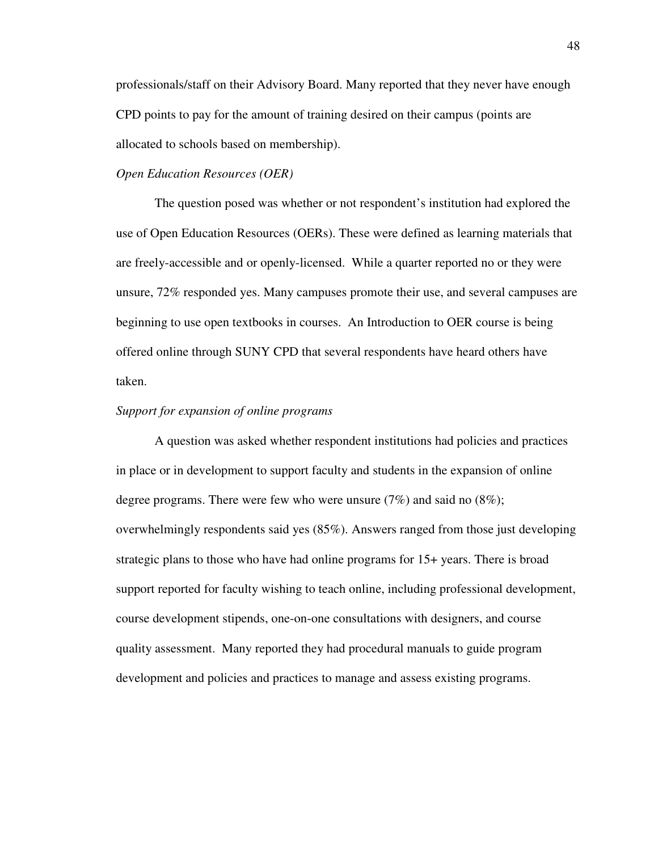professionals/staff on their Advisory Board. Many reported that they never have enough CPD points to pay for the amount of training desired on their campus (points are allocated to schools based on membership).

## *Open Education Resources (OER)*

The question posed was whether or not respondent's institution had explored the use of Open Education Resources (OERs). These were defined as learning materials that are freely-accessible and or openly-licensed. While a quarter reported no or they were unsure, 72% responded yes. Many campuses promote their use, and several campuses are beginning to use open textbooks in courses. An Introduction to OER course is being offered online through SUNY CPD that several respondents have heard others have taken.

### *Support for expansion of online programs*

A question was asked whether respondent institutions had policies and practices in place or in development to support faculty and students in the expansion of online degree programs. There were few who were unsure (7%) and said no (8%); overwhelmingly respondents said yes (85%). Answers ranged from those just developing strategic plans to those who have had online programs for 15+ years. There is broad support reported for faculty wishing to teach online, including professional development, course development stipends, one-on-one consultations with designers, and course quality assessment. Many reported they had procedural manuals to guide program development and policies and practices to manage and assess existing programs.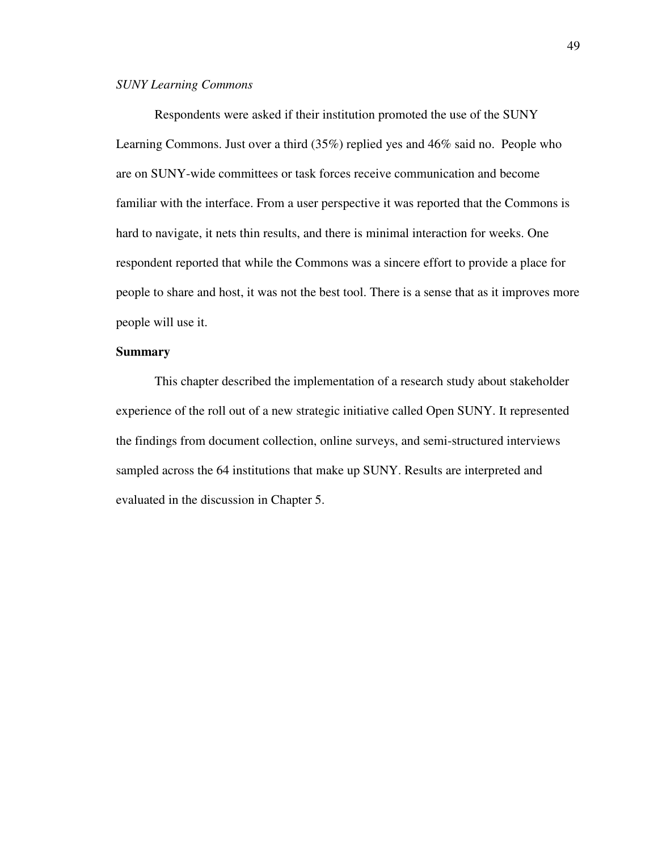## *SUNY Learning Commons*

Respondents were asked if their institution promoted the use of the SUNY Learning Commons. Just over a third (35%) replied yes and 46% said no. People who are on SUNY-wide committees or task forces receive communication and become familiar with the interface. From a user perspective it was reported that the Commons is hard to navigate, it nets thin results, and there is minimal interaction for weeks. One respondent reported that while the Commons was a sincere effort to provide a place for people to share and host, it was not the best tool. There is a sense that as it improves more people will use it.

## **Summary**

This chapter described the implementation of a research study about stakeholder experience of the roll out of a new strategic initiative called Open SUNY. It represented the findings from document collection, online surveys, and semi-structured interviews sampled across the 64 institutions that make up SUNY. Results are interpreted and evaluated in the discussion in Chapter 5.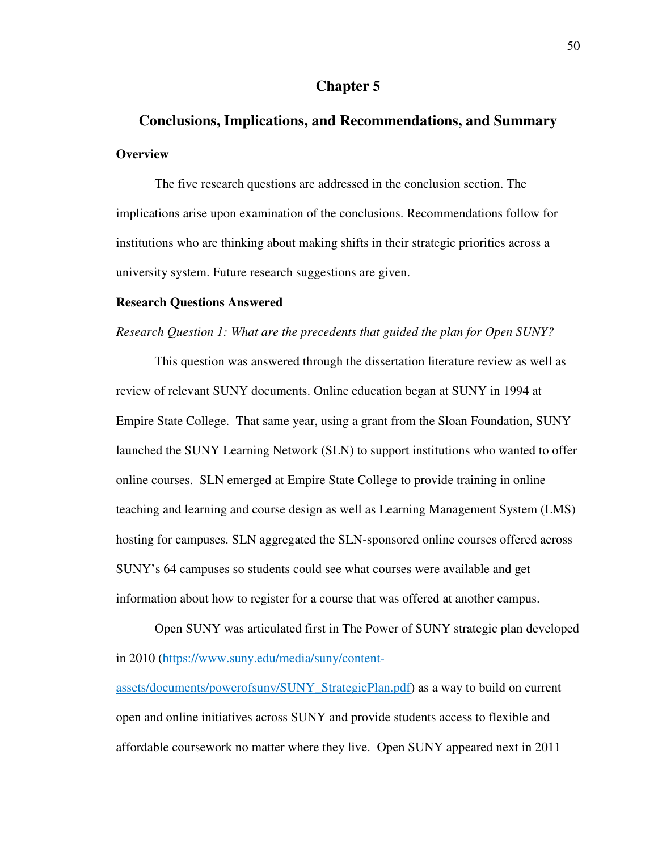## **Chapter 5**

# **Conclusions, Implications, and Recommendations, and Summary Overview**

The five research questions are addressed in the conclusion section. The implications arise upon examination of the conclusions. Recommendations follow for institutions who are thinking about making shifts in their strategic priorities across a university system. Future research suggestions are given.

#### **Research Questions Answered**

### *Research Question 1: What are the precedents that guided the plan for Open SUNY?*

This question was answered through the dissertation literature review as well as review of relevant SUNY documents. Online education began at SUNY in 1994 at Empire State College. That same year, using a grant from the Sloan Foundation, SUNY launched the SUNY Learning Network (SLN) to support institutions who wanted to offer online courses. SLN emerged at Empire State College to provide training in online teaching and learning and course design as well as Learning Management System (LMS) hosting for campuses. SLN aggregated the SLN-sponsored online courses offered across SUNY's 64 campuses so students could see what courses were available and get information about how to register for a course that was offered at another campus.

Open SUNY was articulated first in The Power of SUNY strategic plan developed in 2010 (https://www.suny.edu/media/suny/content-

assets/documents/powerofsuny/SUNY\_StrategicPlan.pdf) as a way to build on current open and online initiatives across SUNY and provide students access to flexible and affordable coursework no matter where they live. Open SUNY appeared next in 2011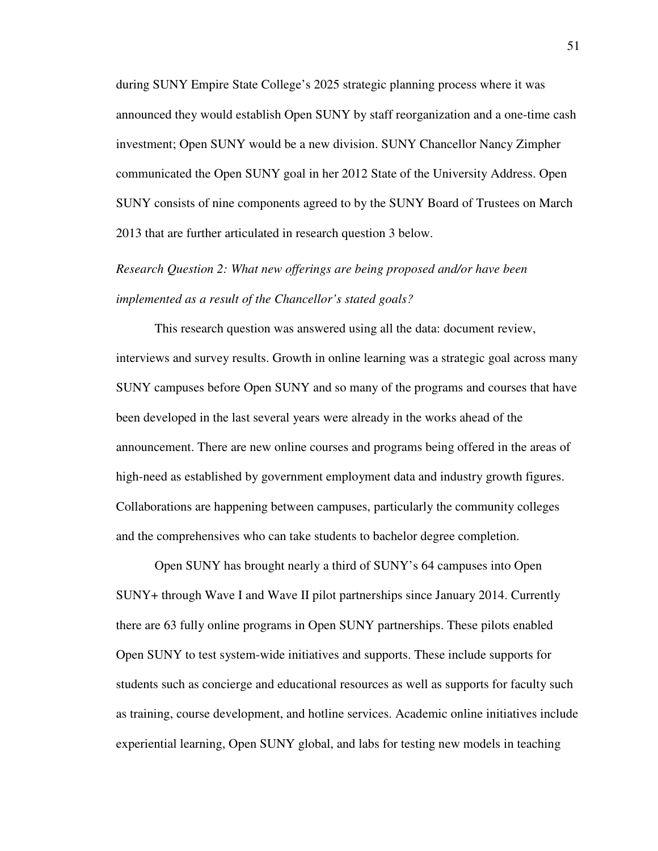during SUNY Empire State College's 2025 strategic planning process where it was announced they would establish Open SUNY by staff reorganization and a one-time cash investment; Open SUNY would be a new division. SUNY Chancellor Nancy Zimpher communicated the Open SUNY goal in her 2012 State of the University Address. Open SUNY consists of nine components agreed to by the SUNY Board of Trustees on March 2013 that are further articulated in research question 3 below.

*Research Question 2: What new offerings are being proposed and/or have been implemented as a result of the Chancellor's stated goals?* 

This research question was answered using all the data: document review, interviews and survey results. Growth in online learning was a strategic goal across many SUNY campuses before Open SUNY and so many of the programs and courses that have been developed in the last several years were already in the works ahead of the announcement. There are new online courses and programs being offered in the areas of high-need as established by government employment data and industry growth figures. Collaborations are happening between campuses, particularly the community colleges and the comprehensives who can take students to bachelor degree completion.

Open SUNY has brought nearly a third of SUNY's 64 campuses into Open SUNY+ through Wave I and Wave II pilot partnerships since January 2014. Currently there are 63 fully online programs in Open SUNY partnerships. These pilots enabled Open SUNY to test system-wide initiatives and supports. These include supports for students such as concierge and educational resources as well as supports for faculty such as training, course development, and hotline services. Academic online initiatives include experiential learning, Open SUNY global, and labs for testing new models in teaching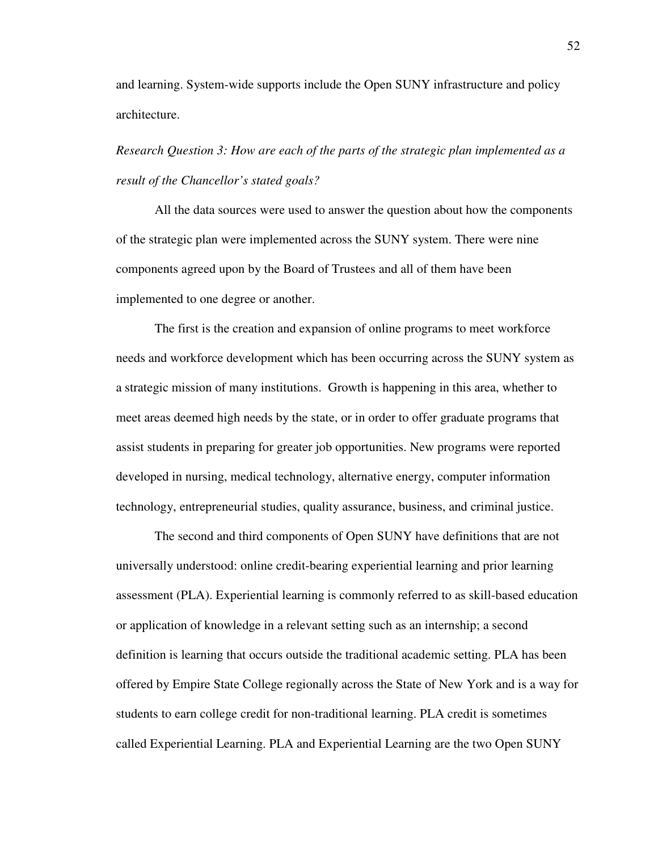and learning. System-wide supports include the Open SUNY infrastructure and policy architecture.

*Research Question 3: How are each of the parts of the strategic plan implemented as a result of the Chancellor's stated goals?* 

All the data sources were used to answer the question about how the components of the strategic plan were implemented across the SUNY system. There were nine components agreed upon by the Board of Trustees and all of them have been implemented to one degree or another.

The first is the creation and expansion of online programs to meet workforce needs and workforce development which has been occurring across the SUNY system as a strategic mission of many institutions. Growth is happening in this area, whether to meet areas deemed high needs by the state, or in order to offer graduate programs that assist students in preparing for greater job opportunities. New programs were reported developed in nursing, medical technology, alternative energy, computer information technology, entrepreneurial studies, quality assurance, business, and criminal justice.

The second and third components of Open SUNY have definitions that are not universally understood: online credit-bearing experiential learning and prior learning assessment (PLA). Experiential learning is commonly referred to as skill-based education or application of knowledge in a relevant setting such as an internship; a second definition is learning that occurs outside the traditional academic setting. PLA has been offered by Empire State College regionally across the State of New York and is a way for students to earn college credit for non-traditional learning. PLA credit is sometimes called Experiential Learning. PLA and Experiential Learning are the two Open SUNY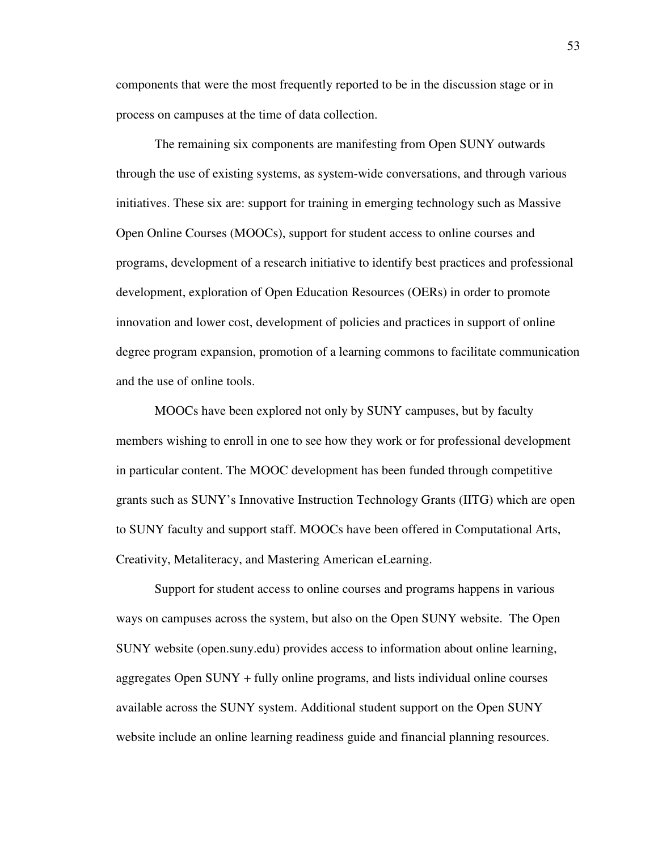components that were the most frequently reported to be in the discussion stage or in process on campuses at the time of data collection.

The remaining six components are manifesting from Open SUNY outwards through the use of existing systems, as system-wide conversations, and through various initiatives. These six are: support for training in emerging technology such as Massive Open Online Courses (MOOCs), support for student access to online courses and programs, development of a research initiative to identify best practices and professional development, exploration of Open Education Resources (OERs) in order to promote innovation and lower cost, development of policies and practices in support of online degree program expansion, promotion of a learning commons to facilitate communication and the use of online tools.

MOOCs have been explored not only by SUNY campuses, but by faculty members wishing to enroll in one to see how they work or for professional development in particular content. The MOOC development has been funded through competitive grants such as SUNY's Innovative Instruction Technology Grants (IITG) which are open to SUNY faculty and support staff. MOOCs have been offered in Computational Arts, Creativity, Metaliteracy, and Mastering American eLearning.

Support for student access to online courses and programs happens in various ways on campuses across the system, but also on the Open SUNY website. The Open SUNY website (open.suny.edu) provides access to information about online learning, aggregates Open SUNY + fully online programs, and lists individual online courses available across the SUNY system. Additional student support on the Open SUNY website include an online learning readiness guide and financial planning resources.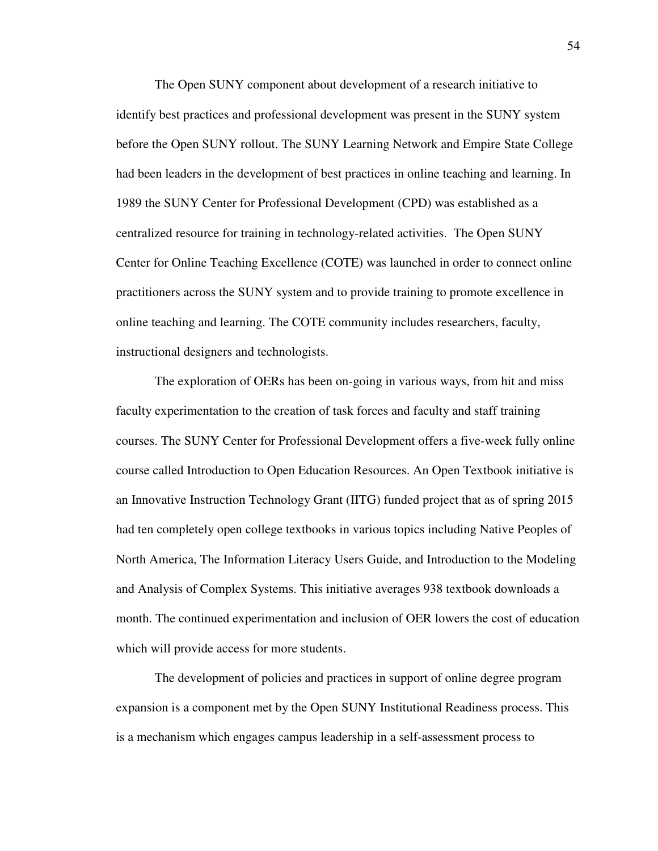The Open SUNY component about development of a research initiative to identify best practices and professional development was present in the SUNY system before the Open SUNY rollout. The SUNY Learning Network and Empire State College had been leaders in the development of best practices in online teaching and learning. In 1989 the SUNY Center for Professional Development (CPD) was established as a centralized resource for training in technology-related activities. The Open SUNY Center for Online Teaching Excellence (COTE) was launched in order to connect online practitioners across the SUNY system and to provide training to promote excellence in online teaching and learning. The COTE community includes researchers, faculty, instructional designers and technologists.

The exploration of OERs has been on-going in various ways, from hit and miss faculty experimentation to the creation of task forces and faculty and staff training courses. The SUNY Center for Professional Development offers a five-week fully online course called Introduction to Open Education Resources. An Open Textbook initiative is an Innovative Instruction Technology Grant (IITG) funded project that as of spring 2015 had ten completely open college textbooks in various topics including Native Peoples of North America, The Information Literacy Users Guide, and Introduction to the Modeling and Analysis of Complex Systems. This initiative averages 938 textbook downloads a month. The continued experimentation and inclusion of OER lowers the cost of education which will provide access for more students.

The development of policies and practices in support of online degree program expansion is a component met by the Open SUNY Institutional Readiness process. This is a mechanism which engages campus leadership in a self-assessment process to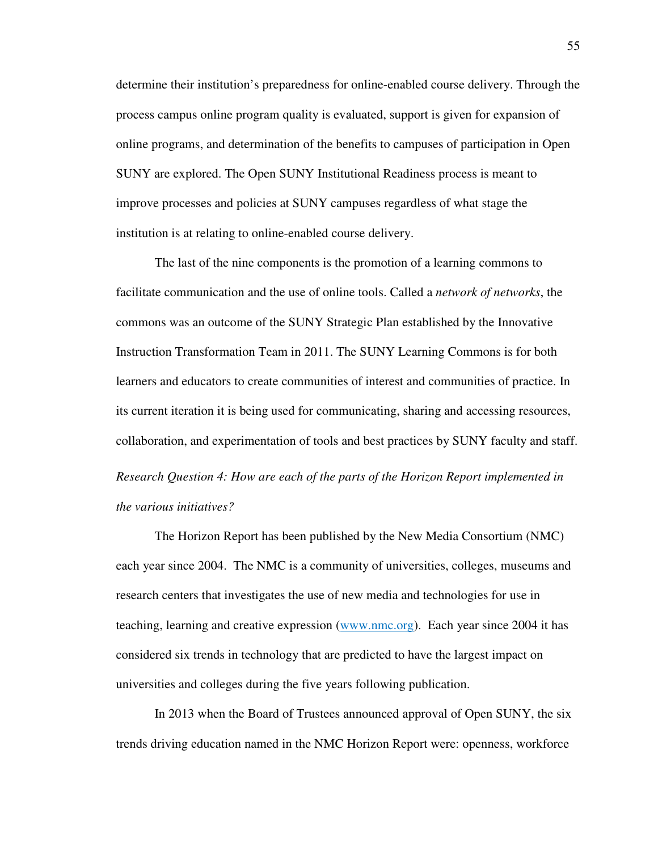determine their institution's preparedness for online-enabled course delivery. Through the process campus online program quality is evaluated, support is given for expansion of online programs, and determination of the benefits to campuses of participation in Open SUNY are explored. The Open SUNY Institutional Readiness process is meant to improve processes and policies at SUNY campuses regardless of what stage the institution is at relating to online-enabled course delivery.

The last of the nine components is the promotion of a learning commons to facilitate communication and the use of online tools. Called a *network of networks*, the commons was an outcome of the SUNY Strategic Plan established by the Innovative Instruction Transformation Team in 2011. The SUNY Learning Commons is for both learners and educators to create communities of interest and communities of practice. In its current iteration it is being used for communicating, sharing and accessing resources, collaboration, and experimentation of tools and best practices by SUNY faculty and staff. *Research Question 4: How are each of the parts of the Horizon Report implemented in the various initiatives?* 

The Horizon Report has been published by the New Media Consortium (NMC) each year since 2004. The NMC is a community of universities, colleges, museums and research centers that investigates the use of new media and technologies for use in teaching, learning and creative expression (www.nmc.org). Each year since 2004 it has considered six trends in technology that are predicted to have the largest impact on universities and colleges during the five years following publication.

In 2013 when the Board of Trustees announced approval of Open SUNY, the six trends driving education named in the NMC Horizon Report were: openness, workforce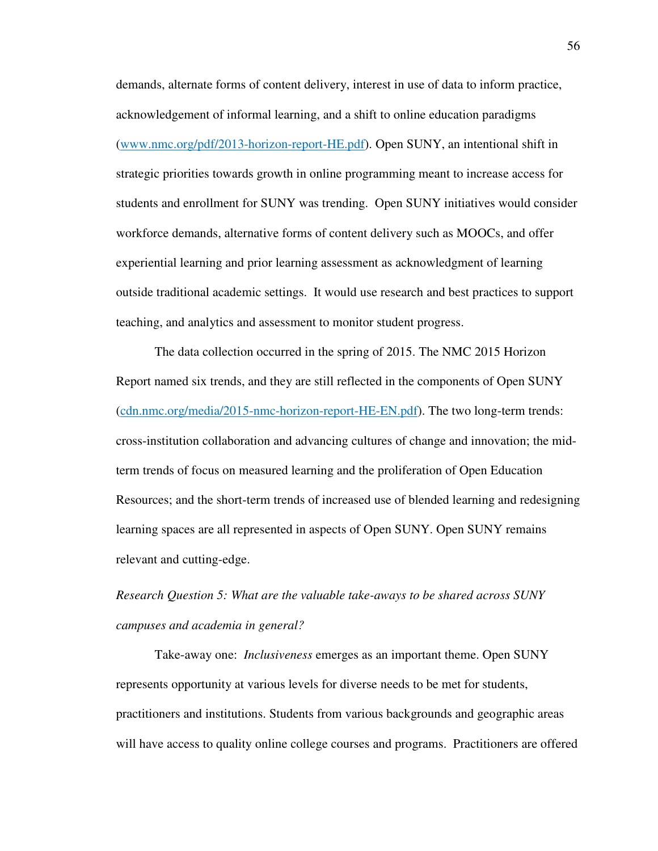demands, alternate forms of content delivery, interest in use of data to inform practice, acknowledgement of informal learning, and a shift to online education paradigms (www.nmc.org/pdf/2013-horizon-report-HE.pdf). Open SUNY, an intentional shift in strategic priorities towards growth in online programming meant to increase access for students and enrollment for SUNY was trending. Open SUNY initiatives would consider workforce demands, alternative forms of content delivery such as MOOCs, and offer experiential learning and prior learning assessment as acknowledgment of learning outside traditional academic settings. It would use research and best practices to support teaching, and analytics and assessment to monitor student progress.

The data collection occurred in the spring of 2015. The NMC 2015 Horizon Report named six trends, and they are still reflected in the components of Open SUNY (cdn.nmc.org/media/2015-nmc-horizon-report-HE-EN.pdf). The two long-term trends: cross-institution collaboration and advancing cultures of change and innovation; the midterm trends of focus on measured learning and the proliferation of Open Education Resources; and the short-term trends of increased use of blended learning and redesigning learning spaces are all represented in aspects of Open SUNY. Open SUNY remains relevant and cutting-edge.

*Research Question 5: What are the valuable take-aways to be shared across SUNY campuses and academia in general?* 

Take-away one: *Inclusiveness* emerges as an important theme. Open SUNY represents opportunity at various levels for diverse needs to be met for students, practitioners and institutions. Students from various backgrounds and geographic areas will have access to quality online college courses and programs. Practitioners are offered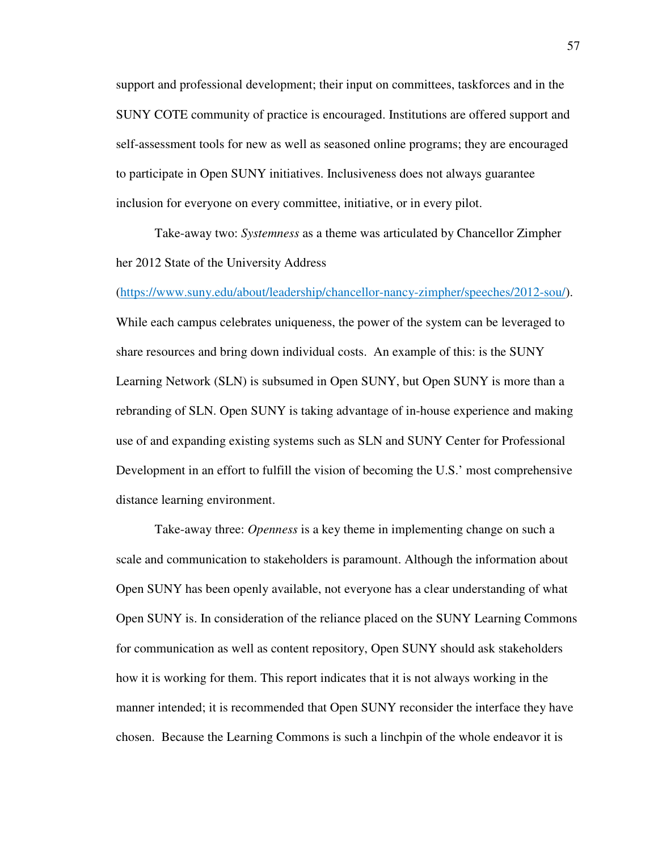support and professional development; their input on committees, taskforces and in the SUNY COTE community of practice is encouraged. Institutions are offered support and self-assessment tools for new as well as seasoned online programs; they are encouraged to participate in Open SUNY initiatives. Inclusiveness does not always guarantee inclusion for everyone on every committee, initiative, or in every pilot.

Take-away two: *Systemness* as a theme was articulated by Chancellor Zimpher her 2012 State of the University Address

(https://www.suny.edu/about/leadership/chancellor-nancy-zimpher/speeches/2012-sou/).

While each campus celebrates uniqueness, the power of the system can be leveraged to share resources and bring down individual costs. An example of this: is the SUNY Learning Network (SLN) is subsumed in Open SUNY, but Open SUNY is more than a rebranding of SLN. Open SUNY is taking advantage of in-house experience and making use of and expanding existing systems such as SLN and SUNY Center for Professional Development in an effort to fulfill the vision of becoming the U.S.' most comprehensive distance learning environment.

Take-away three: *Openness* is a key theme in implementing change on such a scale and communication to stakeholders is paramount. Although the information about Open SUNY has been openly available, not everyone has a clear understanding of what Open SUNY is. In consideration of the reliance placed on the SUNY Learning Commons for communication as well as content repository, Open SUNY should ask stakeholders how it is working for them. This report indicates that it is not always working in the manner intended; it is recommended that Open SUNY reconsider the interface they have chosen. Because the Learning Commons is such a linchpin of the whole endeavor it is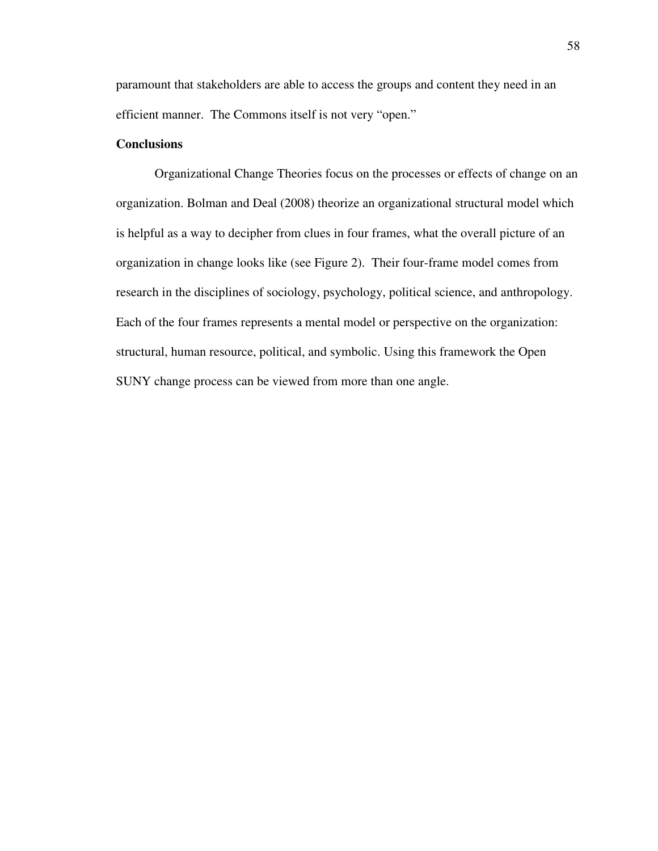paramount that stakeholders are able to access the groups and content they need in an efficient manner. The Commons itself is not very "open."

## **Conclusions**

Organizational Change Theories focus on the processes or effects of change on an organization. Bolman and Deal (2008) theorize an organizational structural model which is helpful as a way to decipher from clues in four frames, what the overall picture of an organization in change looks like (see Figure 2). Their four-frame model comes from research in the disciplines of sociology, psychology, political science, and anthropology. Each of the four frames represents a mental model or perspective on the organization: structural, human resource, political, and symbolic. Using this framework the Open SUNY change process can be viewed from more than one angle.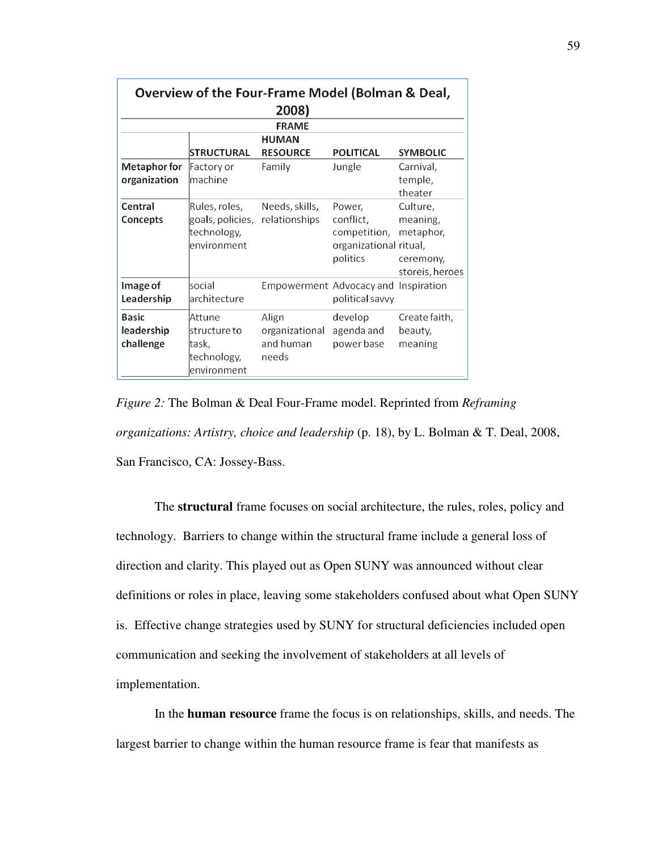| Overview of the Four-Frame Model (Bolman & Deal, |                                                                 |                                               |                                                                           |                                                                   |  |  |  |
|--------------------------------------------------|-----------------------------------------------------------------|-----------------------------------------------|---------------------------------------------------------------------------|-------------------------------------------------------------------|--|--|--|
| 2008)<br><b>FRAME</b>                            |                                                                 |                                               |                                                                           |                                                                   |  |  |  |
|                                                  |                                                                 | <b>HUMAN</b>                                  |                                                                           |                                                                   |  |  |  |
|                                                  | STRUCTURAL                                                      | <b>RESOURCE</b>                               | <b>POLITICAL</b>                                                          | <b>SYMBOLIC</b>                                                   |  |  |  |
| Metaphor for<br>organization                     | Factory or<br>machine                                           | Family                                        | Jungle                                                                    | Carnival,<br>temple,<br>theater                                   |  |  |  |
| Central<br>Concepts                              | Rules, roles,<br>goals, policies,<br>technology,<br>environment | Needs, skills,<br>relationships               | Power,<br>conflict,<br>competition,<br>organizational ritual,<br>politics | Culture,<br>meaning,<br>metaphor,<br>ceremony,<br>storeis, heroes |  |  |  |
| Image of<br>Leadership                           | social<br>architecture                                          | <b>Empowerment Advocacy and Inspiration</b>   | political savvy                                                           |                                                                   |  |  |  |
| <b>Basic</b><br>leadership<br>challenge          | Attune<br>structure to<br>task,<br>technology,<br>environment   | Align<br>organizational<br>and human<br>needs | develop<br>agenda and<br>power base                                       | Create faith,<br>beauty,<br>meaning                               |  |  |  |

*Figure 2:* The Bolman & Deal Four-Frame model. Reprinted from *Reframing organizations: Artistry, choice and leadership* (p. 18), by L. Bolman & T. Deal, 2008, San Francisco, CA: Jossey-Bass.

The **structural** frame focuses on social architecture, the rules, roles, policy and technology. Barriers to change within the structural frame include a general loss of direction and clarity. This played out as Open SUNY was announced without clear definitions or roles in place, leaving some stakeholders confused about what Open SUNY is. Effective change strategies used by SUNY for structural deficiencies included open communication and seeking the involvement of stakeholders at all levels of implementation.

In the **human resource** frame the focus is on relationships, skills, and needs. The largest barrier to change within the human resource frame is fear that manifests as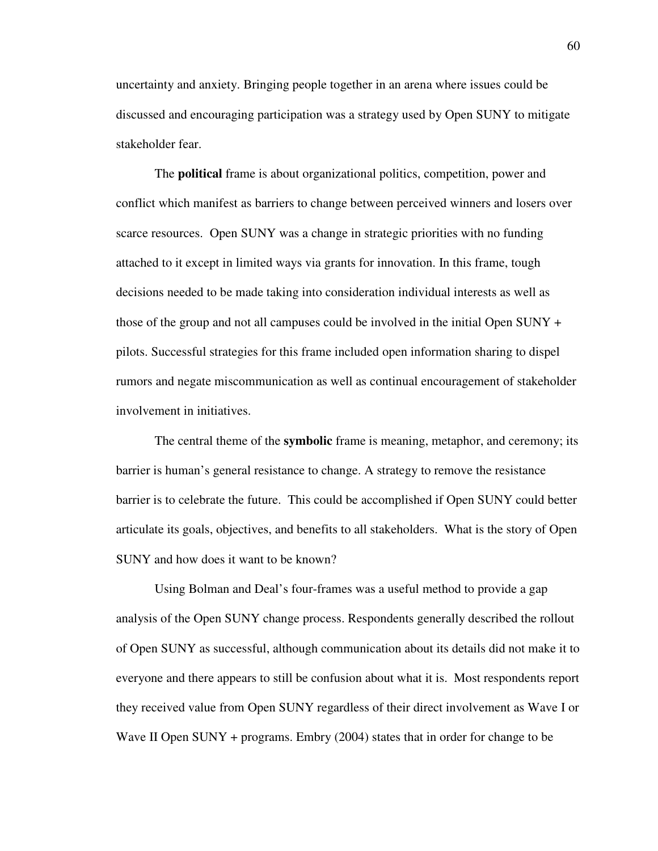uncertainty and anxiety. Bringing people together in an arena where issues could be discussed and encouraging participation was a strategy used by Open SUNY to mitigate stakeholder fear.

The **political** frame is about organizational politics, competition, power and conflict which manifest as barriers to change between perceived winners and losers over scarce resources. Open SUNY was a change in strategic priorities with no funding attached to it except in limited ways via grants for innovation. In this frame, tough decisions needed to be made taking into consideration individual interests as well as those of the group and not all campuses could be involved in the initial Open SUNY + pilots. Successful strategies for this frame included open information sharing to dispel rumors and negate miscommunication as well as continual encouragement of stakeholder involvement in initiatives.

The central theme of the **symbolic** frame is meaning, metaphor, and ceremony; its barrier is human's general resistance to change. A strategy to remove the resistance barrier is to celebrate the future. This could be accomplished if Open SUNY could better articulate its goals, objectives, and benefits to all stakeholders. What is the story of Open SUNY and how does it want to be known?

Using Bolman and Deal's four-frames was a useful method to provide a gap analysis of the Open SUNY change process. Respondents generally described the rollout of Open SUNY as successful, although communication about its details did not make it to everyone and there appears to still be confusion about what it is. Most respondents report they received value from Open SUNY regardless of their direct involvement as Wave I or Wave II Open SUNY + programs. Embry (2004) states that in order for change to be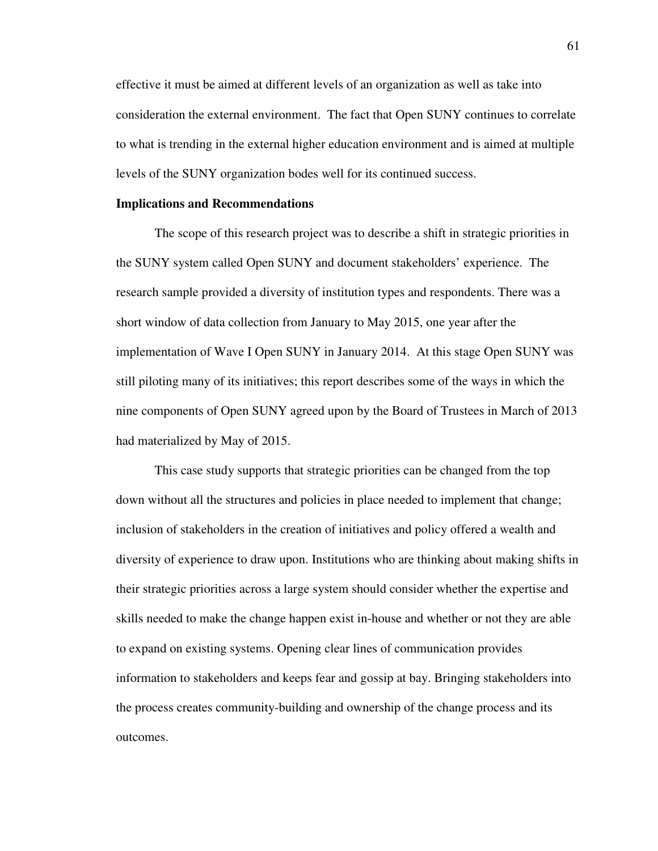effective it must be aimed at different levels of an organization as well as take into consideration the external environment. The fact that Open SUNY continues to correlate to what is trending in the external higher education environment and is aimed at multiple levels of the SUNY organization bodes well for its continued success.

#### **Implications and Recommendations**

The scope of this research project was to describe a shift in strategic priorities in the SUNY system called Open SUNY and document stakeholders' experience. The research sample provided a diversity of institution types and respondents. There was a short window of data collection from January to May 2015, one year after the implementation of Wave I Open SUNY in January 2014. At this stage Open SUNY was still piloting many of its initiatives; this report describes some of the ways in which the nine components of Open SUNY agreed upon by the Board of Trustees in March of 2013 had materialized by May of 2015.

This case study supports that strategic priorities can be changed from the top down without all the structures and policies in place needed to implement that change; inclusion of stakeholders in the creation of initiatives and policy offered a wealth and diversity of experience to draw upon. Institutions who are thinking about making shifts in their strategic priorities across a large system should consider whether the expertise and skills needed to make the change happen exist in-house and whether or not they are able to expand on existing systems. Opening clear lines of communication provides information to stakeholders and keeps fear and gossip at bay. Bringing stakeholders into the process creates community-building and ownership of the change process and its outcomes.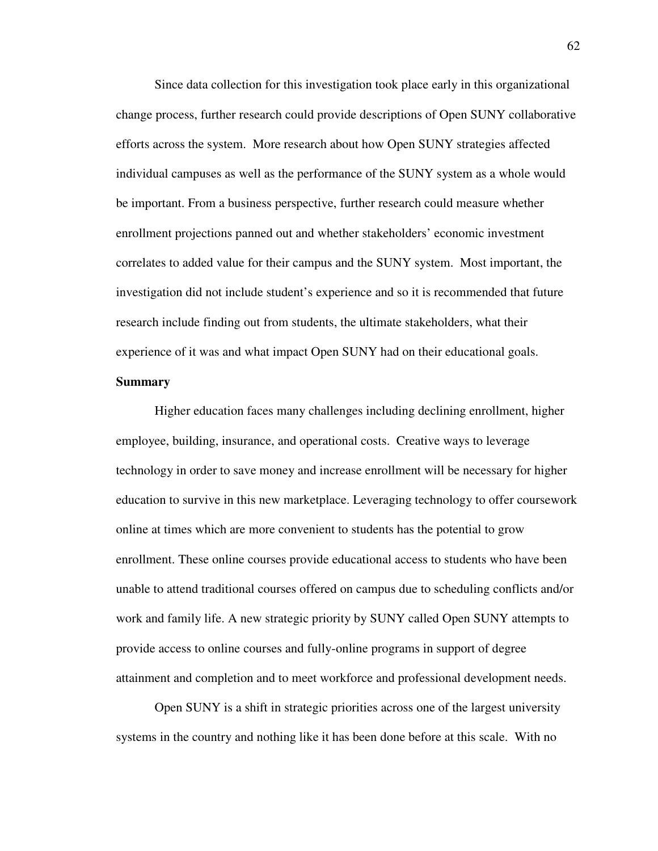Since data collection for this investigation took place early in this organizational change process, further research could provide descriptions of Open SUNY collaborative efforts across the system. More research about how Open SUNY strategies affected individual campuses as well as the performance of the SUNY system as a whole would be important. From a business perspective, further research could measure whether enrollment projections panned out and whether stakeholders' economic investment correlates to added value for their campus and the SUNY system. Most important, the investigation did not include student's experience and so it is recommended that future research include finding out from students, the ultimate stakeholders, what their experience of it was and what impact Open SUNY had on their educational goals.

## **Summary**

Higher education faces many challenges including declining enrollment, higher employee, building, insurance, and operational costs. Creative ways to leverage technology in order to save money and increase enrollment will be necessary for higher education to survive in this new marketplace. Leveraging technology to offer coursework online at times which are more convenient to students has the potential to grow enrollment. These online courses provide educational access to students who have been unable to attend traditional courses offered on campus due to scheduling conflicts and/or work and family life. A new strategic priority by SUNY called Open SUNY attempts to provide access to online courses and fully-online programs in support of degree attainment and completion and to meet workforce and professional development needs.

Open SUNY is a shift in strategic priorities across one of the largest university systems in the country and nothing like it has been done before at this scale. With no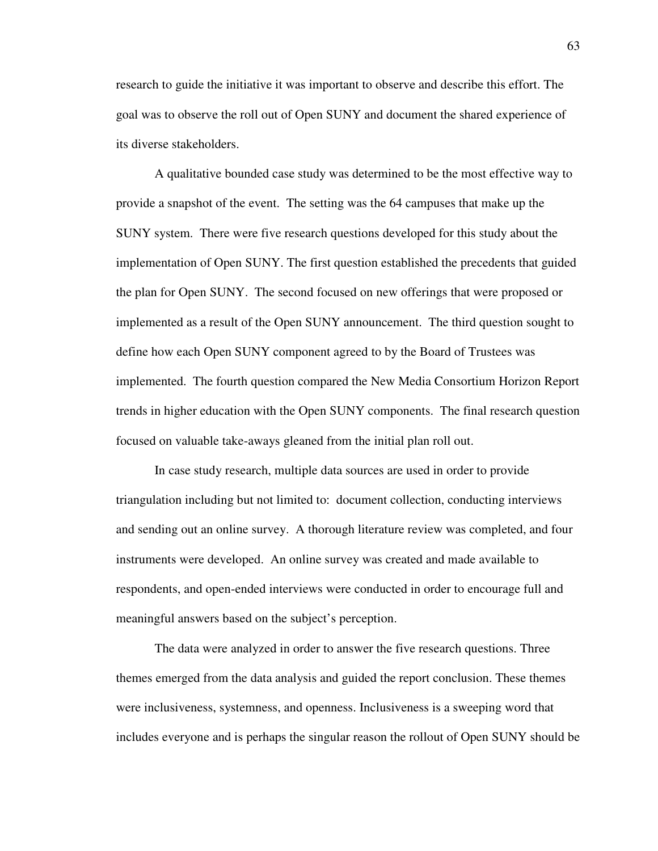research to guide the initiative it was important to observe and describe this effort. The goal was to observe the roll out of Open SUNY and document the shared experience of its diverse stakeholders.

A qualitative bounded case study was determined to be the most effective way to provide a snapshot of the event. The setting was the 64 campuses that make up the SUNY system. There were five research questions developed for this study about the implementation of Open SUNY. The first question established the precedents that guided the plan for Open SUNY. The second focused on new offerings that were proposed or implemented as a result of the Open SUNY announcement. The third question sought to define how each Open SUNY component agreed to by the Board of Trustees was implemented. The fourth question compared the New Media Consortium Horizon Report trends in higher education with the Open SUNY components. The final research question focused on valuable take-aways gleaned from the initial plan roll out.

In case study research, multiple data sources are used in order to provide triangulation including but not limited to: document collection, conducting interviews and sending out an online survey. A thorough literature review was completed, and four instruments were developed. An online survey was created and made available to respondents, and open-ended interviews were conducted in order to encourage full and meaningful answers based on the subject's perception.

The data were analyzed in order to answer the five research questions. Three themes emerged from the data analysis and guided the report conclusion. These themes were inclusiveness, systemness, and openness. Inclusiveness is a sweeping word that includes everyone and is perhaps the singular reason the rollout of Open SUNY should be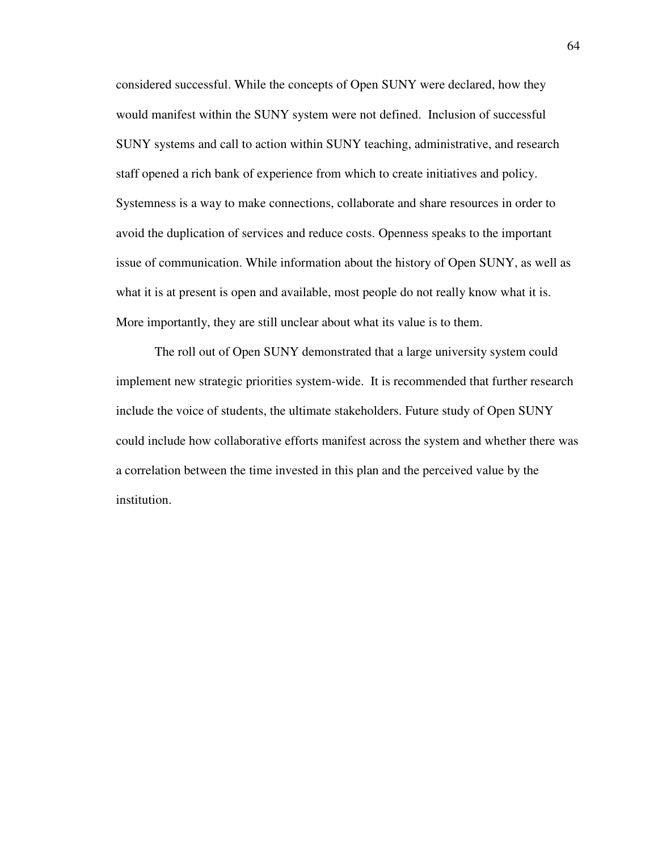considered successful. While the concepts of Open SUNY were declared, how they would manifest within the SUNY system were not defined. Inclusion of successful SUNY systems and call to action within SUNY teaching, administrative, and research staff opened a rich bank of experience from which to create initiatives and policy. Systemness is a way to make connections, collaborate and share resources in order to avoid the duplication of services and reduce costs. Openness speaks to the important issue of communication. While information about the history of Open SUNY, as well as what it is at present is open and available, most people do not really know what it is. More importantly, they are still unclear about what its value is to them.

The roll out of Open SUNY demonstrated that a large university system could implement new strategic priorities system-wide. It is recommended that further research include the voice of students, the ultimate stakeholders. Future study of Open SUNY could include how collaborative efforts manifest across the system and whether there was a correlation between the time invested in this plan and the perceived value by the institution.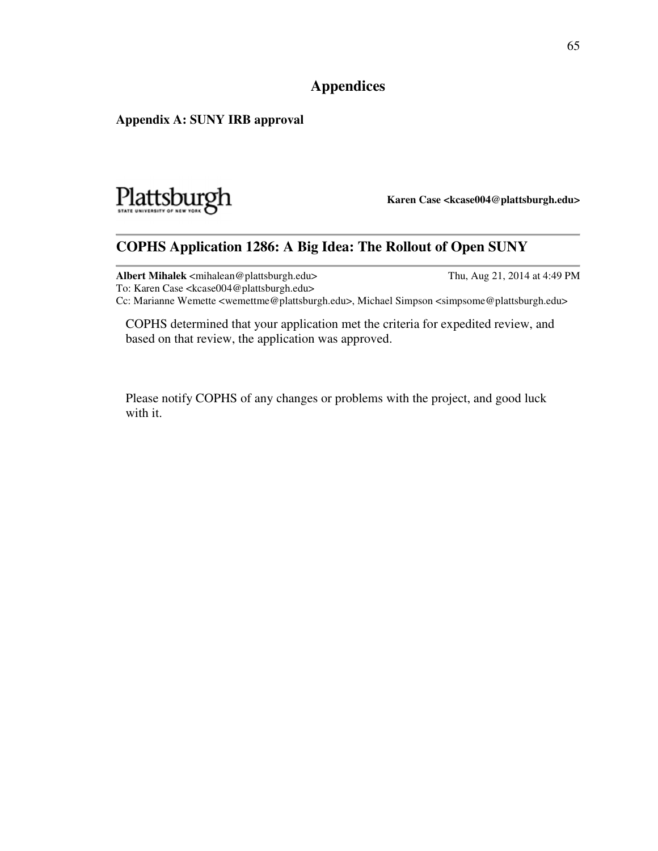# **Appendices**

### **Appendix A: SUNY IRB approval**



**Karen Case <kcase004@plattsburgh.edu>**

# **COPHS Application 1286: A Big Idea: The Rollout of Open SUNY**

**Albert Mihalek** <mihalean@plattsburgh.edu> Thu, Aug 21, 2014 at 4:49 PM To: Karen Case <kcase004@plattsburgh.edu> Cc: Marianne Wemette <wemettme@plattsburgh.edu>, Michael Simpson <simpsome@plattsburgh.edu>

COPHS determined that your application met the criteria for expedited review, and based on that review, the application was approved.

Please notify COPHS of any changes or problems with the project, and good luck with it.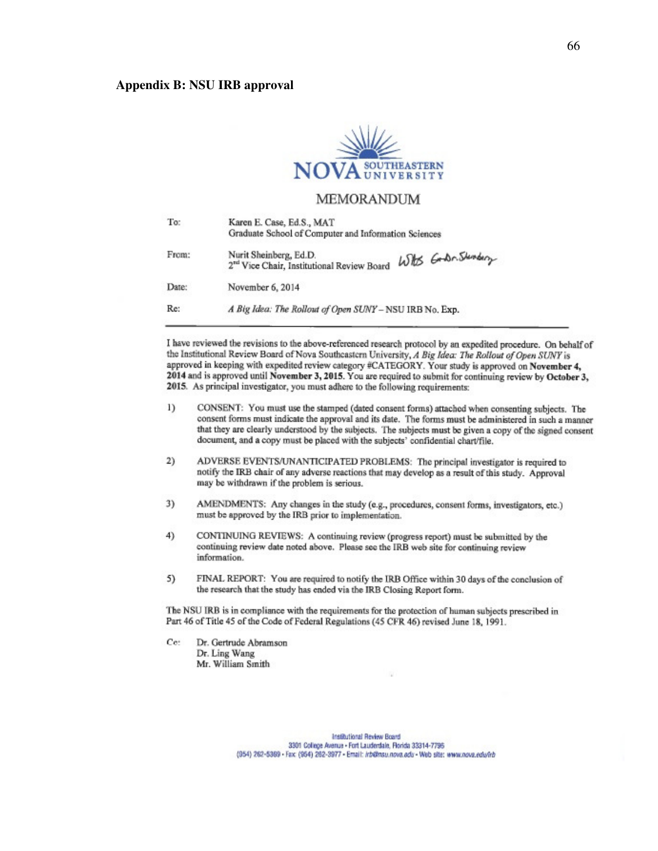#### **Appendix B: NSU IRB approval**



#### **MEMORANDUM**

| To:   | Karen E. Case, Ed.S., MAT<br>Graduate School of Computer and Information Sciences                       |  |  |  |  |
|-------|---------------------------------------------------------------------------------------------------------|--|--|--|--|
| From: | Nurit Sheinberg, Ed.D.<br>With Godn. Stendary<br>2 <sup>rd</sup> Vice Chair, Institutional Review Board |  |  |  |  |
| Date: | November 6, 2014                                                                                        |  |  |  |  |
| Re:   | A Big Idea: The Rollout of Open SUNY - NSU IRB No. Exp.                                                 |  |  |  |  |

I have reviewed the revisions to the above-referenced research protocol by an expedited procedure. On behalf of the Institutional Review Board of Nova Southcastern University, A Big Idea: The Rollout of Open SUNY is approved in keeping with expedited review category #CATEGORY. Your study is approved on November 4, 2014 and is approved until November 3, 2015. You are required to submit for continuing review by October 3, 2015. As principal investigator, you must adhere to the following requirements:

- $1)$ CONSENT: You must use the stamped (dated consent forms) attached when consenting subjects. The consent forms must indicate the approval and its date. The forms must be administered in such a manner that they are clearly understood by the subjects. The subjects must be given a copy of the signed consent document, and a copy must be placed with the subjects' confidential chart/file.
- 2) ADVERSE EVENTS/UNANTICIPATED PROBLEMS: The principal investigator is required to notify the IRB chair of any adverse reactions that may develop as a result of this study. Approval may be withdrawn if the problem is serious.
- 3) AMENDMENTS: Any changes in the study (e.g., procedures, consent forms, investigators, etc.) must be approved by the IRB prior to implementation.
- 4) CONTINUING REVIEWS: A continuing review (progress report) must be submitted by the continuing review date noted above. Please see the IRB web site for continuing review information.
- 5) FINAL REPORT: You are required to notify the IRB Office within 30 days of the conclusion of the research that the study has ended via the IRB Closing Report form.

The NSU IRB is in compliance with the requirements for the protection of human subjects prescribed in Part 46 of Title 45 of the Code of Federal Regulations (45 CFR 46) revised June 18, 1991.

Ce: Dr. Gertrude Abramson Dr. Ling Wang Mr. William Smith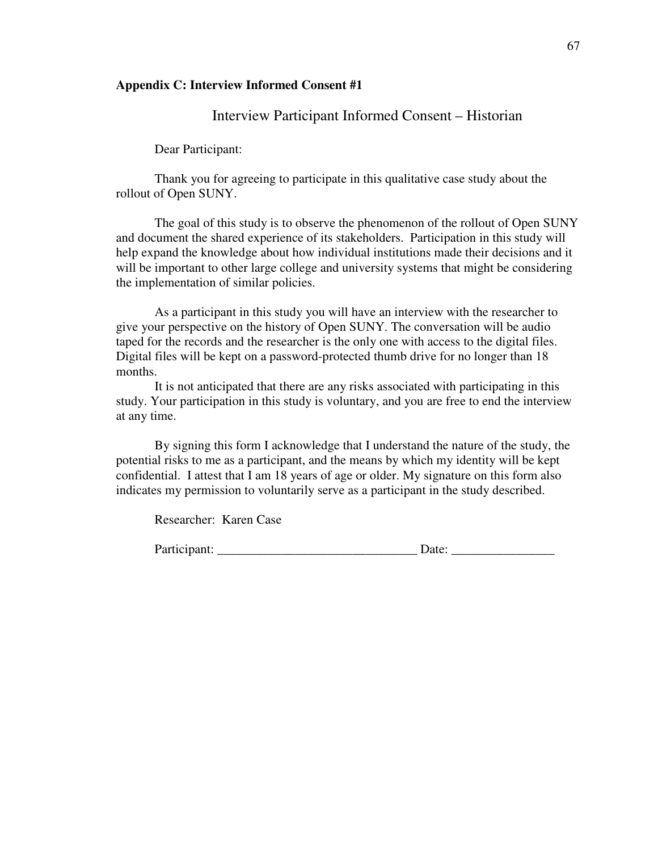#### **Appendix C: Interview Informed Consent #1**

## Interview Participant Informed Consent – Historian

Dear Participant:

Thank you for agreeing to participate in this qualitative case study about the rollout of Open SUNY.

The goal of this study is to observe the phenomenon of the rollout of Open SUNY and document the shared experience of its stakeholders. Participation in this study will help expand the knowledge about how individual institutions made their decisions and it will be important to other large college and university systems that might be considering the implementation of similar policies.

As a participant in this study you will have an interview with the researcher to give your perspective on the history of Open SUNY. The conversation will be audio taped for the records and the researcher is the only one with access to the digital files. Digital files will be kept on a password-protected thumb drive for no longer than 18 months.

It is not anticipated that there are any risks associated with participating in this study. Your participation in this study is voluntary, and you are free to end the interview at any time.

By signing this form I acknowledge that I understand the nature of the study, the potential risks to me as a participant, and the means by which my identity will be kept confidential. I attest that I am 18 years of age or older. My signature on this form also indicates my permission to voluntarily serve as a participant in the study described.

Researcher: Karen Case

Participant: \_\_\_\_\_\_\_\_\_\_\_\_\_\_\_\_\_\_\_\_\_\_\_\_\_\_\_\_\_\_\_ Date: \_\_\_\_\_\_\_\_\_\_\_\_\_\_\_\_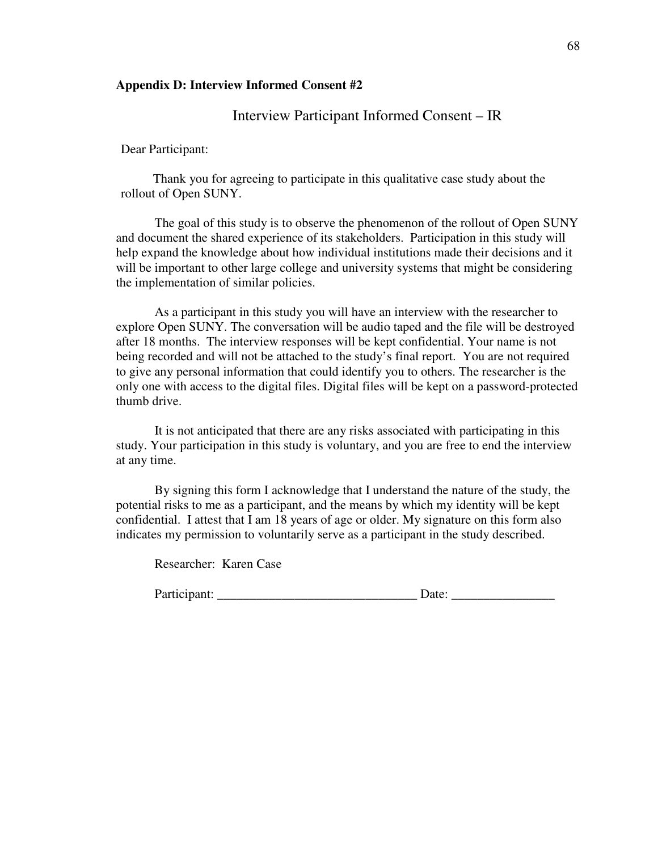#### **Appendix D: Interview Informed Consent #2**

#### Interview Participant Informed Consent – IR

Dear Participant:

 Thank you for agreeing to participate in this qualitative case study about the rollout of Open SUNY.

The goal of this study is to observe the phenomenon of the rollout of Open SUNY and document the shared experience of its stakeholders. Participation in this study will help expand the knowledge about how individual institutions made their decisions and it will be important to other large college and university systems that might be considering the implementation of similar policies.

As a participant in this study you will have an interview with the researcher to explore Open SUNY. The conversation will be audio taped and the file will be destroyed after 18 months. The interview responses will be kept confidential. Your name is not being recorded and will not be attached to the study's final report. You are not required to give any personal information that could identify you to others. The researcher is the only one with access to the digital files. Digital files will be kept on a password-protected thumb drive.

It is not anticipated that there are any risks associated with participating in this study. Your participation in this study is voluntary, and you are free to end the interview at any time.

By signing this form I acknowledge that I understand the nature of the study, the potential risks to me as a participant, and the means by which my identity will be kept confidential. I attest that I am 18 years of age or older. My signature on this form also indicates my permission to voluntarily serve as a participant in the study described.

Researcher: Karen Case

| Participant: |  |  |
|--------------|--|--|
|              |  |  |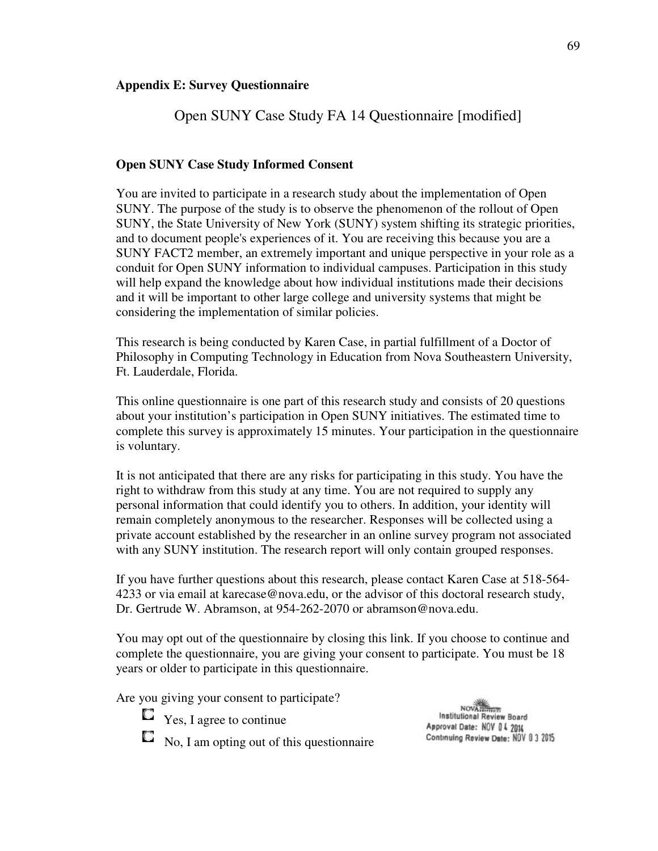#### **Appendix E: Survey Questionnaire**

# Open SUNY Case Study FA 14 Questionnaire [modified]

#### **Open SUNY Case Study Informed Consent**

You are invited to participate in a research study about the implementation of Open SUNY. The purpose of the study is to observe the phenomenon of the rollout of Open SUNY, the State University of New York (SUNY) system shifting its strategic priorities, and to document people's experiences of it. You are receiving this because you are a SUNY FACT2 member, an extremely important and unique perspective in your role as a conduit for Open SUNY information to individual campuses. Participation in this study will help expand the knowledge about how individual institutions made their decisions and it will be important to other large college and university systems that might be considering the implementation of similar policies.

This research is being conducted by Karen Case, in partial fulfillment of a Doctor of Philosophy in Computing Technology in Education from Nova Southeastern University, Ft. Lauderdale, Florida.

This online questionnaire is one part of this research study and consists of 20 questions about your institution's participation in Open SUNY initiatives. The estimated time to complete this survey is approximately 15 minutes. Your participation in the questionnaire is voluntary.

It is not anticipated that there are any risks for participating in this study. You have the right to withdraw from this study at any time. You are not required to supply any personal information that could identify you to others. In addition, your identity will remain completely anonymous to the researcher. Responses will be collected using a private account established by the researcher in an online survey program not associated with any SUNY institution. The research report will only contain grouped responses.

If you have further questions about this research, please contact Karen Case at 518-564- 4233 or via email at karecase@nova.edu, or the advisor of this doctoral research study, Dr. Gertrude W. Abramson, at 954-262-2070 or abramson@nova.edu.

You may opt out of the questionnaire by closing this link. If you choose to continue and complete the questionnaire, you are giving your consent to participate. You must be 18 years or older to participate in this questionnaire.

Are you giving your consent to participate?

- $\Box$  Yes, I agree to continue
- $\Box$  No, I am opting out of this questionnaire

NOVAILTING<br>Institutional Review Board Approval Date: NOV 0 4 2014 Continuing Review Date: NOV 0 3 2015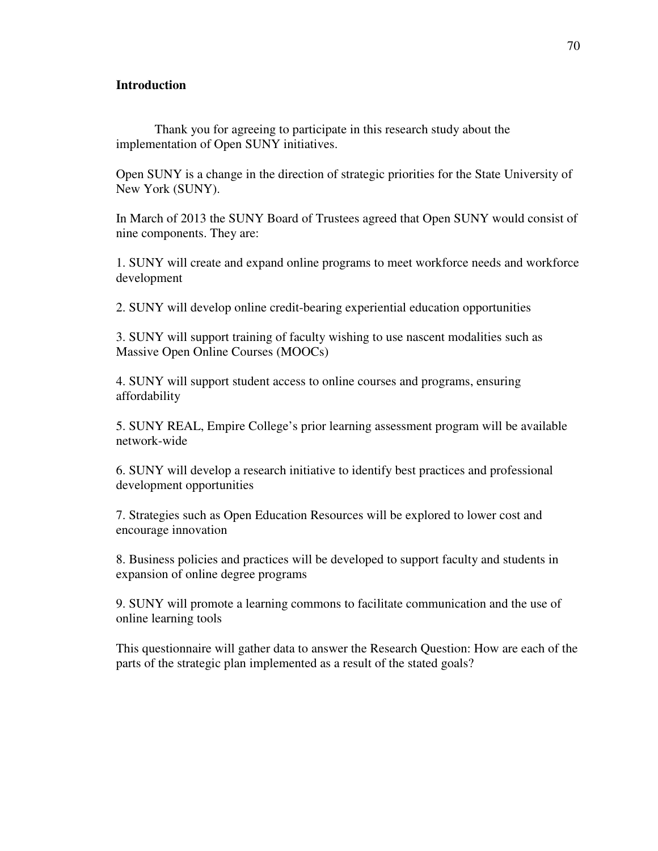#### **Introduction**

Thank you for agreeing to participate in this research study about the implementation of Open SUNY initiatives.

Open SUNY is a change in the direction of strategic priorities for the State University of New York (SUNY).

In March of 2013 the SUNY Board of Trustees agreed that Open SUNY would consist of nine components. They are:

1. SUNY will create and expand online programs to meet workforce needs and workforce development

2. SUNY will develop online credit-bearing experiential education opportunities

3. SUNY will support training of faculty wishing to use nascent modalities such as Massive Open Online Courses (MOOCs)

4. SUNY will support student access to online courses and programs, ensuring affordability

5. SUNY REAL, Empire College's prior learning assessment program will be available network-wide

6. SUNY will develop a research initiative to identify best practices and professional development opportunities

7. Strategies such as Open Education Resources will be explored to lower cost and encourage innovation

8. Business policies and practices will be developed to support faculty and students in expansion of online degree programs

9. SUNY will promote a learning commons to facilitate communication and the use of online learning tools

This questionnaire will gather data to answer the Research Question: How are each of the parts of the strategic plan implemented as a result of the stated goals?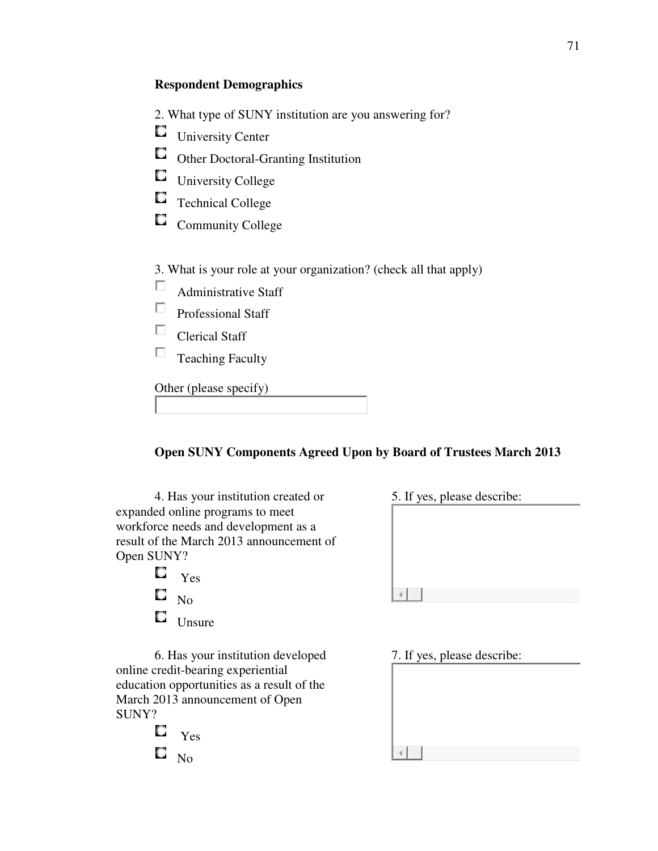## **Respondent Demographics**

- 2. What type of SUNY institution are you answering for?
- University Center
- Other Doctoral-Granting Institution
- University College
- Technical College
- $\Box$ Community College

3. What is your role at your organization? (check all that apply)

- П Administrative Staff
- П Professional Staff
- П Clerical Staff
- П Teaching Faculty

Other (please specify)

## **Open SUNY Components Agreed Upon by Board of Trustees March 2013**

4. Has your institution created or expanded online programs to meet workforce needs and development as a result of the March 2013 announcement of Open SUNY?

> O Yes O, No О Unsure

6. Has your institution developed online credit-bearing experiential education opportunities as a result of the March 2013 announcement of Open SUNY?

 $\Box$  Yes 0 No

| 5. If yes, please describe: |  |  |  |
|-----------------------------|--|--|--|
|                             |  |  |  |
|                             |  |  |  |
|                             |  |  |  |
|                             |  |  |  |
|                             |  |  |  |

7. If yes, please describe:

кĪ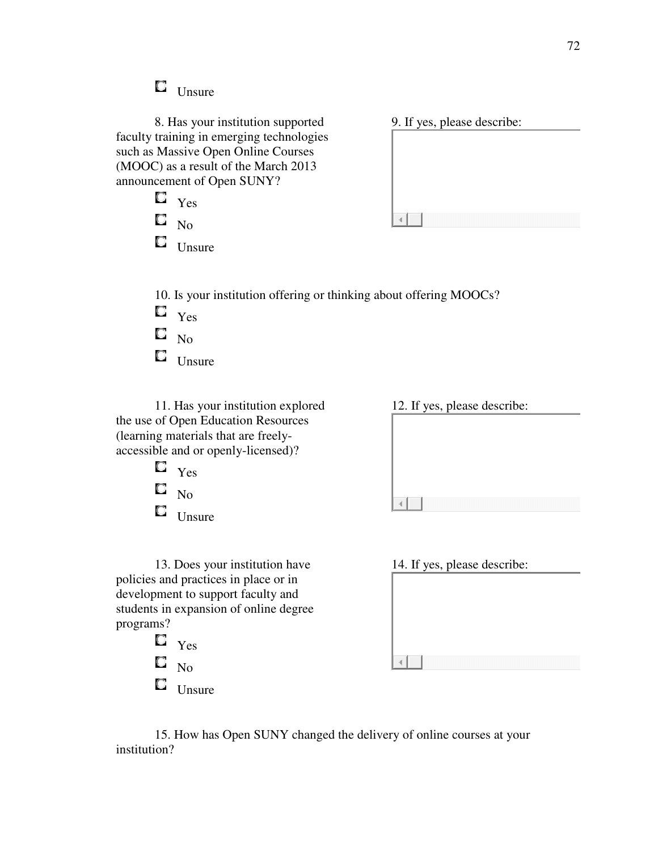$\Box$  Unsure

No  $\Box$  Unsure

O

8. Has your institution supported faculty training in emerging technologies such as Massive Open Online Courses (MOOC) as a result of the March 2013 announcement of Open SUNY?  $\Box$  Yes

9. If yes, please describe:

 $\left\vert 1\right\rangle$ 

 $\left\vert 1\right\rangle$ 

10. Is your institution offering or thinking about offering MOOCs?  $\Box$ Yes

- 
- 0 No
- $\Box$  Unsure

11. Has your institution explored the use of Open Education Resources (learning materials that are freelyaccessible and or openly-licensed)?

 $\square$   $\gamma$ es O, No  $\Box$  Unsure 12. If yes, please describe:

13. Does your institution have policies and practices in place or in development to support faculty and students in expansion of online degree programs?

- O. Yes О No
- $\Box$  Unsure

| 14. If yes, please describe: |  |
|------------------------------|--|
|                              |  |
|                              |  |
|                              |  |
|                              |  |

15. How has Open SUNY changed the delivery of online courses at your institution?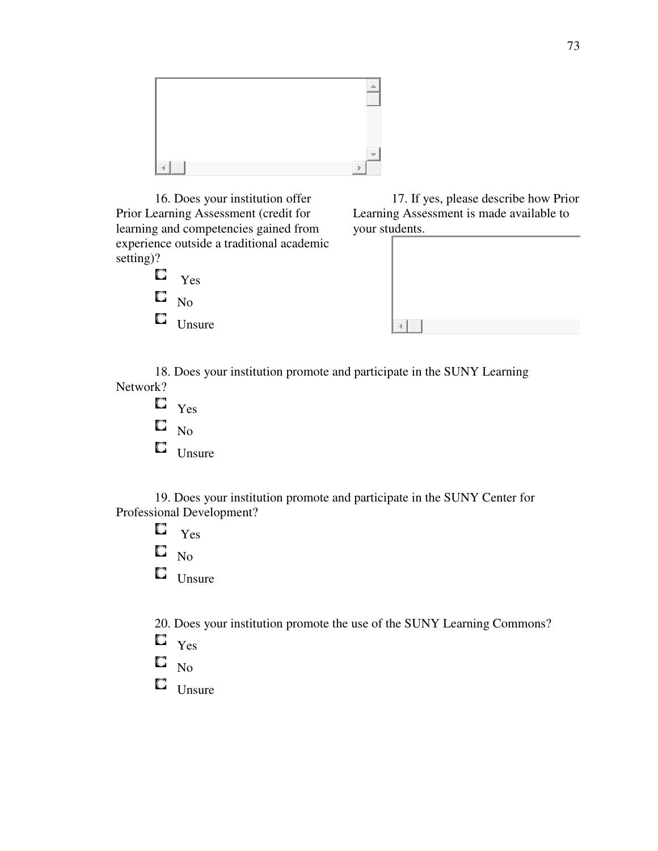

16. Does your institution offer Prior Learning Assessment (credit for learning and competencies gained from experience outside a traditional academic setting)?



17. If yes, please describe how Prior Learning Assessment is made available to your students.



18. Does your institution promote and participate in the SUNY Learning Network?

- $\Box$  Yes
- $\square$  No
- $\Box$  Unsure

19. Does your institution promote and participate in the SUNY Center for Professional Development?

- О Yes
- $\Box$ No
- $\Box$  Unsure

20. Does your institution promote the use of the SUNY Learning Commons?

- $\Box$  Yes
- O. No
- $\Box$  Unsure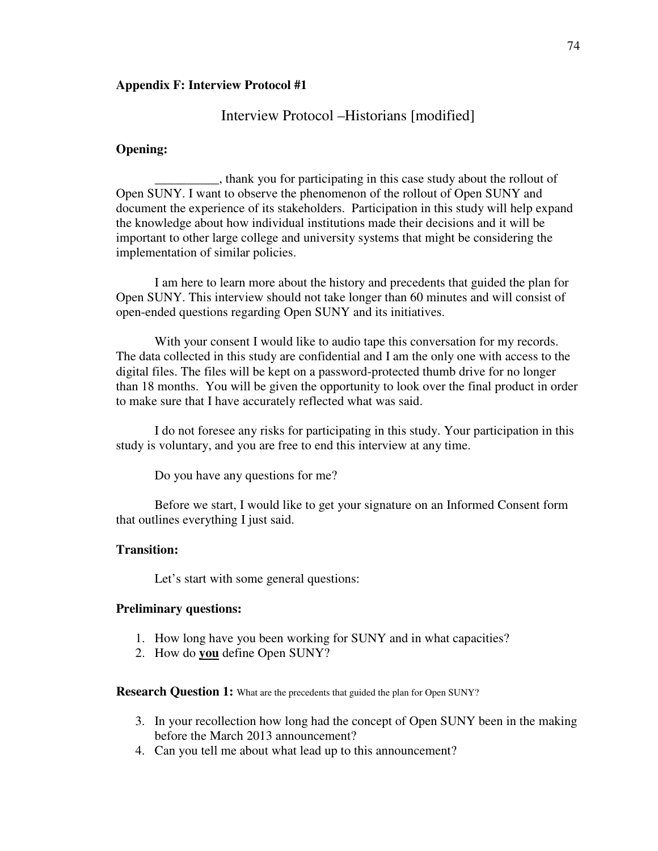#### **Appendix F: Interview Protocol #1**

#### Interview Protocol –Historians [modified]

#### **Opening:**

\_\_\_\_\_\_\_\_\_\_, thank you for participating in this case study about the rollout of Open SUNY. I want to observe the phenomenon of the rollout of Open SUNY and document the experience of its stakeholders. Participation in this study will help expand the knowledge about how individual institutions made their decisions and it will be important to other large college and university systems that might be considering the implementation of similar policies.

I am here to learn more about the history and precedents that guided the plan for Open SUNY. This interview should not take longer than 60 minutes and will consist of open-ended questions regarding Open SUNY and its initiatives.

With your consent I would like to audio tape this conversation for my records. The data collected in this study are confidential and I am the only one with access to the digital files. The files will be kept on a password-protected thumb drive for no longer than 18 months. You will be given the opportunity to look over the final product in order to make sure that I have accurately reflected what was said.

I do not foresee any risks for participating in this study. Your participation in this study is voluntary, and you are free to end this interview at any time.

Do you have any questions for me?

Before we start, I would like to get your signature on an Informed Consent form that outlines everything I just said.

#### **Transition:**

Let's start with some general questions:

#### **Preliminary questions:**

- 1. How long have you been working for SUNY and in what capacities?
- 2. How do **you** define Open SUNY?

**Research Question 1:** What are the precedents that guided the plan for Open SUNY?

- 3. In your recollection how long had the concept of Open SUNY been in the making before the March 2013 announcement?
- 4. Can you tell me about what lead up to this announcement?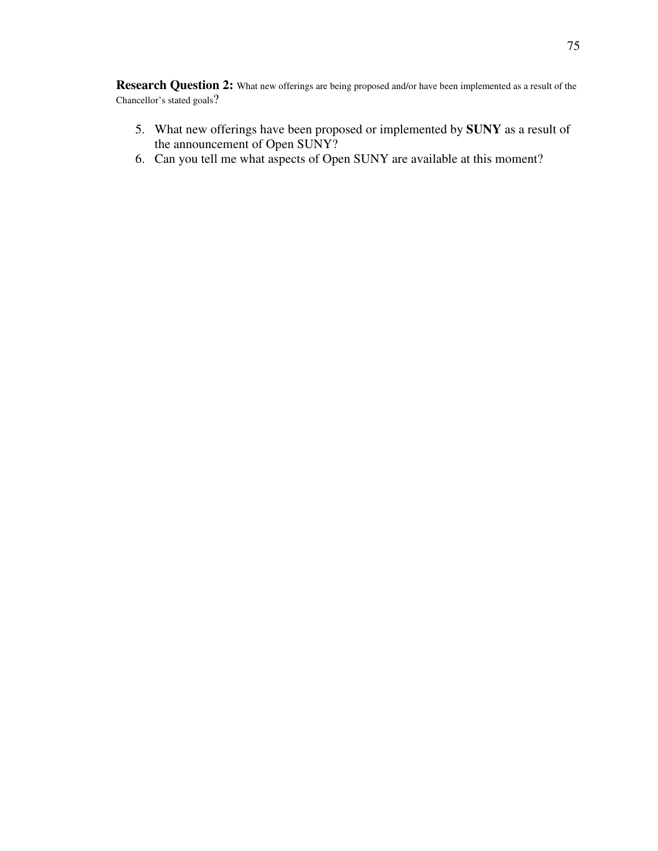**Research Question 2:** What new offerings are being proposed and/or have been implemented as a result of the Chancellor's stated goals?

- 5. What new offerings have been proposed or implemented by **SUNY** as a result of the announcement of Open SUNY?
- 6. Can you tell me what aspects of Open SUNY are available at this moment?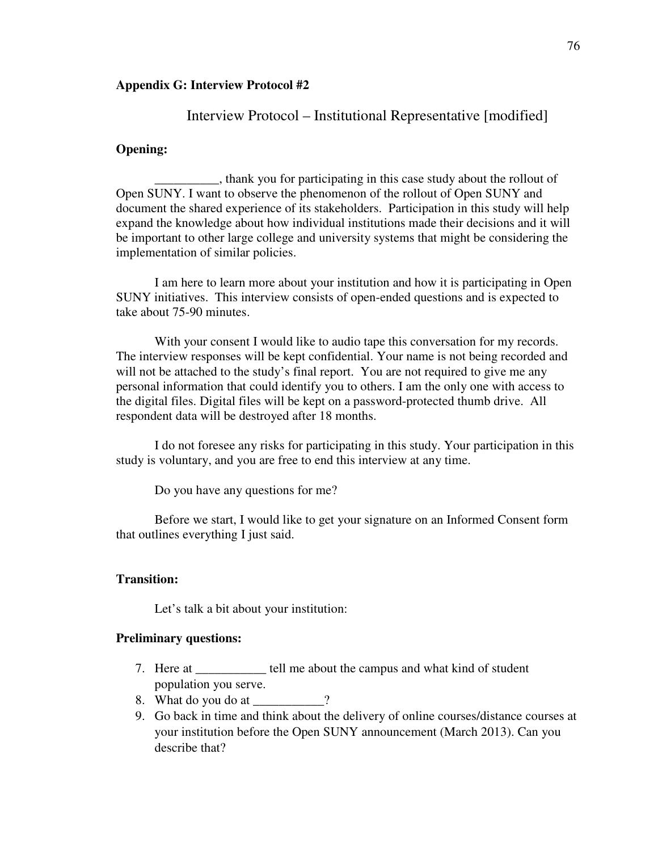#### **Appendix G: Interview Protocol #2**

#### Interview Protocol – Institutional Representative [modified]

#### **Opening:**

\_\_\_\_\_\_\_\_\_\_, thank you for participating in this case study about the rollout of Open SUNY. I want to observe the phenomenon of the rollout of Open SUNY and document the shared experience of its stakeholders. Participation in this study will help expand the knowledge about how individual institutions made their decisions and it will be important to other large college and university systems that might be considering the implementation of similar policies.

I am here to learn more about your institution and how it is participating in Open SUNY initiatives. This interview consists of open-ended questions and is expected to take about 75-90 minutes.

With your consent I would like to audio tape this conversation for my records. The interview responses will be kept confidential. Your name is not being recorded and will not be attached to the study's final report. You are not required to give me any personal information that could identify you to others. I am the only one with access to the digital files. Digital files will be kept on a password-protected thumb drive. All respondent data will be destroyed after 18 months.

I do not foresee any risks for participating in this study. Your participation in this study is voluntary, and you are free to end this interview at any time.

Do you have any questions for me?

Before we start, I would like to get your signature on an Informed Consent form that outlines everything I just said.

## **Transition:**

Let's talk a bit about your institution:

#### **Preliminary questions:**

- 7. Here at \_\_\_\_\_\_\_\_\_\_\_ tell me about the campus and what kind of student population you serve.
- 8. What do you do at 2
- 9. Go back in time and think about the delivery of online courses/distance courses at your institution before the Open SUNY announcement (March 2013). Can you describe that?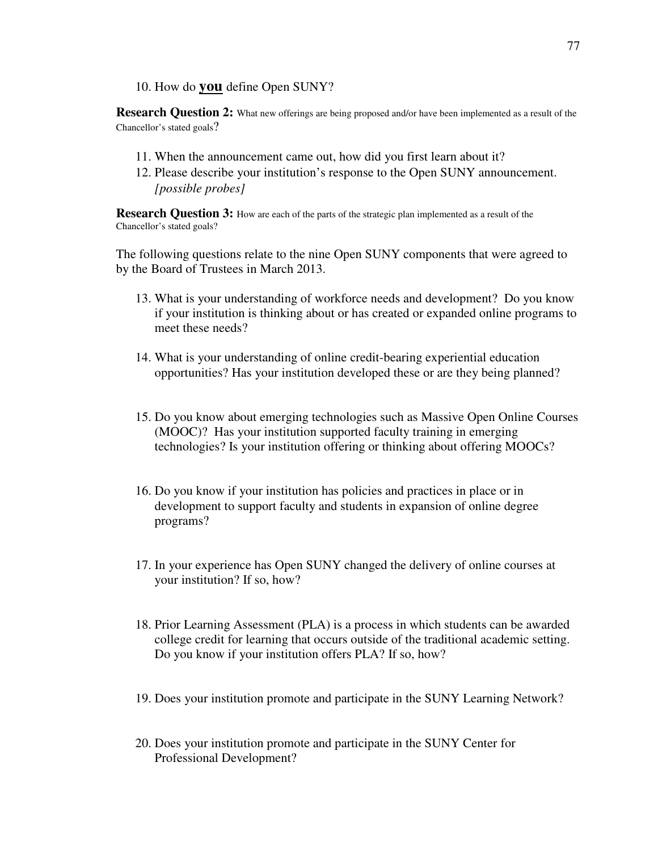10. How do **you** define Open SUNY?

**Research Question 2:** What new offerings are being proposed and/or have been implemented as a result of the Chancellor's stated goals?

- 11. When the announcement came out, how did you first learn about it?
- 12. Please describe your institution's response to the Open SUNY announcement. *[possible probes]*

**Research Question 3:** How are each of the parts of the strategic plan implemented as a result of the Chancellor's stated goals?

The following questions relate to the nine Open SUNY components that were agreed to by the Board of Trustees in March 2013.

- 13. What is your understanding of workforce needs and development? Do you know if your institution is thinking about or has created or expanded online programs to meet these needs?
- 14. What is your understanding of online credit-bearing experiential education opportunities? Has your institution developed these or are they being planned?
- 15. Do you know about emerging technologies such as Massive Open Online Courses (MOOC)? Has your institution supported faculty training in emerging technologies? Is your institution offering or thinking about offering MOOCs?
- 16. Do you know if your institution has policies and practices in place or in development to support faculty and students in expansion of online degree programs?
- 17. In your experience has Open SUNY changed the delivery of online courses at your institution? If so, how?
- 18. Prior Learning Assessment (PLA) is a process in which students can be awarded college credit for learning that occurs outside of the traditional academic setting. Do you know if your institution offers PLA? If so, how?
- 19. Does your institution promote and participate in the SUNY Learning Network?
- 20. Does your institution promote and participate in the SUNY Center for Professional Development?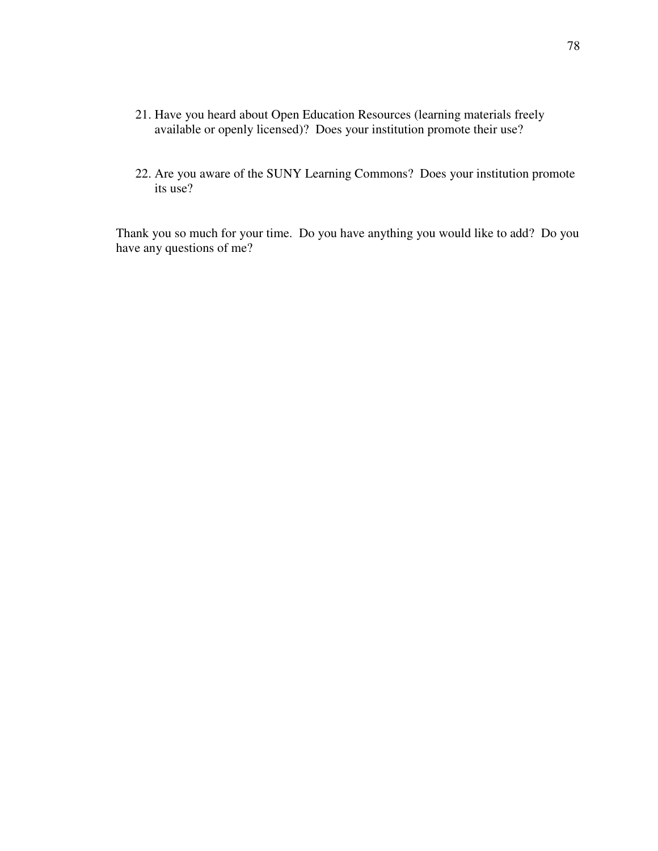- 21. Have you heard about Open Education Resources (learning materials freely available or openly licensed)? Does your institution promote their use?
- 22. Are you aware of the SUNY Learning Commons? Does your institution promote its use?

Thank you so much for your time. Do you have anything you would like to add? Do you have any questions of me?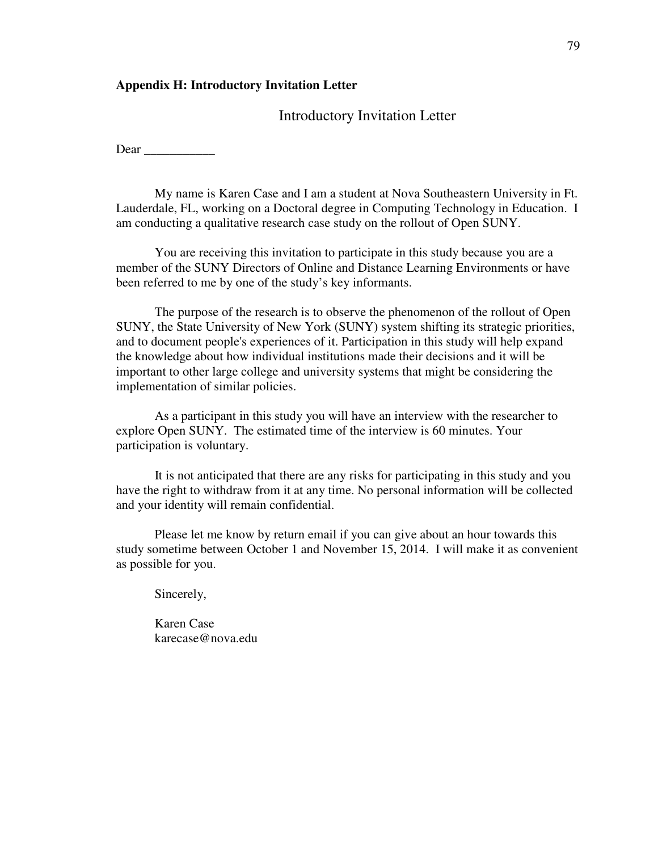#### **Appendix H: Introductory Invitation Letter**

#### Introductory Invitation Letter

Dear  $\Box$ 

My name is Karen Case and I am a student at Nova Southeastern University in Ft. Lauderdale, FL, working on a Doctoral degree in Computing Technology in Education. I am conducting a qualitative research case study on the rollout of Open SUNY.

You are receiving this invitation to participate in this study because you are a member of the SUNY Directors of Online and Distance Learning Environments or have been referred to me by one of the study's key informants.

The purpose of the research is to observe the phenomenon of the rollout of Open SUNY, the State University of New York (SUNY) system shifting its strategic priorities, and to document people's experiences of it. Participation in this study will help expand the knowledge about how individual institutions made their decisions and it will be important to other large college and university systems that might be considering the implementation of similar policies.

As a participant in this study you will have an interview with the researcher to explore Open SUNY. The estimated time of the interview is 60 minutes. Your participation is voluntary.

 It is not anticipated that there are any risks for participating in this study and you have the right to withdraw from it at any time. No personal information will be collected and your identity will remain confidential.

Please let me know by return email if you can give about an hour towards this study sometime between October 1 and November 15, 2014. I will make it as convenient as possible for you.

Sincerely,

Karen Case karecase@nova.edu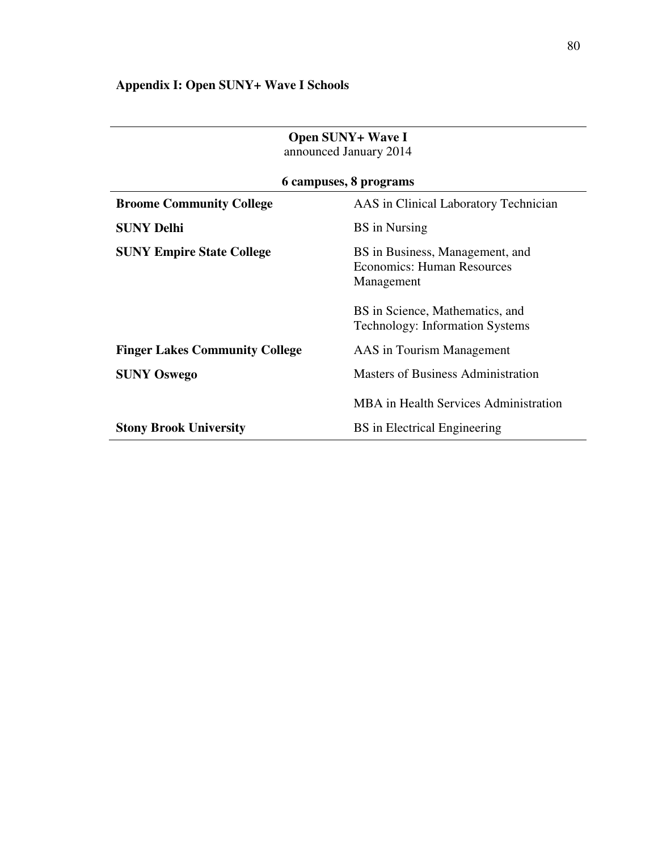# **Appendix I: Open SUNY+ Wave I Schools**

| Open SUNY+ Wave I<br>announced January 2014 |                                                                                    |  |  |  |
|---------------------------------------------|------------------------------------------------------------------------------------|--|--|--|
|                                             | 6 campuses, 8 programs                                                             |  |  |  |
| <b>Broome Community College</b>             | AAS in Clinical Laboratory Technician                                              |  |  |  |
| <b>SUNY Delhi</b>                           | <b>BS</b> in Nursing                                                               |  |  |  |
| <b>SUNY Empire State College</b>            | BS in Business, Management, and<br><b>Economics: Human Resources</b><br>Management |  |  |  |
|                                             | BS in Science, Mathematics, and<br><b>Technology: Information Systems</b>          |  |  |  |
| <b>Finger Lakes Community College</b>       | AAS in Tourism Management                                                          |  |  |  |
| <b>SUNY Oswego</b>                          | Masters of Business Administration                                                 |  |  |  |
|                                             | <b>MBA</b> in Health Services Administration                                       |  |  |  |
| <b>Stony Brook University</b>               | BS in Electrical Engineering                                                       |  |  |  |

# **Open SUNIV** WAVE I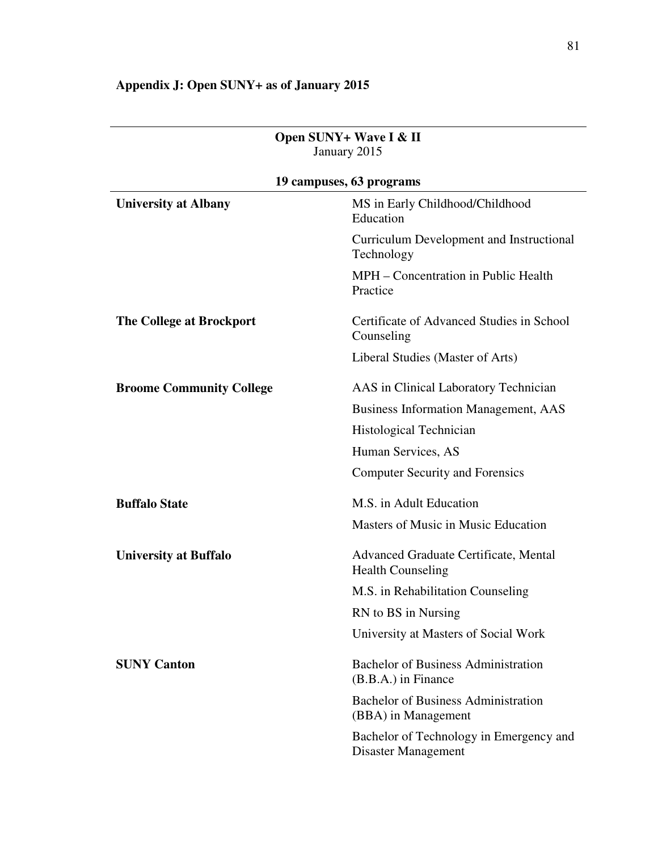| Open SUNY+ Wave I & II<br>January 2015 |                                                                   |  |  |  |  |
|----------------------------------------|-------------------------------------------------------------------|--|--|--|--|
|                                        | 19 campuses, 63 programs                                          |  |  |  |  |
| <b>University at Albany</b>            | MS in Early Childhood/Childhood<br>Education                      |  |  |  |  |
|                                        | Curriculum Development and Instructional<br>Technology            |  |  |  |  |
|                                        | MPH – Concentration in Public Health<br>Practice                  |  |  |  |  |
| <b>The College at Brockport</b>        | Certificate of Advanced Studies in School<br>Counseling           |  |  |  |  |
|                                        | Liberal Studies (Master of Arts)                                  |  |  |  |  |
| <b>Broome Community College</b>        | AAS in Clinical Laboratory Technician                             |  |  |  |  |
|                                        | <b>Business Information Management, AAS</b>                       |  |  |  |  |
|                                        | Histological Technician                                           |  |  |  |  |
|                                        | Human Services, AS                                                |  |  |  |  |
|                                        | <b>Computer Security and Forensics</b>                            |  |  |  |  |
| <b>Buffalo State</b>                   | M.S. in Adult Education                                           |  |  |  |  |
|                                        | Masters of Music in Music Education                               |  |  |  |  |
| <b>University at Buffalo</b>           | Advanced Graduate Certificate, Mental<br><b>Health Counseling</b> |  |  |  |  |
|                                        | M.S. in Rehabilitation Counseling                                 |  |  |  |  |
|                                        | RN to BS in Nursing                                               |  |  |  |  |
|                                        | University at Masters of Social Work                              |  |  |  |  |
| <b>SUNY Canton</b>                     | <b>Bachelor of Business Administration</b><br>(B.B.A.) in Finance |  |  |  |  |
|                                        | <b>Bachelor of Business Administration</b><br>(BBA) in Management |  |  |  |  |
|                                        | Bachelor of Technology in Emergency and<br>Disaster Management    |  |  |  |  |

# **Appendix J: Open SUNY+ as of January 2015**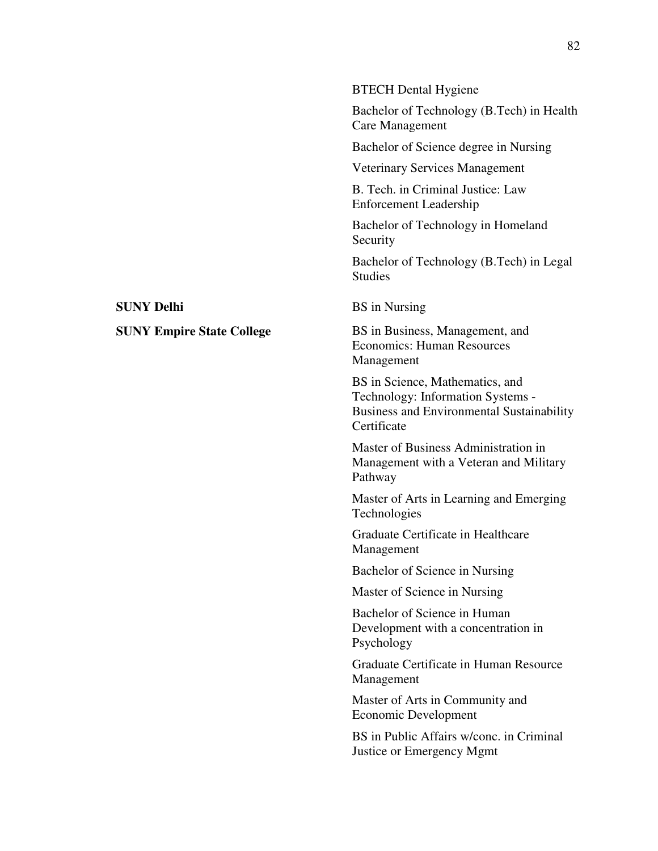|                                  | <b>BTECH</b> Dental Hygiene                                                                                                             |
|----------------------------------|-----------------------------------------------------------------------------------------------------------------------------------------|
|                                  | Bachelor of Technology (B.Tech) in Health<br>Care Management                                                                            |
|                                  | Bachelor of Science degree in Nursing                                                                                                   |
|                                  | <b>Veterinary Services Management</b>                                                                                                   |
|                                  | B. Tech. in Criminal Justice: Law<br><b>Enforcement Leadership</b>                                                                      |
|                                  | Bachelor of Technology in Homeland<br>Security                                                                                          |
|                                  | Bachelor of Technology (B.Tech) in Legal<br><b>Studies</b>                                                                              |
| <b>SUNY Delhi</b>                | <b>BS</b> in Nursing                                                                                                                    |
| <b>SUNY Empire State College</b> | BS in Business, Management, and<br><b>Economics: Human Resources</b><br>Management                                                      |
|                                  | BS in Science, Mathematics, and<br>Technology: Information Systems -<br><b>Business and Environmental Sustainability</b><br>Certificate |
|                                  | Master of Business Administration in<br>Management with a Veteran and Military<br>Pathway                                               |
|                                  | Master of Arts in Learning and Emerging<br>Technologies                                                                                 |
|                                  | Graduate Certificate in Healthcare<br>Management                                                                                        |
|                                  | Bachelor of Science in Nursing                                                                                                          |
|                                  | Master of Science in Nursing                                                                                                            |
|                                  | Bachelor of Science in Human<br>Development with a concentration in<br>Psychology                                                       |
|                                  | Graduate Certificate in Human Resource<br>Management                                                                                    |
|                                  | Master of Arts in Community and<br>Economic Development                                                                                 |
|                                  | BS in Public Affairs w/conc. in Criminal<br>Justice or Emergency Mgmt                                                                   |
|                                  |                                                                                                                                         |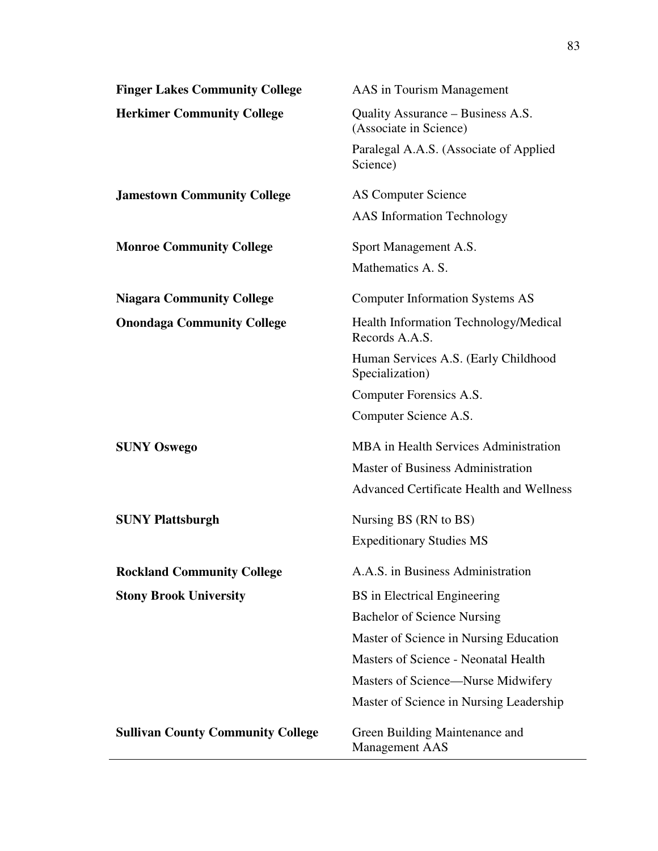| <b>Finger Lakes Community College</b>    | AAS in Tourism Management                                   |
|------------------------------------------|-------------------------------------------------------------|
| <b>Herkimer Community College</b>        | Quality Assurance – Business A.S.<br>(Associate in Science) |
|                                          | Paralegal A.A.S. (Associate of Applied<br>Science)          |
| <b>Jamestown Community College</b>       | <b>AS Computer Science</b>                                  |
|                                          | <b>AAS</b> Information Technology                           |
| <b>Monroe Community College</b>          | Sport Management A.S.                                       |
|                                          | Mathematics A. S.                                           |
| <b>Niagara Community College</b>         | <b>Computer Information Systems AS</b>                      |
| <b>Onondaga Community College</b>        | Health Information Technology/Medical<br>Records A.A.S.     |
|                                          | Human Services A.S. (Early Childhood<br>Specialization)     |
|                                          | Computer Forensics A.S.                                     |
|                                          | Computer Science A.S.                                       |
| <b>SUNY Oswego</b>                       | MBA in Health Services Administration                       |
|                                          | <b>Master of Business Administration</b>                    |
|                                          | <b>Advanced Certificate Health and Wellness</b>             |
| <b>SUNY Plattsburgh</b>                  | Nursing BS (RN to BS)                                       |
|                                          | <b>Expeditionary Studies MS</b>                             |
| <b>Rockland Community College</b>        | A.A.S. in Business Administration                           |
| <b>Stony Brook University</b>            | BS in Electrical Engineering                                |
|                                          | <b>Bachelor of Science Nursing</b>                          |
|                                          | Master of Science in Nursing Education                      |
|                                          | Masters of Science - Neonatal Health                        |
|                                          | Masters of Science—Nurse Midwifery                          |
|                                          | Master of Science in Nursing Leadership                     |
| <b>Sullivan County Community College</b> | Green Building Maintenance and<br><b>Management AAS</b>     |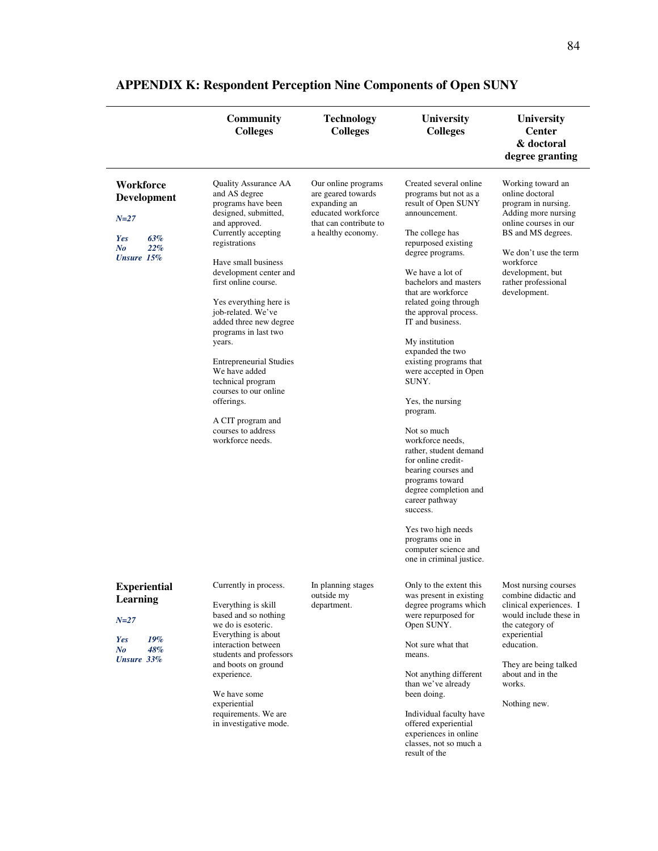|                                                                                        | <b>Community</b><br><b>Colleges</b>                                                                                                                                                                                                                                                                                                                                                                                                                                                                             | <b>Technology</b><br><b>Colleges</b>                                                                                            | <b>University</b><br><b>Colleges</b>                                                                                                                                                                                                                                                                                                                                                                                                                                                                                                                                                                                                                                                                              | University<br><b>Center</b><br>& doctoral<br>degree granting                                                                                                                                                                       |
|----------------------------------------------------------------------------------------|-----------------------------------------------------------------------------------------------------------------------------------------------------------------------------------------------------------------------------------------------------------------------------------------------------------------------------------------------------------------------------------------------------------------------------------------------------------------------------------------------------------------|---------------------------------------------------------------------------------------------------------------------------------|-------------------------------------------------------------------------------------------------------------------------------------------------------------------------------------------------------------------------------------------------------------------------------------------------------------------------------------------------------------------------------------------------------------------------------------------------------------------------------------------------------------------------------------------------------------------------------------------------------------------------------------------------------------------------------------------------------------------|------------------------------------------------------------------------------------------------------------------------------------------------------------------------------------------------------------------------------------|
| Workforce<br>Development<br>$N = 27$<br>Yes<br>63%<br>$N_{0}$<br>22%<br>Unsure 15%     | Quality Assurance AA<br>and AS degree<br>programs have been<br>designed, submitted,<br>and approved.<br>Currently accepting<br>registrations<br>Have small business<br>development center and<br>first online course.<br>Yes everything here is<br>job-related. We've<br>added three new degree<br>programs in last two<br>years.<br><b>Entrepreneurial Studies</b><br>We have added<br>technical program<br>courses to our online<br>offerings.<br>A CIT program and<br>courses to address<br>workforce needs. | Our online programs<br>are geared towards<br>expanding an<br>educated workforce<br>that can contribute to<br>a healthy economy. | Created several online<br>programs but not as a<br>result of Open SUNY<br>announcement.<br>The college has<br>repurposed existing<br>degree programs.<br>We have a lot of<br>bachelors and masters<br>that are workforce<br>related going through<br>the approval process.<br>IT and business.<br>My institution<br>expanded the two<br>existing programs that<br>were accepted in Open<br>SUNY.<br>Yes, the nursing<br>program.<br>Not so much<br>workforce needs,<br>rather, student demand<br>for online credit-<br>bearing courses and<br>programs toward<br>degree completion and<br>career pathway<br>success.<br>Yes two high needs<br>programs one in<br>computer science and<br>one in criminal justice. | Working toward an<br>online doctoral<br>program in nursing.<br>Adding more nursing<br>online courses in our<br>BS and MS degrees.<br>We don't use the term<br>workforce<br>development, but<br>rather professional<br>development. |
| <b>Experiential</b><br>Learning<br>$N = 27$<br>19%<br>Yes<br>48%<br>No<br>Unsure $33%$ | Currently in process.<br>Everything is skill<br>based and so nothing<br>we do is esoteric.<br>Everything is about<br>interaction between<br>students and professors<br>and boots on ground<br>experience.<br>We have some<br>experiential<br>requirements. We are<br>in investigative mode.                                                                                                                                                                                                                     | In planning stages<br>outside my<br>department.                                                                                 | Only to the extent this<br>was present in existing<br>degree programs which<br>were repurposed for<br>Open SUNY.<br>Not sure what that<br>means.<br>Not anything different<br>than we've already<br>been doing.<br>Individual faculty have<br>offered experiential<br>experiences in online<br>classes, not so much a                                                                                                                                                                                                                                                                                                                                                                                             | Most nursing courses<br>combine didactic and<br>clinical experiences. I<br>would include these in<br>the category of<br>experiential<br>education.<br>They are being talked<br>about and in the<br>works.<br>Nothing new.          |

result of the

# **APPENDIX K: Respondent Perception Nine Components of Open SUNY**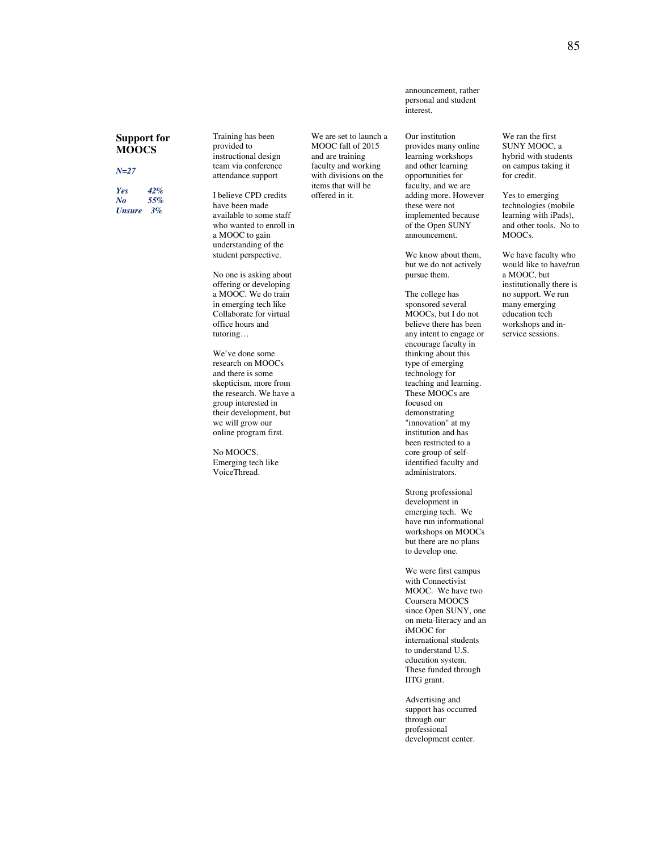#### **Support for MOOCS**

*N=27* 

*Yes 42% No 55% Unsure 3%*

Training has been provided to instructional design team via conference attendance support

I believe CPD credits have been made available to some staff who wanted to enroll in a MOOC to gain understanding of the student perspective.

No one is asking about offering or developing a MOOC. We do train in emerging tech like Collaborate for virtual office hours and tutoring…

We've done some research on MOOCs and there is some skepticism, more from the research. We have a group interested in their development, but we will grow our online program first.

No MOOCS. Emerging tech like VoiceThread.

announcement, rather personal and student interest.

We are set to launch a MOOC fall of 2015 and are training faculty and working with divisions on the items that will be offered in it.

Our institution provides many online learning workshops and other learning opportunities for faculty, and we are adding more. However these were not implemented because of the Open SUNY announcement.

We know about them, but we do not actively pursue them.

The college has sponsored several MOOCs, but I do not believe there has been any intent to engage or encourage faculty in thinking about this type of emerging technology for teaching and learning. These MOOCs are focused on demonstrating "innovation" at my institution and has been restricted to a core group of selfidentified faculty and administrators.

Strong professional development in emerging tech. We have run informational workshops on MOOCs but there are no plans to develop one.

We were first campus with Connectivist MOOC. We have two Coursera MOOCS since Open SUNY, one on meta-literacy and an iMOOC for international students to understand U.S. education system. These funded through IITG grant.

Advertising and support has occurred through our professional development center.

We ran the first SUNY MOOC, a hybrid with students on campus taking it for credit.

Yes to emerging technologies (mobile learning with iPads), and other tools. No to MOOCs.

We have faculty who would like to have/run a MOOC, but institutionally there is no support. We run many emerging education tech workshops and inservice sessions.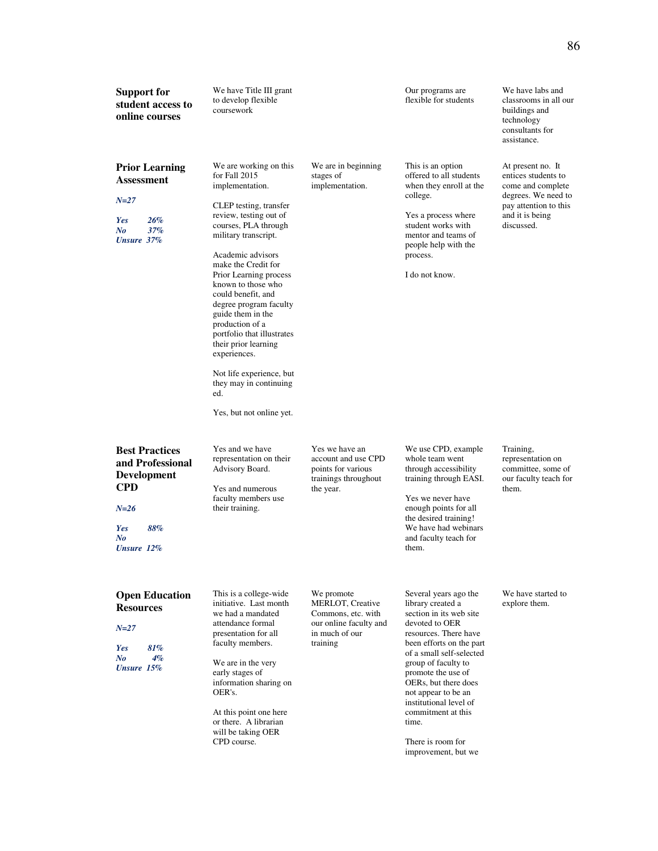| <b>Support for</b><br>student access to<br>online courses                                                                    | We have Title III grant<br>to develop flexible<br>coursework                                                                                                                                                                                                                                                                                                                                                                                                                                                      |                                                                                                              | Our programs are<br>flexible for students                                                                                                                                                                                                                                                                                                                                 | We have labs and<br>classrooms in all our<br>buildings and<br>technology<br>consultants for<br>assistance.                                     |
|------------------------------------------------------------------------------------------------------------------------------|-------------------------------------------------------------------------------------------------------------------------------------------------------------------------------------------------------------------------------------------------------------------------------------------------------------------------------------------------------------------------------------------------------------------------------------------------------------------------------------------------------------------|--------------------------------------------------------------------------------------------------------------|---------------------------------------------------------------------------------------------------------------------------------------------------------------------------------------------------------------------------------------------------------------------------------------------------------------------------------------------------------------------------|------------------------------------------------------------------------------------------------------------------------------------------------|
| <b>Prior Learning</b><br><b>Assessment</b><br>$N = 27$<br>Yes<br>26%<br>37%<br>N <sub>o</sub><br>Unsure 37%                  | We are working on this<br>for Fall 2015<br>implementation.<br>CLEP testing, transfer<br>review, testing out of<br>courses, PLA through<br>military transcript.<br>Academic advisors<br>make the Credit for<br>Prior Learning process<br>known to those who<br>could benefit, and<br>degree program faculty<br>guide them in the<br>production of a<br>portfolio that illustrates<br>their prior learning<br>experiences.<br>Not life experience, but<br>they may in continuing<br>ed.<br>Yes, but not online yet. | We are in beginning<br>stages of<br>implementation.                                                          | This is an option<br>offered to all students<br>when they enroll at the<br>college.<br>Yes a process where<br>student works with<br>mentor and teams of<br>people help with the<br>process.<br>I do not know.                                                                                                                                                             | At present no. It<br>entices students to<br>come and complete<br>degrees. We need to<br>pay attention to this<br>and it is being<br>discussed. |
| <b>Best Practices</b><br>and Professional<br><b>Development</b><br><b>CPD</b><br>$N = 26$<br>88%<br>Yes<br>N o<br>Unsure 12% | Yes and we have<br>representation on their<br>Advisory Board.<br>Yes and numerous<br>faculty members use<br>their training.                                                                                                                                                                                                                                                                                                                                                                                       | Yes we have an<br>account and use CPD<br>points for various<br>trainings throughout<br>the year.             | We use CPD, example<br>whole team went<br>through accessibility<br>training through EASI.<br>Yes we never have<br>enough points for all<br>the desired training!<br>We have had webinars<br>and faculty teach for<br>them.                                                                                                                                                | Training,<br>representation on<br>committee, some of<br>our faculty teach for<br>them.                                                         |
| <b>Open Education</b><br><b>Resources</b><br>$N = 27$<br>81%<br>Yes<br>$\bm{N}$ o<br>$4\%$<br>Unsure 15%                     | This is a college-wide<br>initiative. Last month<br>we had a mandated<br>attendance formal<br>presentation for all<br>faculty members.<br>We are in the very<br>early stages of<br>information sharing on<br>OER's.<br>At this point one here<br>or there. A librarian<br>will be taking OER<br>CPD course.                                                                                                                                                                                                       | We promote<br>MERLOT, Creative<br>Commons, etc. with<br>our online faculty and<br>in much of our<br>training | Several years ago the<br>library created a<br>section in its web site<br>devoted to OER<br>resources. There have<br>been efforts on the part<br>of a small self-selected<br>group of faculty to<br>promote the use of<br>OERs, but there does<br>not appear to be an<br>institutional level of<br>commitment at this<br>time.<br>There is room for<br>improvement, but we | We have started to<br>explore them.                                                                                                            |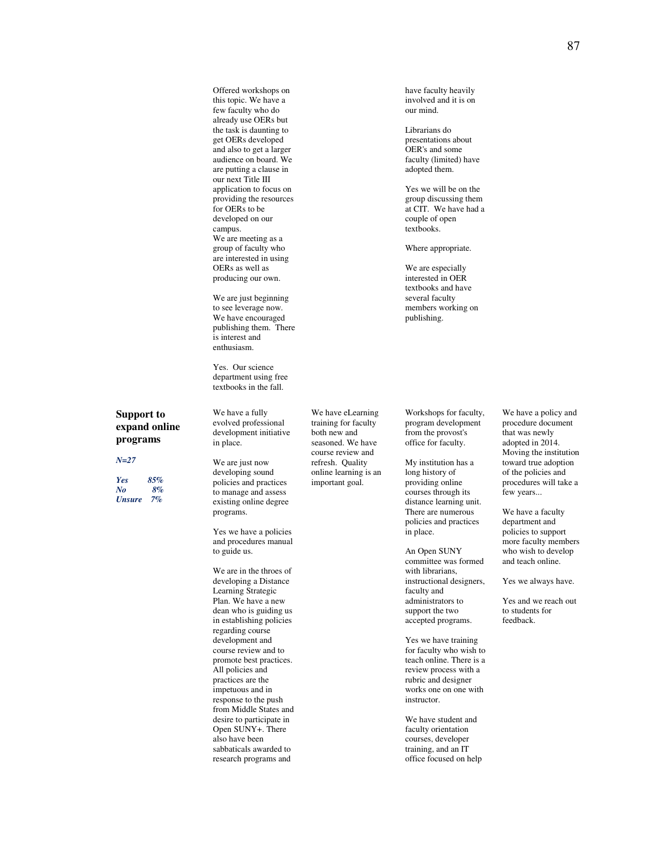Offered workshops on this topic. We have a few faculty who do already use OERs but the task is daunting to get OERs developed and also to get a larger audience on board. We are putting a clause in our next Title III application to focus on providing the resources for OERs to be developed on our campus. We are meeting as a group of faculty who are interested in using OERs as well as producing our own.

We are just beginning to see leverage now. We have encouraged publishing them. There is interest and enthusiasm.

Yes. Our science department using free textbooks in the fall.

#### **Support to expand online programs**

#### *N=27*

*Yes 85% No 8% Unsure 7%*

We have a fully evolved professional development initiative in place.

We are just now developing sound policies and practices to manage and assess existing online degree programs.

Yes we have a policies and procedures manual to guide us.

We are in the throes of developing a Distance Learning Strategic Plan. We have a new dean who is guiding us in establishing policies regarding course development and course review and to promote best practices. All policies and practices are the impetuous and in response to the push from Middle States and desire to participate in Open SUNY+. There also have been sabbaticals awarded to research programs and

We have eLearning training for faculty both new and seasoned. We have course review and refresh. Quality online learning is an important goal.

Workshops for faculty, program development from the provost's office for faculty.

have faculty heavily involved and it is on our mind.

Yes we will be on the group discussing them at CIT. We have had a couple of open textbooks.

Where appropriate. We are especially interested in OER textbooks and have several faculty members working on publishing.

Librarians do presentations about OER's and some faculty (limited) have adopted them.

My institution has a long history of providing online courses through its distance learning unit. There are numerous policies and practices in place.

An Open SUNY committee was formed with librarians, instructional designers, faculty and administrators to support the two accepted programs.

Yes we have training for faculty who wish to teach online. There is a review process with a rubric and designer works one on one with instructor.

We have student and faculty orientation courses, developer training, and an IT office focused on help We have a policy and procedure document that was newly adopted in 2014. Moving the institution toward true adoption of the policies and procedures will take a few years...

We have a faculty department and policies to support more faculty members who wish to develop and teach online.

Yes we always have.

Yes and we reach out to students for feedback.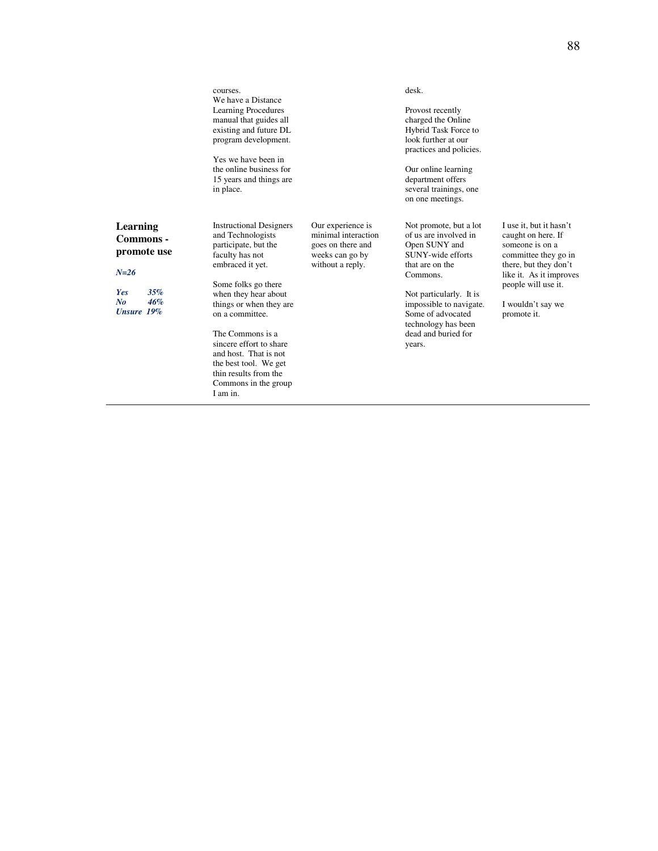|                                                                                                         | courses.<br>We have a Distance<br><b>Learning Procedures</b><br>manual that guides all<br>existing and future DL<br>program development.<br>Yes we have been in<br>the online business for<br>15 years and things are<br>in place.                                                                                                                                            |                                                                                                      | desk.<br>Provost recently<br>charged the Online<br>Hybrid Task Force to<br>look further at our<br>practices and policies.<br>Our online learning<br>department offers<br>several trainings, one<br>on one meetings.                                     |                                                                                                                                                                                                         |
|---------------------------------------------------------------------------------------------------------|-------------------------------------------------------------------------------------------------------------------------------------------------------------------------------------------------------------------------------------------------------------------------------------------------------------------------------------------------------------------------------|------------------------------------------------------------------------------------------------------|---------------------------------------------------------------------------------------------------------------------------------------------------------------------------------------------------------------------------------------------------------|---------------------------------------------------------------------------------------------------------------------------------------------------------------------------------------------------------|
| <b>Learning</b><br>Commons -<br>promote use<br>$N = 26$<br>35%<br><b>Yes</b><br>46%<br>No<br>Unsure 19% | <b>Instructional Designers</b><br>and Technologists<br>participate, but the<br>faculty has not<br>embraced it yet.<br>Some folks go there<br>when they hear about<br>things or when they are<br>on a committee.<br>The Commons is a<br>sincere effort to share<br>and host. That is not<br>the best tool. We get<br>thin results from the<br>Commons in the group<br>I am in. | Our experience is<br>minimal interaction<br>goes on there and<br>weeks can go by<br>without a reply. | Not promote, but a lot<br>of us are involved in<br>Open SUNY and<br>SUNY-wide efforts<br>that are on the<br>Commons.<br>Not particularly. It is<br>impossible to navigate.<br>Some of advocated<br>technology has been<br>dead and buried for<br>years. | I use it, but it hasn't<br>caught on here. If<br>someone is on a<br>committee they go in<br>there, but they don't<br>like it. As it improves<br>people will use it.<br>I wouldn't say we<br>promote it. |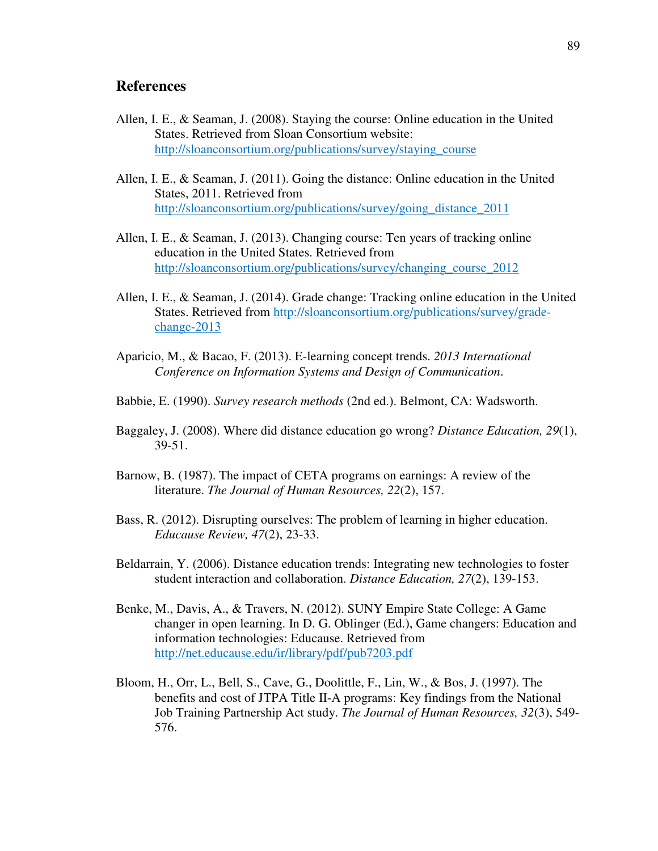### **References**

- Allen, I. E., & Seaman, J. (2008). Staying the course: Online education in the United States. Retrieved from Sloan Consortium website: http://sloanconsortium.org/publications/survey/staying\_course
- Allen, I. E., & Seaman, J. (2011). Going the distance: Online education in the United States, 2011. Retrieved from http://sloanconsortium.org/publications/survey/going\_distance\_2011
- Allen, I. E., & Seaman, J. (2013). Changing course: Ten years of tracking online education in the United States. Retrieved from http://sloanconsortium.org/publications/survey/changing\_course\_2012
- Allen, I. E., & Seaman, J. (2014). Grade change: Tracking online education in the United States. Retrieved from http://sloanconsortium.org/publications/survey/gradechange-2013
- Aparicio, M., & Bacao, F. (2013). E-learning concept trends. *2013 International Conference on Information Systems and Design of Communication*.
- Babbie, E. (1990). *Survey research methods* (2nd ed.). Belmont, CA: Wadsworth.
- Baggaley, J. (2008). Where did distance education go wrong? *Distance Education, 29*(1), 39-51.
- Barnow, B. (1987). The impact of CETA programs on earnings: A review of the literature. *The Journal of Human Resources, 22*(2), 157.
- Bass, R. (2012). Disrupting ourselves: The problem of learning in higher education. *Educause Review, 47*(2), 23-33.
- Beldarrain, Y. (2006). Distance education trends: Integrating new technologies to foster student interaction and collaboration. *Distance Education, 27*(2), 139-153.
- Benke, M., Davis, A., & Travers, N. (2012). SUNY Empire State College: A Game changer in open learning. In D. G. Oblinger (Ed.), Game changers: Education and information technologies: Educause. Retrieved from http://net.educause.edu/ir/library/pdf/pub7203.pdf
- Bloom, H., Orr, L., Bell, S., Cave, G., Doolittle, F., Lin, W., & Bos, J. (1997). The benefits and cost of JTPA Title II-A programs: Key findings from the National Job Training Partnership Act study. *The Journal of Human Resources, 32*(3), 549- 576.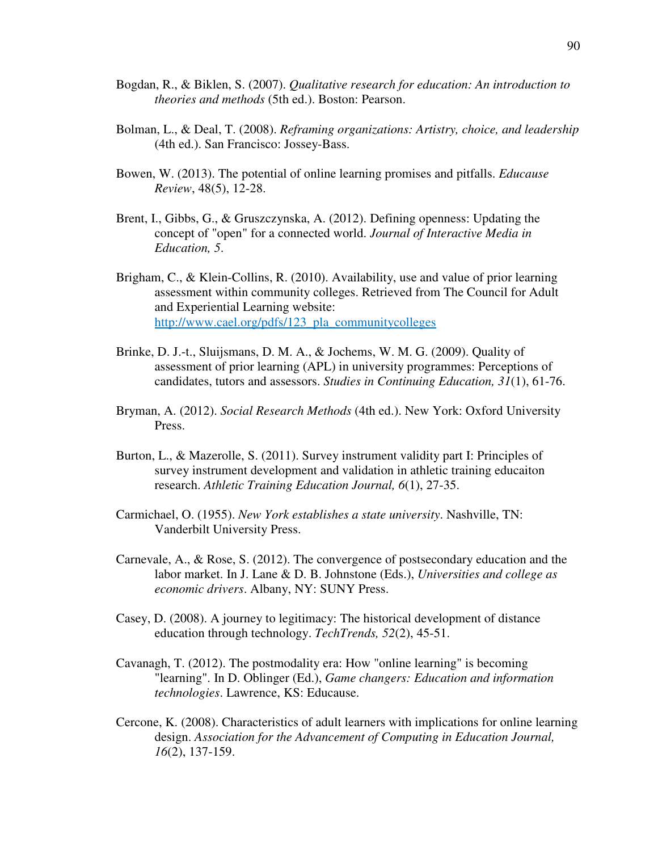- Bogdan, R., & Biklen, S. (2007). *Qualitative research for education: An introduction to theories and methods* (5th ed.). Boston: Pearson.
- Bolman, L., & Deal, T. (2008). *Reframing organizations: Artistry, choice, and leadership* (4th ed.). San Francisco: Jossey-Bass.
- Bowen, W. (2013). The potential of online learning promises and pitfalls. *Educause Review*, 48(5), 12-28.
- Brent, I., Gibbs, G., & Gruszczynska, A. (2012). Defining openness: Updating the concept of "open" for a connected world. *Journal of Interactive Media in Education, 5*.
- Brigham, C., & Klein-Collins, R. (2010). Availability, use and value of prior learning assessment within community colleges. Retrieved from The Council for Adult and Experiential Learning website: http://www.cael.org/pdfs/123\_pla\_communitycolleges
- Brinke, D. J.-t., Sluijsmans, D. M. A., & Jochems, W. M. G. (2009). Quality of assessment of prior learning (APL) in university programmes: Perceptions of candidates, tutors and assessors. *Studies in Continuing Education, 31*(1), 61-76.
- Bryman, A. (2012). *Social Research Methods* (4th ed.). New York: Oxford University Press.
- Burton, L., & Mazerolle, S. (2011). Survey instrument validity part I: Principles of survey instrument development and validation in athletic training educaiton research. *Athletic Training Education Journal, 6*(1), 27-35.
- Carmichael, O. (1955). *New York establishes a state university*. Nashville, TN: Vanderbilt University Press.
- Carnevale, A., & Rose, S. (2012). The convergence of postsecondary education and the labor market. In J. Lane & D. B. Johnstone (Eds.), *Universities and college as economic drivers*. Albany, NY: SUNY Press.
- Casey, D. (2008). A journey to legitimacy: The historical development of distance education through technology. *TechTrends, 52*(2), 45-51.
- Cavanagh, T. (2012). The postmodality era: How "online learning" is becoming "learning". In D. Oblinger (Ed.), *Game changers: Education and information technologies*. Lawrence, KS: Educause.
- Cercone, K. (2008). Characteristics of adult learners with implications for online learning design. *Association for the Advancement of Computing in Education Journal, 16*(2), 137-159.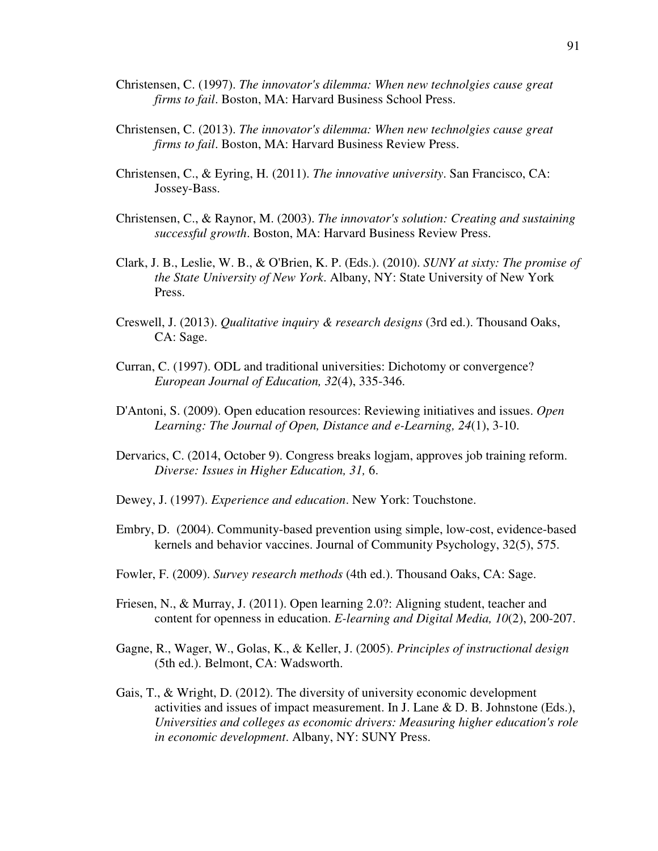- Christensen, C. (1997). *The innovator's dilemma: When new technolgies cause great firms to fail*. Boston, MA: Harvard Business School Press.
- Christensen, C. (2013). *The innovator's dilemma: When new technolgies cause great firms to fail*. Boston, MA: Harvard Business Review Press.
- Christensen, C., & Eyring, H. (2011). *The innovative university*. San Francisco, CA: Jossey-Bass.
- Christensen, C., & Raynor, M. (2003). *The innovator's solution: Creating and sustaining successful growth*. Boston, MA: Harvard Business Review Press.
- Clark, J. B., Leslie, W. B., & O'Brien, K. P. (Eds.). (2010). *SUNY at sixty: The promise of the State University of New York*. Albany, NY: State University of New York Press.
- Creswell, J. (2013). *Qualitative inquiry & research designs* (3rd ed.). Thousand Oaks, CA: Sage.
- Curran, C. (1997). ODL and traditional universities: Dichotomy or convergence? *European Journal of Education, 32*(4), 335-346.
- D'Antoni, S. (2009). Open education resources: Reviewing initiatives and issues. *Open Learning: The Journal of Open, Distance and e-Learning, 24*(1), 3-10.
- Dervarics, C. (2014, October 9). Congress breaks logjam, approves job training reform. *Diverse: Issues in Higher Education, 31,* 6.
- Dewey, J. (1997). *Experience and education*. New York: Touchstone.
- Embry, D. (2004). Community-based prevention using simple, low-cost, evidence-based kernels and behavior vaccines. Journal of Community Psychology, 32(5), 575.
- Fowler, F. (2009). *Survey research methods* (4th ed.). Thousand Oaks, CA: Sage.
- Friesen, N., & Murray, J. (2011). Open learning 2.0?: Aligning student, teacher and content for openness in education. *E-learning and Digital Media, 10*(2), 200-207.
- Gagne, R., Wager, W., Golas, K., & Keller, J. (2005). *Principles of instructional design* (5th ed.). Belmont, CA: Wadsworth.
- Gais, T., & Wright, D. (2012). The diversity of university economic development activities and issues of impact measurement. In J. Lane & D. B. Johnstone (Eds.), *Universities and colleges as economic drivers: Measuring higher education's role in economic development*. Albany, NY: SUNY Press.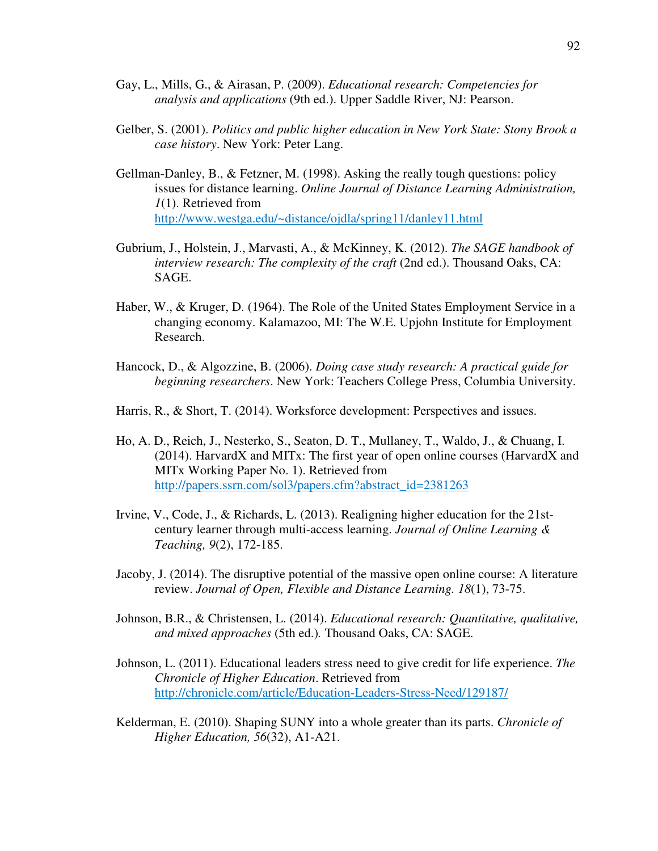- Gay, L., Mills, G., & Airasan, P. (2009). *Educational research: Competencies for analysis and applications* (9th ed.). Upper Saddle River, NJ: Pearson.
- Gelber, S. (2001). *Politics and public higher education in New York State: Stony Brook a case history*. New York: Peter Lang.
- Gellman-Danley, B., & Fetzner, M. (1998). Asking the really tough questions: policy issues for distance learning. *Online Journal of Distance Learning Administration, 1*(1). Retrieved from http://www.westga.edu/~distance/ojdla/spring11/danley11.html
- Gubrium, J., Holstein, J., Marvasti, A., & McKinney, K. (2012). *The SAGE handbook of interview research: The complexity of the craft* (2nd ed.). Thousand Oaks, CA: SAGE.
- Haber, W., & Kruger, D. (1964). The Role of the United States Employment Service in a changing economy. Kalamazoo, MI: The W.E. Upjohn Institute for Employment Research.
- Hancock, D., & Algozzine, B. (2006). *Doing case study research: A practical guide for beginning researchers*. New York: Teachers College Press, Columbia University.
- Harris, R., & Short, T. (2014). Worksforce development: Perspectives and issues.
- Ho, A. D., Reich, J., Nesterko, S., Seaton, D. T., Mullaney, T., Waldo, J., & Chuang, I. (2014). HarvardX and MITx: The first year of open online courses (HarvardX and MITx Working Paper No. 1). Retrieved from http://papers.ssrn.com/sol3/papers.cfm?abstract\_id=2381263
- Irvine, V., Code, J., & Richards, L. (2013). Realigning higher education for the 21stcentury learner through multi-access learning. *Journal of Online Learning & Teaching, 9*(2), 172-185.
- Jacoby, J. (2014). The disruptive potential of the massive open online course: A literature review. *Journal of Open, Flexible and Distance Learning. 18*(1), 73-75.
- Johnson, B.R., & Christensen, L. (2014). *Educational research: Quantitative, qualitative, and mixed approaches* (5th ed.)*.* Thousand Oaks, CA: SAGE.
- Johnson, L. (2011). Educational leaders stress need to give credit for life experience. *The Chronicle of Higher Education*. Retrieved from http://chronicle.com/article/Education-Leaders-Stress-Need/129187/
- Kelderman, E. (2010). Shaping SUNY into a whole greater than its parts. *Chronicle of Higher Education, 56*(32), A1-A21.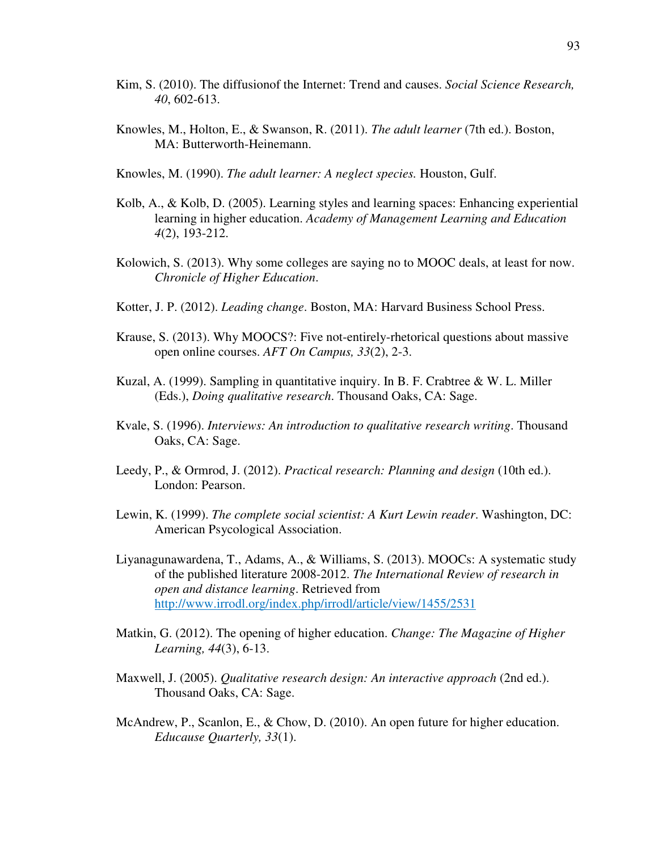- Kim, S. (2010). The diffusionof the Internet: Trend and causes. *Social Science Research, 40*, 602-613.
- Knowles, M., Holton, E., & Swanson, R. (2011). *The adult learner* (7th ed.). Boston, MA: Butterworth-Heinemann.
- Knowles, M. (1990). *The adult learner: A neglect species.* Houston, Gulf.
- Kolb, A., & Kolb, D. (2005). Learning styles and learning spaces: Enhancing experiential learning in higher education. *Academy of Management Learning and Education 4*(2), 193-212.
- Kolowich, S. (2013). Why some colleges are saying no to MOOC deals, at least for now. *Chronicle of Higher Education*.
- Kotter, J. P. (2012). *Leading change*. Boston, MA: Harvard Business School Press.
- Krause, S. (2013). Why MOOCS?: Five not-entirely-rhetorical questions about massive open online courses. *AFT On Campus, 33*(2), 2-3.
- Kuzal, A. (1999). Sampling in quantitative inquiry. In B. F. Crabtree & W. L. Miller (Eds.), *Doing qualitative research*. Thousand Oaks, CA: Sage.
- Kvale, S. (1996). *Interviews: An introduction to qualitative research writing*. Thousand Oaks, CA: Sage.
- Leedy, P., & Ormrod, J. (2012). *Practical research: Planning and design* (10th ed.). London: Pearson.
- Lewin, K. (1999). *The complete social scientist: A Kurt Lewin reader*. Washington, DC: American Psycological Association.
- Liyanagunawardena, T., Adams, A., & Williams, S. (2013). MOOCs: A systematic study of the published literature 2008-2012. *The International Review of research in open and distance learning*. Retrieved from http://www.irrodl.org/index.php/irrodl/article/view/1455/2531
- Matkin, G. (2012). The opening of higher education. *Change: The Magazine of Higher Learning, 44*(3), 6-13.
- Maxwell, J. (2005). *Qualitative research design: An interactive approach* (2nd ed.). Thousand Oaks, CA: Sage.
- McAndrew, P., Scanlon, E., & Chow, D. (2010). An open future for higher education. *Educause Quarterly, 33*(1).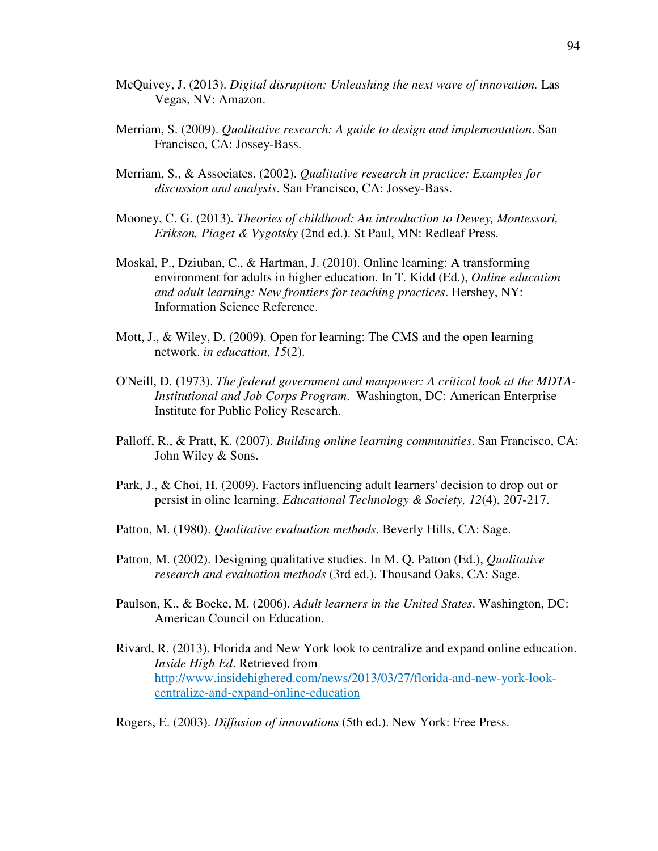- McQuivey, J. (2013). *Digital disruption: Unleashing the next wave of innovation.* Las Vegas, NV: Amazon.
- Merriam, S. (2009). *Qualitative research: A guide to design and implementation*. San Francisco, CA: Jossey-Bass.
- Merriam, S., & Associates. (2002). *Qualitative research in practice: Examples for discussion and analysis*. San Francisco, CA: Jossey-Bass.
- Mooney, C. G. (2013). *Theories of childhood: An introduction to Dewey, Montessori, Erikson, Piaget & Vygotsky* (2nd ed.). St Paul, MN: Redleaf Press.
- Moskal, P., Dziuban, C., & Hartman, J. (2010). Online learning: A transforming environment for adults in higher education. In T. Kidd (Ed.), *Online education and adult learning: New frontiers for teaching practices*. Hershey, NY: Information Science Reference.
- Mott, J., & Wiley, D. (2009). Open for learning: The CMS and the open learning network. *in education, 15*(2).
- O'Neill, D. (1973). *The federal government and manpower: A critical look at the MDTA-Institutional and Job Corps Program*. Washington, DC: American Enterprise Institute for Public Policy Research.
- Palloff, R., & Pratt, K. (2007). *Building online learning communities*. San Francisco, CA: John Wiley & Sons.
- Park, J., & Choi, H. (2009). Factors influencing adult learners' decision to drop out or persist in oline learning. *Educational Technology & Society, 12*(4), 207-217.
- Patton, M. (1980). *Qualitative evaluation methods*. Beverly Hills, CA: Sage.
- Patton, M. (2002). Designing qualitative studies. In M. Q. Patton (Ed.), *Qualitative research and evaluation methods* (3rd ed.). Thousand Oaks, CA: Sage.
- Paulson, K., & Boeke, M. (2006). *Adult learners in the United States*. Washington, DC: American Council on Education.
- Rivard, R. (2013). Florida and New York look to centralize and expand online education. *Inside High Ed*. Retrieved from http://www.insidehighered.com/news/2013/03/27/florida-and-new-york-lookcentralize-and-expand-online-education
- Rogers, E. (2003). *Diffusion of innovations* (5th ed.). New York: Free Press.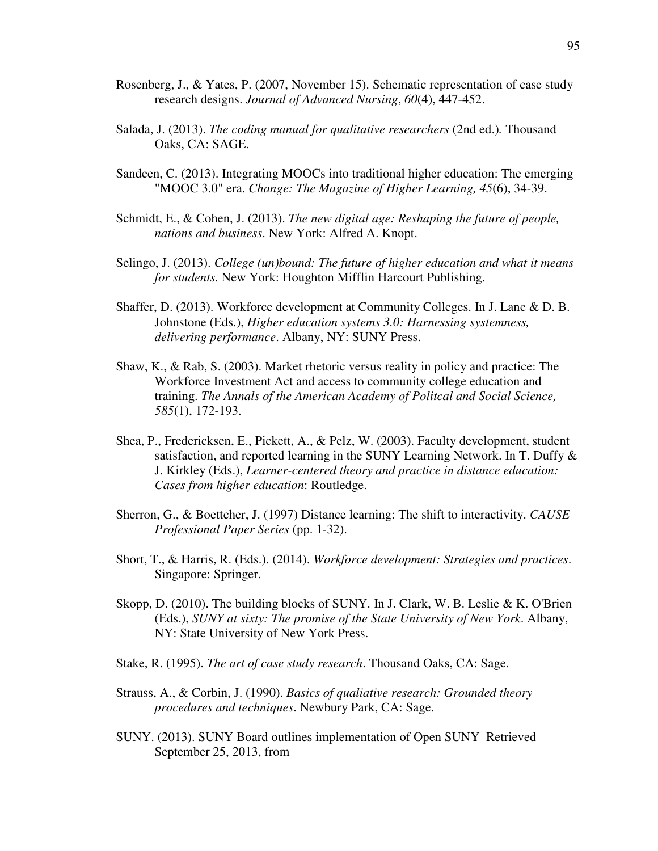- Rosenberg, J., & Yates, P. (2007, November 15). Schematic representation of case study research designs. *Journal of Advanced Nursing*, *60*(4), 447-452.
- Salada, J. (2013). *The coding manual for qualitative researchers* (2nd ed.)*.* Thousand Oaks, CA: SAGE.
- Sandeen, C. (2013). Integrating MOOCs into traditional higher education: The emerging "MOOC 3.0" era. *Change: The Magazine of Higher Learning, 45*(6), 34-39.
- Schmidt, E., & Cohen, J. (2013). *The new digital age: Reshaping the future of people, nations and business*. New York: Alfred A. Knopt.
- Selingo, J. (2013). *College (un)bound: The future of higher education and what it means for students.* New York: Houghton Mifflin Harcourt Publishing.
- Shaffer, D. (2013). Workforce development at Community Colleges. In J. Lane & D. B. Johnstone (Eds.), *Higher education systems 3.0: Harnessing systemness, delivering performance*. Albany, NY: SUNY Press.
- Shaw, K., & Rab, S. (2003). Market rhetoric versus reality in policy and practice: The Workforce Investment Act and access to community college education and training. *The Annals of the American Academy of Politcal and Social Science, 585*(1), 172-193.
- Shea, P., Fredericksen, E., Pickett, A., & Pelz, W. (2003). Faculty development, student satisfaction, and reported learning in the SUNY Learning Network. In T. Duffy & J. Kirkley (Eds.), *Learner-centered theory and practice in distance education: Cases from higher education*: Routledge.
- Sherron, G., & Boettcher, J. (1997) Distance learning: The shift to interactivity. *CAUSE Professional Paper Series* (pp. 1-32).
- Short, T., & Harris, R. (Eds.). (2014). *Workforce development: Strategies and practices*. Singapore: Springer.
- Skopp, D.  $(2010)$ . The building blocks of SUNY. In J. Clark, W. B. Leslie & K. O'Brien (Eds.), *SUNY at sixty: The promise of the State University of New York*. Albany, NY: State University of New York Press.
- Stake, R. (1995). *The art of case study research*. Thousand Oaks, CA: Sage.
- Strauss, A., & Corbin, J. (1990). *Basics of qualiative research: Grounded theory procedures and techniques*. Newbury Park, CA: Sage.
- SUNY. (2013). SUNY Board outlines implementation of Open SUNY Retrieved September 25, 2013, from